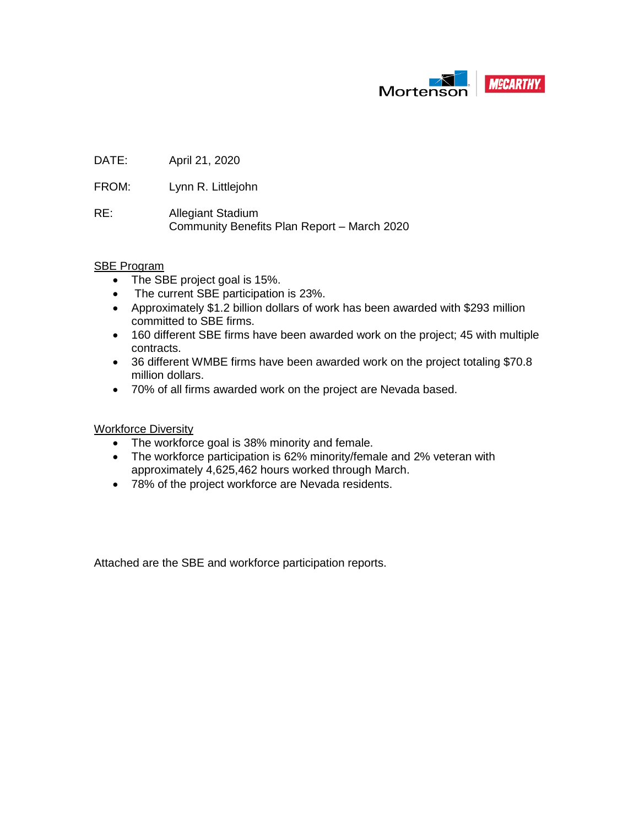

DATE: April 21, 2020

FROM: Lynn R. Littlejohn

RE: Allegiant Stadium Community Benefits Plan Report – March 2020

#### SBE Program

- The SBE project goal is 15%.
- The current SBE participation is 23%.
- Approximately \$1.2 billion dollars of work has been awarded with \$293 million committed to SBE firms.
- 160 different SBE firms have been awarded work on the project; 45 with multiple contracts.
- 36 different WMBE firms have been awarded work on the project totaling \$70.8 million dollars.
- 70% of all firms awarded work on the project are Nevada based.

Workforce Diversity

- The workforce goal is 38% minority and female.
- The workforce participation is 62% minority/female and 2% veteran with approximately 4,625,462 hours worked through March.
- 78% of the project workforce are Nevada residents.

Attached are the SBE and workforce participation reports.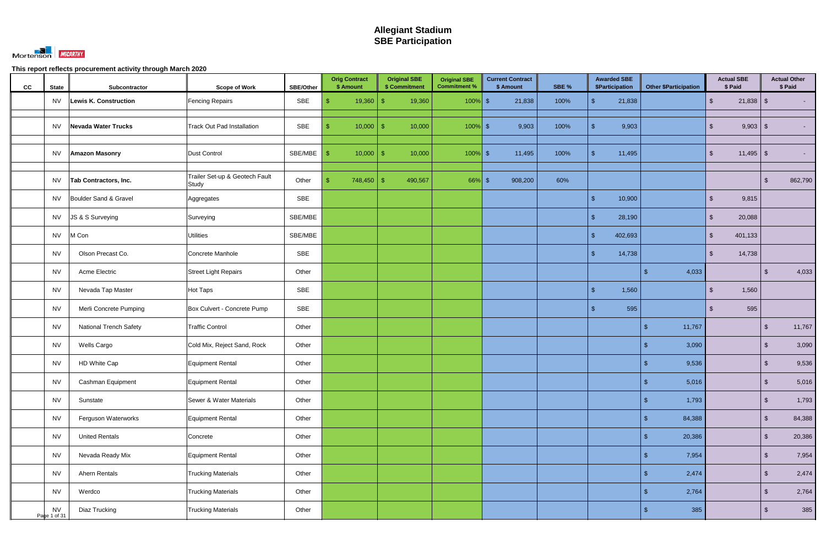

| cc | <b>State</b>              | Subcontractor                 | <b>Scope of Work</b>                    | <b>SBE/Other</b> | <b>Orig Contract</b><br>\$ Amount | <b>Original SBE</b><br>\$ Commitment | <b>Original SBE</b><br><b>Commitment %</b> | <b>Current Contract</b><br>\$ Amount | SBE % | <b>Awarded SBE</b><br><b>\$Participation</b> | <b>Other \$Participation</b>     | <b>Actual SBE</b><br>\$ Paid           | <b>Actual Other</b><br>\$ Paid |         |
|----|---------------------------|-------------------------------|-----------------------------------------|------------------|-----------------------------------|--------------------------------------|--------------------------------------------|--------------------------------------|-------|----------------------------------------------|----------------------------------|----------------------------------------|--------------------------------|---------|
|    | NV.                       | Lewis K. Construction         | <b>Fencing Repairs</b>                  | SBE              |                                   | 19,360                               | $100\%$ \$                                 | 21,838                               | 100%  | 21,838<br>$\mathbf{\$}$                      |                                  | $\sqrt[6]{\frac{1}{2}}$<br>$21,838$ \$ |                                |         |
|    | <b>NV</b>                 | Nevada Water Trucks           | <b>Track Out Pad Installation</b>       | SBE              | $10,000$ \$                       | 10,000                               | $100\%$ \$                                 | 9,903                                | 100%  | 9,903<br>$\mathbf{\$}$                       |                                  | $9,903$ \$<br>$\mathfrak{L}$           |                                |         |
|    | NV.                       | <b>Amazon Masonry</b>         | Dust Control                            | SBE/MBE          | $10,000$ \ \$<br>-S               | 10,000                               | $100\%$ \$                                 | 11,495                               | 100%  | 11,495<br>$\mathbf{\$}$                      |                                  | $11,495$ \$<br>$\mathcal{S}$           |                                |         |
|    | <b>NV</b>                 | <b>Tab Contractors, Inc.</b>  | Trailer Set-up & Geotech Fault<br>Study | Other            |                                   | 490,567                              | $66\%$ \$                                  | 908,200                              | 60%   |                                              |                                  |                                        | -\$                            | 862,790 |
|    | <b>NV</b>                 | Boulder Sand & Gravel         | Aggregates                              | SBE              |                                   |                                      |                                            |                                      |       | 10,900<br>$\mathbf{\$}$                      |                                  | 9,815<br>$\mathbb{S}$                  |                                |         |
|    | <b>NV</b>                 | JS & S Surveying              | Surveying                               | SBE/MBE          |                                   |                                      |                                            |                                      |       | 28,190<br>$\mathcal{S}$                      |                                  | 20,088<br>$\mathfrak{S}$               |                                |         |
|    | <b>NV</b>                 | M Con                         | <b>Utilities</b>                        | SBE/MBE          |                                   |                                      |                                            |                                      |       | 402,693<br>$\mathfrak{F}$                    |                                  | $\mathfrak{S}$<br>401,133              |                                |         |
|    | <b>NV</b>                 | Olson Precast Co.             | Concrete Manhole                        | SBE              |                                   |                                      |                                            |                                      |       | $\sqrt{2}$<br>14,738                         |                                  | $\mathfrak{S}$<br>14,738               |                                |         |
|    | <b>NV</b>                 | Acme Electric                 | Street Light Repairs                    | Other            |                                   |                                      |                                            |                                      |       |                                              | 4,033                            |                                        | $\mathfrak{L}$                 | 4,033   |
|    | <b>NV</b>                 | Nevada Tap Master             | <b>Hot Taps</b>                         | SBE              |                                   |                                      |                                            |                                      |       | $\frac{1}{2}$<br>1,560                       |                                  | 1,560<br>$\sqrt[6]{\frac{1}{2}}$       |                                |         |
|    | <b>NV</b>                 | Merli Concrete Pumping        | Box Culvert - Concrete Pump             | SBE              |                                   |                                      |                                            |                                      |       | 595<br>$\mathbf{\$}$                         |                                  | 595<br>\$.                             |                                |         |
|    | <b>NV</b>                 | <b>National Trench Safety</b> | <b>Traffic Control</b>                  | Other            |                                   |                                      |                                            |                                      |       |                                              | 11,767<br>$\mathbf{\$}$          |                                        | $\sqrt{2}$                     | 11,767  |
|    | <b>NV</b>                 | Wells Cargo                   | Cold Mix, Reject Sand, Rock             | Other            |                                   |                                      |                                            |                                      |       |                                              | 3,090                            |                                        | $\mathbb{S}$                   | 3,090   |
|    | <b>NV</b>                 | HD White Cap                  | <b>Equipment Rental</b>                 | Other            |                                   |                                      |                                            |                                      |       |                                              | 9,536                            |                                        | ්                              | 9,536   |
|    | <b>NV</b>                 | Cashman Equipment             | <b>Equipment Rental</b>                 | Other            |                                   |                                      |                                            |                                      |       |                                              | 5,016<br>$\sqrt{2}$              |                                        | $\sqrt[6]{\frac{1}{2}}$        | 5,016   |
|    | <b>NV</b>                 | Sunstate                      | Sewer & Water Materials                 | Other            |                                   |                                      |                                            |                                      |       |                                              | 1,793<br>$\sqrt[6]{\frac{1}{2}}$ |                                        | $\sqrt[6]{2}$                  | 1,793   |
|    | <b>NV</b>                 | Ferguson Waterworks           | Equipment Rental                        | Other            |                                   |                                      |                                            |                                      |       |                                              | 84,388<br>\$                     |                                        | $\sqrt{2}$                     | 84,388  |
|    | <b>NV</b>                 | <b>United Rentals</b>         | Concrete                                | Other            |                                   |                                      |                                            |                                      |       |                                              | 20,386<br>\$                     |                                        | $\sqrt[6]{2}$                  | 20,386  |
|    | <b>NV</b>                 | Nevada Ready Mix              | Equipment Rental                        | Other            |                                   |                                      |                                            |                                      |       |                                              | 7,954<br>\$                      |                                        | $\sqrt{2}$                     | 7,954   |
|    | <b>NV</b>                 | Ahern Rentals                 | <b>Trucking Materials</b>               | Other            |                                   |                                      |                                            |                                      |       |                                              | 2,474<br>\$                      |                                        | $\sqrt[6]{2}$                  | 2,474   |
|    | <b>NV</b>                 | Werdco                        | <b>Trucking Materials</b>               | Other            |                                   |                                      |                                            |                                      |       |                                              | 2,764<br>\$                      |                                        | $\sqrt{2}$                     | 2,764   |
|    | <b>NV</b><br>Page 1 of 31 | Diaz Trucking                 | <b>Trucking Materials</b>               | Other            |                                   |                                      |                                            |                                      |       |                                              | 385<br>\$                        |                                        | $\sqrt{2}$                     | 385     |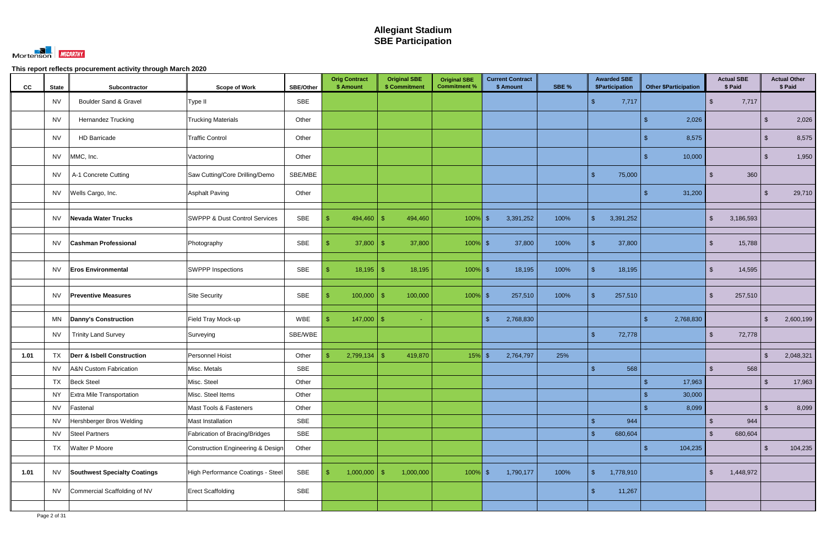

| cc   | <b>State</b> | Subcontractor                         | <b>Scope of Work</b>                     | <b>SBE/Other</b> | <b>Orig Contract</b><br>\$ Amount | <b>Original SBE</b><br>\$ Commitment | <b>Original SBE</b><br><b>Commitment %</b> | <b>Current Contract</b><br>\$ Amount | SBE % | <b>Awarded SBE</b><br>\$Participation | <b>Other \$Participation</b> | <b>Actual SBE</b><br>\$ Paid | <b>Actual Other</b><br>\$ Paid |
|------|--------------|---------------------------------------|------------------------------------------|------------------|-----------------------------------|--------------------------------------|--------------------------------------------|--------------------------------------|-------|---------------------------------------|------------------------------|------------------------------|--------------------------------|
|      | <b>NV</b>    | <b>Boulder Sand &amp; Gravel</b>      | Type II                                  | <b>SBE</b>       |                                   |                                      |                                            |                                      |       | 7,717                                 |                              | 7,717<br>$\mathbb{S}$        |                                |
|      | <b>NV</b>    | Hernandez Trucking                    | <b>Trucking Materials</b>                | Other            |                                   |                                      |                                            |                                      |       |                                       | 2,026                        |                              | 2,026<br>\$.                   |
|      | <b>NV</b>    | <b>HD Barricade</b>                   | <b>Traffic Control</b>                   | Other            |                                   |                                      |                                            |                                      |       |                                       | 8,575                        |                              | 8,575<br>-\$                   |
|      | <b>NV</b>    | MMC, Inc.                             | Vactoring                                | Other            |                                   |                                      |                                            |                                      |       |                                       | 10,000                       |                              | 1,950<br>$\sqrt[6]{3}$         |
|      | <b>NV</b>    | A-1 Concrete Cutting                  | Saw Cutting/Core Drilling/Demo           | SBE/MBE          |                                   |                                      |                                            |                                      |       | $\mathbf{\hat{s}}$<br>75,000          |                              | 360<br>$\mathfrak{L}$        |                                |
|      | <b>NV</b>    | Wells Cargo, Inc.                     | <b>Asphalt Paving</b>                    | Other            |                                   |                                      |                                            |                                      |       |                                       | 31,200                       |                              | 29,710<br>-S                   |
|      | <b>NV</b>    | <b>Nevada Water Trucks</b>            | <b>SWPPP &amp; Dust Control Services</b> | SBE              | 494,460<br>\$.                    | 494,460<br>-\$                       | $100\%$ \$                                 | 3,391,252                            | 100%  | $\sqrt{2}$<br>3,391,252               |                              | 3,186,593<br>\$              |                                |
|      | <b>NV</b>    | <b>Cashman Professional</b>           | Photography                              | SBE              | 37,800                            | 37,800<br>-\$                        | $100\%$ \$                                 | 37,800                               | 100%  | 37,800<br>-\$                         |                              | 15,788<br>$\mathbb{S}$       |                                |
|      | <b>NV</b>    | <b>Eros Environmental</b>             | <b>SWPPP Inspections</b>                 | SBE              | 18,195                            | 18,195<br>-\$                        | $100\%$ \$                                 | 18,195                               | 100%  | 18,195<br>-\$                         |                              | 14,595<br>$\mathbb{S}$       |                                |
|      | <b>NV</b>    | <b>Preventive Measures</b>            | <b>Site Security</b>                     | <b>SBE</b>       | 100,000<br>ß.                     | 100,000<br>-\$                       | $100\%$ \$                                 | 257,510                              | 100%  | 257,510<br>-\$                        |                              | $\mathbb{S}$<br>257,510      |                                |
|      | MN           | <b>Danny's Construction</b>           | Field Tray Mock-up                       | <b>WBE</b>       | 147,000<br>ß.                     | -\$<br>÷.                            |                                            | 2,768,830<br>$\sqrt{3}$              |       |                                       | 2,768,830<br>\$.             |                              | $\mathcal{S}$<br>2,600,199     |
|      | <b>NV</b>    | <b>Trinity Land Survey</b>            | Surveying                                | SBE/WBE          |                                   |                                      |                                            |                                      |       | $\mathcal{S}$<br>72,778               |                              | 72,778<br>$\mathbb{S}$       |                                |
| 1.01 | TX           | <b>Derr &amp; Isbell Construction</b> | Personnel Hoist                          | Other            | 2,799,134<br>\$                   | 419,870<br>-\$                       | $15%$ \$                                   | 2,764,797                            | 25%   |                                       |                              |                              | 2,048,321<br>$\mathfrak{L}$    |
|      | <b>NV</b>    | A&N Custom Fabrication                | Misc. Metals                             | <b>SBE</b>       |                                   |                                      |                                            |                                      |       | 568                                   |                              | 568<br>$\mathfrak{L}$        |                                |
|      | <b>TX</b>    | <b>Beck Steel</b>                     | Misc. Steel                              | Other            |                                   |                                      |                                            |                                      |       |                                       | 17,963<br>$\mathfrak{S}$     |                              | 17,963<br>$\sqrt[6]{3}$        |
|      | <b>NY</b>    | Extra Mile Transportation             | Misc. Steel Items                        | Other            |                                   |                                      |                                            |                                      |       |                                       | 30,000<br>\$                 |                              |                                |
|      | <b>NV</b>    | Fastenal                              | Mast Tools & Fasteners                   | Other            |                                   |                                      |                                            |                                      |       |                                       | 8,099                        |                              | $\sqrt{2}$<br>8,099            |
|      | <b>NV</b>    | Hershberger Bros Welding              | Mast Installation                        | <b>SBE</b>       |                                   |                                      |                                            |                                      |       | $\sqrt{2}$<br>944                     |                              | 944<br>$\mathbb{S}$          |                                |
|      | <b>NV</b>    | <b>Steel Partners</b>                 | Fabrication of Bracing/Bridges           | <b>SBE</b>       |                                   |                                      |                                            |                                      |       | $\mathbf{\hat{s}}$<br>680,604         |                              | $\mathfrak{S}$<br>680,604    |                                |
|      | <b>TX</b>    | <b>Walter P Moore</b>                 | Construction Engineering & Design        | Other            |                                   |                                      |                                            |                                      |       |                                       | 104,235                      |                              | $\mathcal{S}$<br>104,235       |
| 1.01 | <b>NV</b>    | <b>Southwest Specialty Coatings</b>   | High Performance Coatings - Steel        | SBE              | -\$<br>$1,000,000$ \$             | 1,000,000                            | $100\%$ \$                                 | 1,790,177                            | 100%  | $\mathbb{S}$<br>1,778,910             |                              | 1,448,972<br>$\frac{1}{2}$   |                                |
|      | <b>NV</b>    | Commercial Scaffolding of NV          | <b>Erect Scaffolding</b>                 | SBE              |                                   |                                      |                                            |                                      |       | $\sqrt{2}$<br>11,267                  |                              |                              |                                |
|      |              |                                       |                                          |                  |                                   |                                      |                                            |                                      |       |                                       |                              |                              |                                |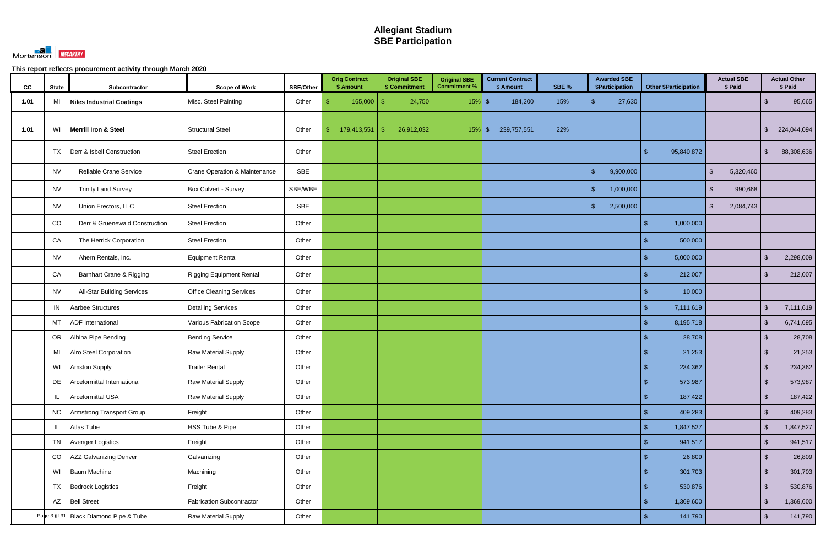

| CC   | <b>State</b> | Subcontractor                          | <b>Scope of Work</b>             | <b>SBE/Other</b> |              | <b>Orig Contract</b><br>\$ Amount |     | <b>Original SBE</b><br>\$ Commitment | <b>Original SBE</b><br><b>Commitment %</b> | <b>Current Contract</b><br>\$ Amount | SBE % |               | <b>Awarded SBE</b><br><b>\$Participation</b> |                | <b>Other \$Participation</b> |               | <b>Actual SBE</b><br>\$ Paid |                         | <b>Actual Other</b><br>\$ Paid |
|------|--------------|----------------------------------------|----------------------------------|------------------|--------------|-----------------------------------|-----|--------------------------------------|--------------------------------------------|--------------------------------------|-------|---------------|----------------------------------------------|----------------|------------------------------|---------------|------------------------------|-------------------------|--------------------------------|
| 1.01 | MI           | <b>Niles Industrial Coatings</b>       | Misc. Steel Painting             | Other            |              | 165,000                           | -\$ | 24,750                               | $15%$ \$                                   | 184,200                              | 15%   | ፍ             | 27,630                                       |                |                              |               |                              | -\$                     | 95,665                         |
| 1.01 | WI           | <b>Merrill Iron &amp; Steel</b>        | <b>Structural Steel</b>          | Other            | $\mathbb{S}$ | 179,413,551                       | -\$ | 26,912,032                           | $15\%$ \$                                  | 239,757,551                          | 22%   |               |                                              |                |                              |               |                              | $\mathfrak{L}$          | 224,044,094                    |
|      | <b>TX</b>    | Derr & Isbell Construction             | <b>Steel Erection</b>            | Other            |              |                                   |     |                                      |                                            |                                      |       |               |                                              | \$             | 95,840,872                   |               |                              | $\sqrt[6]{3}$           | 88,308,636                     |
|      | <b>NV</b>    | Reliable Crane Service                 | Crane Operation & Maintenance    | SBE              |              |                                   |     |                                      |                                            |                                      |       | $\mathcal{S}$ | 9,900,000                                    |                |                              | $\mathcal{S}$ | 5,320,460                    |                         |                                |
|      | <b>NV</b>    | <b>Trinity Land Survey</b>             | Box Culvert - Survey             | SBE/WBE          |              |                                   |     |                                      |                                            |                                      |       | $\mathbb{S}$  | 1,000,000                                    |                |                              | $\mathbb{S}$  | 990,668                      |                         |                                |
|      | <b>NV</b>    | Union Erectors, LLC                    | <b>Steel Erection</b>            | SBE              |              |                                   |     |                                      |                                            |                                      |       | $\mathcal{S}$ | 2,500,000                                    |                |                              | $\mathbb{S}$  | 2,084,743                    |                         |                                |
|      | CO           | Derr & Gruenewald Construction         | <b>Steel Erection</b>            | Other            |              |                                   |     |                                      |                                            |                                      |       |               |                                              |                | 1,000,000                    |               |                              |                         |                                |
|      | CA           | The Herrick Corporation                | <b>Steel Erection</b>            | Other            |              |                                   |     |                                      |                                            |                                      |       |               |                                              |                | 500,000                      |               |                              |                         |                                |
|      | <b>NV</b>    | Ahern Rentals, Inc.                    | Equipment Rental                 | Other            |              |                                   |     |                                      |                                            |                                      |       |               |                                              | \$.            | 5,000,000                    |               |                              | $\mathfrak{F}$          | 2,298,009                      |
|      | CA           | Barnhart Crane & Rigging               | <b>Rigging Equipment Rental</b>  | Other            |              |                                   |     |                                      |                                            |                                      |       |               |                                              |                | 212,007                      |               |                              | -\$                     | 212,007                        |
|      | <b>NV</b>    | <b>All-Star Building Services</b>      | <b>Office Cleaning Services</b>  | Other            |              |                                   |     |                                      |                                            |                                      |       |               |                                              |                | 10,000                       |               |                              |                         |                                |
|      | IN           | Aarbee Structures                      | <b>Detailing Services</b>        | Other            |              |                                   |     |                                      |                                            |                                      |       |               |                                              | $\mathfrak{L}$ | 7,111,619                    |               |                              | $\mathfrak{L}$          | 7,111,619                      |
|      | MT           | <b>ADF</b> International               | Various Fabrication Scope        | Other            |              |                                   |     |                                      |                                            |                                      |       |               |                                              | $\mathfrak{L}$ | 8,195,718                    |               |                              | $\sqrt[6]{\frac{1}{2}}$ | 6,741,695                      |
|      | OR           | Albina Pipe Bending                    | <b>Bending Service</b>           | Other            |              |                                   |     |                                      |                                            |                                      |       |               |                                              |                | 28,708                       |               |                              | $\mathfrak{L}$          | 28,708                         |
|      | MI           | Alro Steel Corporation                 | Raw Material Supply              | Other            |              |                                   |     |                                      |                                            |                                      |       |               |                                              |                | 21,253                       |               |                              | $\mathfrak{L}$          | 21,253                         |
|      | WI           | <b>Amston Supply</b>                   | <b>Trailer Rental</b>            | Other            |              |                                   |     |                                      |                                            |                                      |       |               |                                              |                | 234,362                      |               |                              | $\mathfrak{F}$          | 234,362                        |
|      | DE           | Arcelormittal International            | Raw Material Supply              | Other            |              |                                   |     |                                      |                                            |                                      |       |               |                                              | \$             | 573,987                      |               |                              | $\sqrt[6]{\frac{1}{2}}$ | 573,987                        |
|      | IL           | Arcelormittal USA                      | Raw Material Supply              | Other            |              |                                   |     |                                      |                                            |                                      |       |               |                                              |                | 187,422                      |               |                              | $\sqrt[6]{\frac{1}{2}}$ | 187,422                        |
|      | <b>NC</b>    | Armstrong Transport Group              | Freight                          | Other            |              |                                   |     |                                      |                                            |                                      |       |               |                                              | \$             | 409,283                      |               |                              | $\sqrt[6]{\frac{1}{2}}$ | 409,283                        |
|      | IL           | Atlas Tube                             | HSS Tube & Pipe                  | Other            |              |                                   |     |                                      |                                            |                                      |       |               |                                              | $\mathfrak{S}$ | 1,847,527                    |               |                              | $\sqrt[6]{\frac{1}{2}}$ | 1,847,527                      |
|      | TN           | Avenger Logistics                      | Freight                          | Other            |              |                                   |     |                                      |                                            |                                      |       |               |                                              | \$             | 941,517                      |               |                              | $\sqrt[6]{\frac{1}{2}}$ | 941,517                        |
|      | CO           | AZZ Galvanizing Denver                 | Galvanizing                      | Other            |              |                                   |     |                                      |                                            |                                      |       |               |                                              |                | 26,809                       |               |                              | $\sqrt[6]{\frac{1}{2}}$ | 26,809                         |
|      | WI           | <b>Baum Machine</b>                    | Machining                        | Other            |              |                                   |     |                                      |                                            |                                      |       |               |                                              |                | 301,703                      |               |                              | $\sqrt[6]{\frac{1}{2}}$ | 301,703                        |
|      |              | TX Bedrock Logistics                   | Freight                          | Other            |              |                                   |     |                                      |                                            |                                      |       |               |                                              |                | 530,876                      |               |                              | $\sqrt[6]{3}$           | 530,876                        |
|      |              | AZ Bell Street                         | <b>Fabrication Subcontractor</b> | Other            |              |                                   |     |                                      |                                            |                                      |       |               |                                              | $\mathfrak{L}$ | 1,369,600                    |               |                              | $\sqrt{2}$              | 1,369,600                      |
|      |              | Page 3 pt 31 Black Diamond Pipe & Tube | Raw Material Supply              | Other            |              |                                   |     |                                      |                                            |                                      |       |               |                                              | $\mathfrak{L}$ | 141,790                      |               |                              | $\sqrt[6]{3}$           | 141,790                        |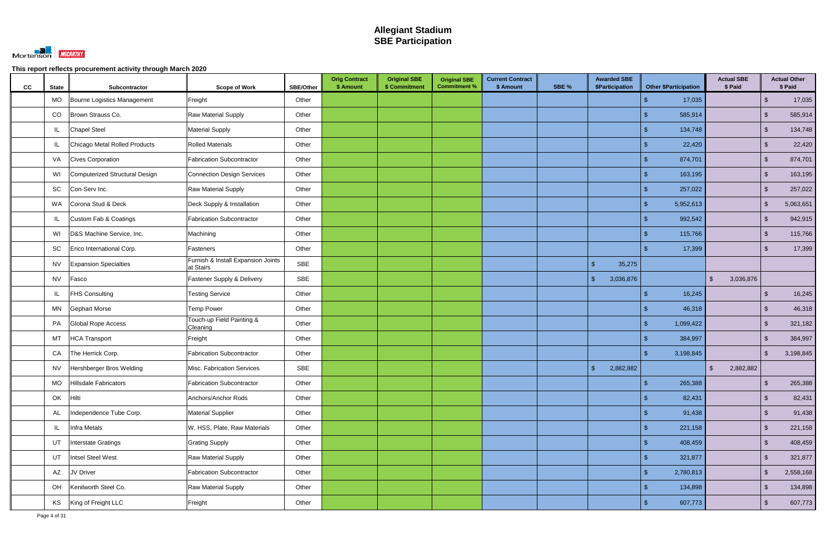

| cc | <b>State</b> | Subcontractor                  | <b>Scope of Work</b>                            | SBE/Other  | <b>Orig Contract</b><br>\$ Amount | <b>Original SBE</b><br>\$ Commitment | <b>Original SBE</b><br><b>Commitment %</b> | <b>Current Contract</b><br>\$ Amount | SBE % | <b>Awarded SBE</b><br>\$Participation | <b>Other \$Participation</b> | <b>Actual SBE</b><br>\$ Paid |                         | <b>Actual Other</b><br>\$ Paid |
|----|--------------|--------------------------------|-------------------------------------------------|------------|-----------------------------------|--------------------------------------|--------------------------------------------|--------------------------------------|-------|---------------------------------------|------------------------------|------------------------------|-------------------------|--------------------------------|
|    | <b>MO</b>    | Bourne Logistics Management    | Freight                                         | Other      |                                   |                                      |                                            |                                      |       |                                       | 17,035                       |                              | $\mathcal{S}$           | 17,035                         |
|    | CO           | Brown Strauss Co.              | Raw Material Supply                             | Other      |                                   |                                      |                                            |                                      |       |                                       | 585,914                      |                              | $\sqrt[6]{\frac{1}{2}}$ | 585,914                        |
|    | IL           | <b>Chapel Steel</b>            | <b>Material Supply</b>                          | Other      |                                   |                                      |                                            |                                      |       |                                       | 134,748                      |                              | $\sqrt{2}$              | 134,748                        |
|    | IL.          | Chicago Metal Rolled Products  | <b>Rolled Materials</b>                         | Other      |                                   |                                      |                                            |                                      |       |                                       | 22,420                       |                              | $\sqrt{2}$              | 22,420                         |
|    | VA           | <b>Cives Corporation</b>       | <b>Fabrication Subcontractor</b>                | Other      |                                   |                                      |                                            |                                      |       |                                       | 874,701                      |                              | $\sqrt{2}$              | 874,701                        |
|    | WI           | Computerized Structural Design | Connection Design Services                      | Other      |                                   |                                      |                                            |                                      |       |                                       | 163,195                      |                              | $\sqrt{2}$              | 163,195                        |
|    | SC           | Con-Serv Inc.                  | <b>Raw Material Supply</b>                      | Other      |                                   |                                      |                                            |                                      |       |                                       | 257,022                      |                              | $\sqrt{2}$              | 257,022                        |
|    | WA           | Corona Stud & Deck             | Deck Supply & Installation                      | Other      |                                   |                                      |                                            |                                      |       |                                       | 5,952,613                    |                              | $\sqrt[6]{\frac{1}{2}}$ | 5,063,651                      |
|    | IL           | Custom Fab & Coatings          | <b>Fabrication Subcontractor</b>                | Other      |                                   |                                      |                                            |                                      |       |                                       | 992,542                      |                              | $\sqrt{2}$              | 942,915                        |
|    | WI           | D&S Machine Service, Inc.      | Machining                                       | Other      |                                   |                                      |                                            |                                      |       |                                       | 115,766                      |                              | $\sqrt[6]{\frac{1}{2}}$ | 115,766                        |
|    | SC           | Erico International Corp.      | Fasteners                                       | Other      |                                   |                                      |                                            |                                      |       |                                       | 17,399                       |                              | $\mathfrak{L}$          | 17,399                         |
|    | <b>NV</b>    | <b>Expansion Specialties</b>   | Furnish & Install Expansion Joints<br>at Stairs | <b>SBE</b> |                                   |                                      |                                            |                                      |       | $\mathcal{S}$<br>35,275               |                              |                              |                         |                                |
|    | <b>NV</b>    | Fasco                          | Fastener Supply & Delivery                      | <b>SBE</b> |                                   |                                      |                                            |                                      |       | $\mathcal{S}$<br>3,036,876            |                              | 3,036,876<br>$\mathbb{S}$    |                         |                                |
|    | IL           | <b>FHS Consulting</b>          | <b>Testing Service</b>                          | Other      |                                   |                                      |                                            |                                      |       |                                       | 16,245                       |                              | $\sqrt{2}$              | 16,245                         |
|    | MN           | <b>Gephart Morse</b>           | <b>Temp Power</b>                               | Other      |                                   |                                      |                                            |                                      |       |                                       | 46,318                       |                              | $\sqrt[6]{2}$           | 46,318                         |
|    | PA           | <b>Global Rope Access</b>      | Touch-up Field Painting &<br>Cleaning           | Other      |                                   |                                      |                                            |                                      |       |                                       | 1,099,422                    |                              | $\sqrt{2}$              | 321,182                        |
|    | MT           | <b>HCA Transport</b>           | Freight                                         | Other      |                                   |                                      |                                            |                                      |       |                                       | 384,997                      |                              | $\mathcal{L}$           | 384,997                        |
|    | CA           | The Herrick Corp.              | <b>Fabrication Subcontractor</b>                | Other      |                                   |                                      |                                            |                                      |       |                                       | 3,198,845                    |                              | -\$                     | 3,198,845                      |
|    | <b>NV</b>    | Hershberger Bros Welding       | Misc. Fabrication Services                      | <b>SBE</b> |                                   |                                      |                                            |                                      |       | 2,882,882<br>$\mathcal{S}$            |                              | 2,882,882<br>\$              |                         |                                |
|    | MO           | Hillsdale Fabricators          | Fabrication Subcontractor                       | Other      |                                   |                                      |                                            |                                      |       |                                       | 265,388<br>\$                |                              | $\sqrt{2}$              | 265,388                        |
|    | OK           | Hilti                          | Anchors/Anchor Rods                             | Other      |                                   |                                      |                                            |                                      |       |                                       | 82,431<br>\$.                |                              | $\sqrt{2}$              | 82,431                         |
|    | AL           | Independence Tube Corp.        | <b>Material Supplier</b>                        | Other      |                                   |                                      |                                            |                                      |       |                                       | 91,438                       |                              | $\sqrt[6]{2}$           | 91,438                         |
|    | IL           | Infra Metals                   | W, HSS, Plate, Raw Materials                    | Other      |                                   |                                      |                                            |                                      |       |                                       | 221,158                      |                              | $\sqrt{2}$              | 221,158                        |
|    | UT           | Interstate Gratings            | <b>Grating Supply</b>                           | Other      |                                   |                                      |                                            |                                      |       |                                       | 408,459                      |                              | $\sqrt{2}$              | 408,459                        |
|    | UT           | Intsel Steel West              | <b>Raw Material Supply</b>                      | Other      |                                   |                                      |                                            |                                      |       |                                       | 321,877                      |                              | $\sqrt[6]{2}$           | 321,877                        |
|    | AZ           | JV Driver                      | <b>Fabrication Subcontractor</b>                | Other      |                                   |                                      |                                            |                                      |       |                                       | 2,780,813                    |                              | $\sqrt{2}$              | 2,558,168                      |
|    | OH           | Kenilworth Steel Co.           | <b>Raw Material Supply</b>                      | Other      |                                   |                                      |                                            |                                      |       |                                       | 134,898                      |                              | $\sqrt{2}$              | 134,898                        |
|    | KS           | King of Freight LLC            | Freight                                         | Other      |                                   |                                      |                                            |                                      |       |                                       | 607,773                      |                              | $\sqrt[6]{2}$           | 607,773                        |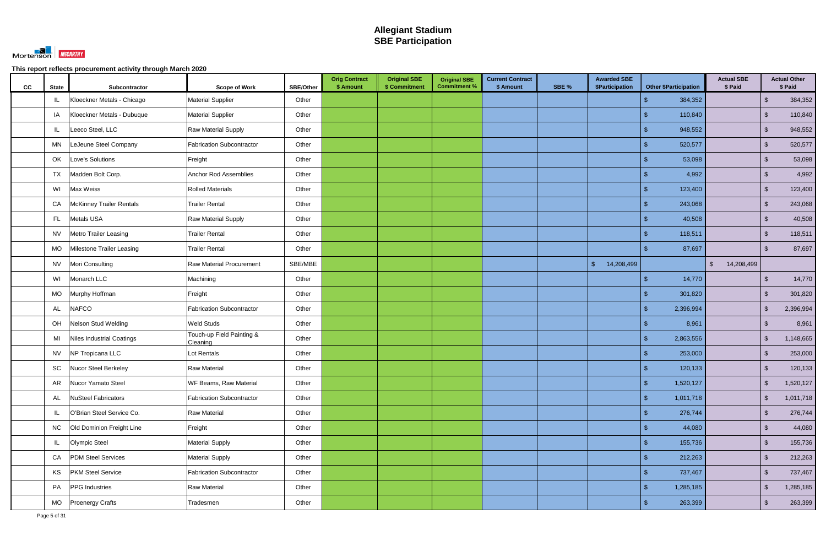

| CC | <b>State</b> | Subcontractor                    | <b>Scope of Work</b>                  | <b>SBE/Other</b> | <b>Orig Contract</b><br>\$ Amount | <b>Original SBE</b><br>\$ Commitment | <b>Original SBE</b><br><b>Commitment %</b> | <b>Current Contract</b><br>\$ Amount | SBE % | <b>Awarded SBE</b><br>\$Participation | <b>Other \$Participation</b> | <b>Actual SBE</b><br>\$ Paid |                         | <b>Actual Other</b><br>\$ Paid |
|----|--------------|----------------------------------|---------------------------------------|------------------|-----------------------------------|--------------------------------------|--------------------------------------------|--------------------------------------|-------|---------------------------------------|------------------------------|------------------------------|-------------------------|--------------------------------|
|    | IL           | Kloeckner Metals - Chicago       | <b>Material Supplier</b>              | Other            |                                   |                                      |                                            |                                      |       |                                       | 384,352                      |                              | $\sqrt{2}$              | 384,352                        |
|    | IA           | Kloeckner Metals - Dubuque       | <b>Material Supplier</b>              | Other            |                                   |                                      |                                            |                                      |       |                                       | 110,840                      |                              | $\sqrt{2}$              | 110,840                        |
|    | IL           | Leeco Steel, LLC                 | <b>Raw Material Supply</b>            | Other            |                                   |                                      |                                            |                                      |       |                                       | 948,552                      |                              | $\sqrt{2}$              | 948,552                        |
|    | MN           | LeJeune Steel Company            | <b>Fabrication Subcontractor</b>      | Other            |                                   |                                      |                                            |                                      |       |                                       | 520,577                      |                              | $\sqrt{2}$              | 520,577                        |
|    | OK           | Love's Solutions                 | Freight                               | Other            |                                   |                                      |                                            |                                      |       |                                       | 53,098                       |                              | $\mathbb{S}$            | 53,098                         |
|    | <b>TX</b>    | Madden Bolt Corp.                | Anchor Rod Assemblies                 | Other            |                                   |                                      |                                            |                                      |       |                                       | 4,992                        |                              | $\sqrt{2}$              | 4,992                          |
|    | WI           | Max Weiss                        | <b>Rolled Materials</b>               | Other            |                                   |                                      |                                            |                                      |       |                                       | 123,400<br>ß.                |                              | $\sqrt{2}$              | 123,400                        |
|    | CA           | <b>McKinney Trailer Rentals</b>  | <b>Trailer Rental</b>                 | Other            |                                   |                                      |                                            |                                      |       |                                       | 243,068                      |                              | $\sqrt{2}$              | 243,068                        |
|    | FL.          | Metals USA                       | <b>Raw Material Supply</b>            | Other            |                                   |                                      |                                            |                                      |       |                                       | 40,508                       |                              | $\sqrt{2}$              | 40,508                         |
|    | <b>NV</b>    | <b>Metro Trailer Leasing</b>     | <b>Trailer Rental</b>                 | Other            |                                   |                                      |                                            |                                      |       |                                       | 118,511                      |                              | $\sqrt{2}$              | 118,511                        |
|    | MO           | Milestone Trailer Leasing        | <b>Trailer Rental</b>                 | Other            |                                   |                                      |                                            |                                      |       |                                       | 87,697                       |                              | $\mathbf{s}$            | 87,697                         |
|    | <b>NV</b>    | Mori Consulting                  | <b>Raw Material Procurement</b>       | SBE/MBE          |                                   |                                      |                                            |                                      |       | $\sqrt[6]{\frac{1}{2}}$<br>14,208,499 |                              | $\mathfrak{S}$<br>14,208,499 |                         |                                |
|    | WI           | Monarch LLC                      | Machining                             | Other            |                                   |                                      |                                            |                                      |       |                                       | 14,770                       |                              | $\sqrt{2}$              | 14,770                         |
|    | MO           | Murphy Hoffman                   | Freight                               | Other            |                                   |                                      |                                            |                                      |       |                                       | 301,820                      |                              | $\mathbb{S}$            | 301,820                        |
|    | AL           | <b>NAFCO</b>                     | Fabrication Subcontractor             | Other            |                                   |                                      |                                            |                                      |       |                                       | 2,396,994<br>\$              |                              | $\sqrt[6]{\frac{1}{2}}$ | 2,396,994                      |
|    | OH           | Nelson Stud Welding              | <b>Weld Studs</b>                     | Other            |                                   |                                      |                                            |                                      |       |                                       | 8,961                        |                              | $\sqrt{2}$              | 8,961                          |
|    | MI           | <b>Niles Industrial Coatings</b> | Touch-up Field Painting &<br>Cleaning | Other            |                                   |                                      |                                            |                                      |       |                                       | 2,863,556                    |                              | $\mathcal{S}$           | 1,148,665                      |
|    | <b>NV</b>    | NP Tropicana LLC                 | Lot Rentals                           | Other            |                                   |                                      |                                            |                                      |       |                                       | 253,000                      |                              | $\mathbb{S}$            | 253,000                        |
|    | SC           | Nucor Steel Berkeley             | <b>Raw Material</b>                   | Other            |                                   |                                      |                                            |                                      |       |                                       | 120,133                      |                              | $\sqrt{2}$              | 120,133                        |
|    | AR           | Nucor Yamato Steel               | WF Beams, Raw Material                | Other            |                                   |                                      |                                            |                                      |       |                                       | \$<br>1,520,127              |                              | $\sqrt{2}$              | 1,520,127                      |
|    | AL           | <b>NuSteel Fabricators</b>       | Fabrication Subcontractor             | Other            |                                   |                                      |                                            |                                      |       |                                       | 1,011,718<br>\$.             |                              | $\sqrt{2}$              | 1,011,718                      |
|    | IL           | O'Brian Steel Service Co.        | Raw Material                          | Other            |                                   |                                      |                                            |                                      |       |                                       | 276,744                      |                              | $\sqrt[6]{2}$           | 276,744                        |
|    | <b>NC</b>    | Old Dominion Freight Line        | Freight                               | Other            |                                   |                                      |                                            |                                      |       |                                       | 44,080                       |                              | $\sqrt{2}$              | 44,080                         |
|    | IL           | <b>Olympic Steel</b>             | <b>Material Supply</b>                | Other            |                                   |                                      |                                            |                                      |       |                                       | 155,736                      |                              | $\sqrt{2}$              | 155,736                        |
|    | CA           | <b>PDM Steel Services</b>        | <b>Material Supply</b>                | Other            |                                   |                                      |                                            |                                      |       |                                       | 212,263<br>$\mathfrak{L}$    |                              | $\sqrt{2}$              | 212,263                        |
|    | KS           | <b>PKM Steel Service</b>         | Fabrication Subcontractor             | Other            |                                   |                                      |                                            |                                      |       |                                       | 737,467                      |                              | $\sqrt{2}$              | 737,467                        |
|    | PA           | PPG Industries                   | <b>Raw Material</b>                   | Other            |                                   |                                      |                                            |                                      |       |                                       | 1,285,185                    |                              | $\sqrt{2}$              | 1,285,185                      |
|    | MO           | <b>Proenergy Crafts</b>          | Tradesmen                             | Other            |                                   |                                      |                                            |                                      |       |                                       | 263,399<br>\$                |                              | $\sqrt{2}$              | 263,399                        |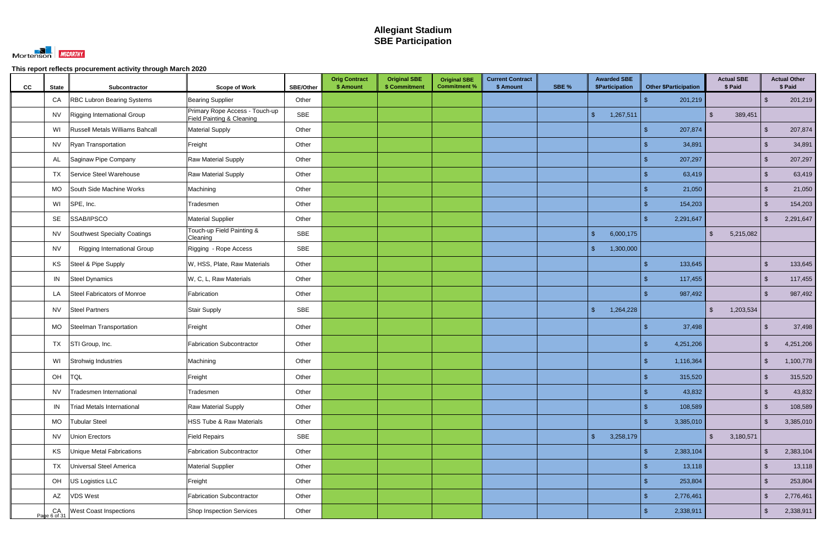

| cc | <b>State</b> | Subcontractor                      | <b>Scope of Work</b>                                        | <b>SBE/Other</b> | <b>Orig Contract</b><br>\$ Amount | <b>Original SBE</b><br>\$ Commitment | <b>Original SBE</b><br><b>Commitment %</b> | <b>Current Contract</b><br>\$ Amount | SBE % | <b>Awarded SBE</b><br>\$Participation | <b>Other \$Participation</b> | <b>Actual SBE</b><br>\$ Paid |         |                         | <b>Actual Other</b><br>\$ Paid |
|----|--------------|------------------------------------|-------------------------------------------------------------|------------------|-----------------------------------|--------------------------------------|--------------------------------------------|--------------------------------------|-------|---------------------------------------|------------------------------|------------------------------|---------|-------------------------|--------------------------------|
|    | CA           | <b>RBC Lubron Bearing Systems</b>  | <b>Bearing Supplier</b>                                     | Other            |                                   |                                      |                                            |                                      |       |                                       | 201,219                      |                              |         | $\mathfrak{L}$          | 201,219                        |
|    | <b>NV</b>    | Rigging International Group        | Primary Rope Access - Touch-up<br>Field Painting & Cleaning | <b>SBE</b>       |                                   |                                      |                                            |                                      |       | 1,267,511<br>$\mathbf{\$}$            |                              | $\mathbb{S}$                 | 389,451 |                         |                                |
|    | WI           | Russell Metals Williams Bahcall    | <b>Material Supply</b>                                      | Other            |                                   |                                      |                                            |                                      |       |                                       | 207,874                      |                              |         | $\mathcal{S}$           | 207,874                        |
|    | NV           | Ryan Transportation                | Freight                                                     | Other            |                                   |                                      |                                            |                                      |       |                                       | 34,891                       |                              |         | -\$                     | 34,891                         |
|    | AL           | Saginaw Pipe Company               | Raw Material Supply                                         | Other            |                                   |                                      |                                            |                                      |       |                                       | 207,297                      |                              |         | $\mathbb{S}$            | 207,297                        |
|    | TX           | Service Steel Warehouse            | Raw Material Supply                                         | Other            |                                   |                                      |                                            |                                      |       |                                       | 63,419                       |                              |         | $\sqrt{2}$              | 63,419                         |
|    | MO           | South Side Machine Works           | Machining                                                   | Other            |                                   |                                      |                                            |                                      |       |                                       | 21,050                       |                              |         | $\sqrt{2}$              | 21,050                         |
|    | WI           | SPE, Inc.                          | Tradesmen                                                   | Other            |                                   |                                      |                                            |                                      |       |                                       | 154,203                      |                              |         | $\sqrt[6]{\frac{1}{2}}$ | 154,203                        |
|    | SE           | SSAB/IPSCO                         | <b>Material Supplier</b>                                    | Other            |                                   |                                      |                                            |                                      |       |                                       | 2,291,647                    |                              |         | $\mathbb{S}$            | 2,291,647                      |
|    | <b>NV</b>    | Southwest Specialty Coatings       | Touch-up Field Painting &<br>Cleaning                       | <b>SBE</b>       |                                   |                                      |                                            |                                      |       | $\sqrt{2}$<br>6,000,175               |                              | $\mathfrak{L}$<br>5,215,082  |         |                         |                                |
|    | <b>NV</b>    | <b>Rigging International Group</b> | Rigging - Rope Access                                       | <b>SBE</b>       |                                   |                                      |                                            |                                      |       | 1,300,000<br>$\mathbf{\hat{s}}$       |                              |                              |         |                         |                                |
|    | KS           | Steel & Pipe Supply                | W, HSS, Plate, Raw Materials                                | Other            |                                   |                                      |                                            |                                      |       |                                       | 133,645                      |                              |         | $\mathfrak{s}$          | 133,645                        |
|    | IN           | <b>Steel Dynamics</b>              | W, C, L, Raw Materials                                      | Other            |                                   |                                      |                                            |                                      |       |                                       | 117,455                      |                              |         | $\sqrt{2}$              | 117,455                        |
|    | LA           | Steel Fabricators of Monroe        | Fabrication                                                 | Other            |                                   |                                      |                                            |                                      |       |                                       | 987,492                      |                              |         | $\mathbf{s}$            | 987,492                        |
|    | <b>NV</b>    | <b>Steel Partners</b>              | <b>Stair Supply</b>                                         | <b>SBE</b>       |                                   |                                      |                                            |                                      |       | 1,264,228<br>$\mathbb{S}$             |                              | 1,203,534<br>$\mathbb{S}$    |         |                         |                                |
|    | МO           | Steelman Transportation            | Freight                                                     | Other            |                                   |                                      |                                            |                                      |       |                                       | 37,498                       |                              |         | -\$                     | 37,498                         |
|    | TX           | STI Group, Inc.                    | <b>Fabrication Subcontractor</b>                            | Other            |                                   |                                      |                                            |                                      |       |                                       | 4,251,206                    |                              |         | ්                       | 4,251,206                      |
|    | WI           | Strohwig Industries                | Machining                                                   | Other            |                                   |                                      |                                            |                                      |       |                                       | 1,116,364                    |                              |         | $\mathfrak{L}$          | 1,100,778                      |
|    | OH TQL       |                                    | Freight                                                     | Other            |                                   |                                      |                                            |                                      |       |                                       | $\sqrt{2}$<br>315,520        |                              |         | $\sqrt{2}$              | 315,520                        |
|    | <b>NV</b>    | Tradesmen International            | Tradesmen                                                   | Other            |                                   |                                      |                                            |                                      |       |                                       | 43,832<br>\$                 |                              |         | $\sqrt{2}$              | 43,832                         |
|    | IN           | Triad Metals International         | Raw Material Supply                                         | Other            |                                   |                                      |                                            |                                      |       |                                       | 108,589                      |                              |         | $\sqrt{2}$              | 108,589                        |
|    | <b>MO</b>    | <b>Tubular Steel</b>               | HSS Tube & Raw Materials                                    | Other            |                                   |                                      |                                            |                                      |       |                                       | 3,385,010<br>\$              |                              |         | $\sqrt{2}$              | 3,385,010                      |
|    | <b>NV</b>    | Union Erectors                     | <b>Field Repairs</b>                                        | SBE              |                                   |                                      |                                            |                                      |       | $\sqrt{2}$<br>3,258,179               |                              | $\frac{1}{2}$<br>3,180,571   |         |                         |                                |
|    | KS           | Unique Metal Fabrications          | <b>Fabrication Subcontractor</b>                            | Other            |                                   |                                      |                                            |                                      |       |                                       | 2,383,104<br>\$              |                              |         | $\mathbb{S}$            | 2,383,104                      |
|    | <b>TX</b>    | Universal Steel America            | <b>Material Supplier</b>                                    | Other            |                                   |                                      |                                            |                                      |       |                                       | 13,118                       |                              |         | $\sqrt[6]{3}$           | 13,118                         |
|    | OH           | US Logistics LLC                   | Freight                                                     | Other            |                                   |                                      |                                            |                                      |       |                                       | 253,804                      |                              |         | $\sqrt{2}$              | 253,804                        |
|    | AZ           | <b>VDS West</b>                    | <b>Fabrication Subcontractor</b>                            | Other            |                                   |                                      |                                            |                                      |       |                                       | 2,776,461                    |                              |         | $\mathbb{S}$            | 2,776,461                      |
|    | Page 6 of 31 | <b>West Coast Inspections</b>      | Shop Inspection Services                                    | Other            |                                   |                                      |                                            |                                      |       |                                       | 2,338,911                    |                              |         | $\sqrt[6]{\frac{1}{2}}$ | 2,338,911                      |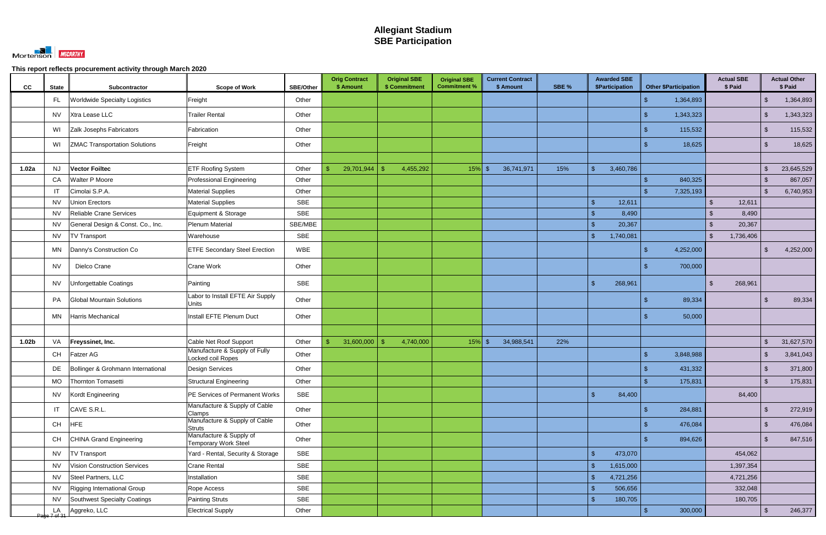

| CC                | <b>State</b> | Subcontractor                        | <b>Scope of Work</b>                                   | <b>SBE/Other</b> | <b>Orig Contract</b><br>\$ Amount | <b>Original SBE</b><br>\$ Commitment | <b>Original SBE</b><br><b>Commitment %</b> | <b>Current Contract</b><br>\$ Amount | SBE % | <b>Awarded SBE</b><br>\$Participation | <b>Other \$Participation</b> | <b>Actual SBE</b><br>\$ Paid |                         | <b>Actual Other</b><br>\$ Paid |
|-------------------|--------------|--------------------------------------|--------------------------------------------------------|------------------|-----------------------------------|--------------------------------------|--------------------------------------------|--------------------------------------|-------|---------------------------------------|------------------------------|------------------------------|-------------------------|--------------------------------|
|                   | FL.          | <b>Worldwide Specialty Logistics</b> | Freight                                                | Other            |                                   |                                      |                                            |                                      |       |                                       | 1,364,893                    |                              | $\mathcal{S}$           | 1,364,893                      |
|                   | <b>NV</b>    | Xtra Lease LLC                       | <b>Trailer Rental</b>                                  | Other            |                                   |                                      |                                            |                                      |       |                                       | 1,343,323                    |                              | $\mathcal{S}$           | 1,343,323                      |
|                   | WI           | Zalk Josephs Fabricators             | Fabrication                                            | Other            |                                   |                                      |                                            |                                      |       |                                       | 115,532                      |                              | $\mathcal{S}$           | 115,532                        |
|                   | WI           | <b>ZMAC Transportation Solutions</b> | Freight                                                | Other            |                                   |                                      |                                            |                                      |       |                                       | 18,625                       |                              | $\mathcal{S}$           | 18,625                         |
|                   |              |                                      |                                                        |                  |                                   |                                      |                                            |                                      |       |                                       |                              |                              |                         |                                |
| 1.02a             | <b>NJ</b>    | <b>Vector Foiltec</b>                | <b>ETF Roofing System</b>                              | Other            | 29,701,944<br>ß.                  | 4,455,292                            | $15%$ \$                                   | 36,741,971                           | 15%   | 3,460,786<br>$\mathbf{\hat{s}}$       |                              |                              | $\mathcal{L}$           | 23,645,529                     |
|                   | CA           | <b>Walter P Moore</b>                | <b>Professional Engineering</b>                        | Other            |                                   |                                      |                                            |                                      |       |                                       | 840,325                      |                              | $\mathcal{S}$           | 867,057                        |
|                   | IT           | Cimolai S.P.A.                       | <b>Material Supplies</b>                               | Other            |                                   |                                      |                                            |                                      |       |                                       | 7,325,193                    |                              | \$                      | 6,740,953                      |
|                   | <b>NV</b>    | <b>Union Erectors</b>                | <b>Material Supplies</b>                               | <b>SBE</b>       |                                   |                                      |                                            |                                      |       | 12,611<br>$\mathbf{\hat{f}}$          |                              | 12,611<br>$\mathfrak{L}$     |                         |                                |
|                   | <b>NV</b>    | Reliable Crane Services              | Equipment & Storage                                    | <b>SBE</b>       |                                   |                                      |                                            |                                      |       | 8,490<br>$\mathfrak{L}$               |                              | 8,490<br>$\mathfrak{L}$      |                         |                                |
|                   | <b>NV</b>    | General Design & Const. Co., Inc.    | Plenum Material                                        | SBE/MBE          |                                   |                                      |                                            |                                      |       | 20,367<br>$\mathcal{R}$               |                              | 20,367<br>$\mathcal{L}$      |                         |                                |
|                   | <b>NV</b>    | <b>TV Transport</b>                  | Warehouse                                              | <b>SBE</b>       |                                   |                                      |                                            |                                      |       | 1,740,081<br>-\$                      |                              | $\mathbb{S}$<br>1,736,406    |                         |                                |
|                   | MN           | Danny's Construction Co              | <b>ETFE Secondary Steel Erection</b>                   | <b>WBE</b>       |                                   |                                      |                                            |                                      |       |                                       | 4,252,000                    |                              | $\mathcal{S}$           | 4,252,000                      |
|                   | <b>NV</b>    | Dielco Crane                         | <b>Crane Work</b>                                      | Other            |                                   |                                      |                                            |                                      |       |                                       | 700,000                      |                              |                         |                                |
|                   | <b>NV</b>    | Unforgettable Coatings               | Painting                                               | <b>SBE</b>       |                                   |                                      |                                            |                                      |       | $\mathfrak{L}$<br>268,961             |                              | 268,961<br>$\mathbb{S}$      |                         |                                |
|                   | PA           | <b>Global Mountain Solutions</b>     | Labor to Install EFTE Air Supply<br><b>Units</b>       | Other            |                                   |                                      |                                            |                                      |       |                                       | 89,334                       |                              | \$                      | 89,334                         |
|                   | MN           | Harris Mechanical                    | Install EFTE Plenum Duct                               | Other            |                                   |                                      |                                            |                                      |       |                                       | 50,000                       |                              |                         |                                |
|                   |              |                                      |                                                        |                  |                                   |                                      |                                            |                                      |       |                                       |                              |                              |                         |                                |
| 1.02 <sub>b</sub> | VA           | Freyssinet, Inc.                     | Cable Net Roof Support                                 | Other            | 31,600,000<br>\$                  | 4,740,000                            | $15%$ \$                                   | 34,988,541                           | 22%   |                                       |                              |                              | $\mathcal{S}$           | 31,627,570                     |
|                   | CH           | Fatzer AG                            | Manufacture & Supply of Fully<br>Locked coil Ropes     | Other            |                                   |                                      |                                            |                                      |       |                                       | 3,848,988                    |                              | \$                      | 3,841,043                      |
|                   | DE           | Bollinger & Grohmann International   | <b>Design Services</b>                                 | Other            |                                   |                                      |                                            |                                      |       |                                       | 431,332                      |                              |                         | 371,800                        |
|                   | MO           | Thornton Tomasetti                   | Structural Engineering                                 | Other            |                                   |                                      |                                            |                                      |       |                                       | 175,831<br>\$                |                              | ්                       | 175,831                        |
|                   | <b>NV</b>    | Kordt Engineering                    | PE Services of Permanent Works                         | SBE              |                                   |                                      |                                            |                                      |       | $\sqrt{2}$<br>84,400                  |                              | 84,400                       |                         |                                |
|                   | IT           | CAVE S.R.L.                          | Manufacture & Supply of Cable<br>Clamps                | Other            |                                   |                                      |                                            |                                      |       |                                       | 284,881                      |                              | $\mathcal{L}$           | 272,919                        |
|                   | <b>CH</b>    | <b>HFE</b>                           | Manufacture & Supply of Cable<br><b>Struts</b>         | Other            |                                   |                                      |                                            |                                      |       |                                       | 476,084                      |                              | $\sqrt[6]{\frac{1}{2}}$ | 476,084                        |
|                   | CH           | <b>CHINA Grand Engineering</b>       | Manufacture & Supply of<br><b>Temporary Work Steel</b> | Other            |                                   |                                      |                                            |                                      |       |                                       | 894,626                      |                              | $\mathfrak{L}$          | 847,516                        |
|                   | <b>NV</b>    | <b>TV Transport</b>                  | Yard - Rental, Security & Storage                      | <b>SBE</b>       |                                   |                                      |                                            |                                      |       | $\sqrt{2}$<br>473,070                 |                              | 454,062                      |                         |                                |
|                   | <b>NV</b>    | <b>Vision Construction Services</b>  | <b>Crane Rental</b>                                    | <b>SBE</b>       |                                   |                                      |                                            |                                      |       | 1,615,000<br>$\mathfrak{L}$           |                              | 1,397,354                    |                         |                                |
|                   | <b>NV</b>    | Steel Partners, LLC                  | Installation                                           | <b>SBE</b>       |                                   |                                      |                                            |                                      |       | 4,721,256<br>$\mathfrak{s}$           |                              | 4,721,256                    |                         |                                |
|                   | <b>NV</b>    | Rigging International Group          | Rope Access                                            | SBE              |                                   |                                      |                                            |                                      |       | 506,656<br>$\mathfrak{L}$             |                              | 332,048                      |                         |                                |
|                   | <b>NV</b>    | Southwest Specialty Coatings         | Painting Struts                                        | <b>SBE</b>       |                                   |                                      |                                            |                                      |       | 180,705<br>$\mathcal{S}$              |                              | 180,705                      |                         |                                |
|                   |              | LA Aggreko, LLC                      | <b>Electrical Supply</b>                               | Other            |                                   |                                      |                                            |                                      |       |                                       | $\mathbf{\$}$<br>300,000     |                              | $\mathcal{S}$           | 246,377                        |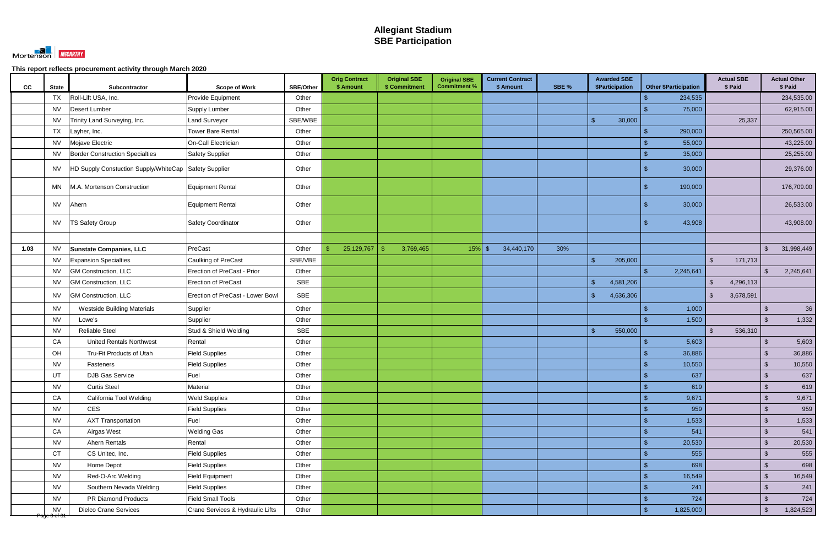

| cc           | <b>State</b><br>Subcontractor                       | <b>Scope of Work</b>             | <b>SBE/Other</b> | <b>Orig Contract</b><br>\$ Amount | <b>Original SBE</b><br>\$ Commitment | <b>Original SBE</b><br><b>Commitment %</b> | <b>Current Contract</b><br>\$ Amount | SBE % | <b>Awarded SBE</b><br>\$Participation | <b>Other \$Participation</b> | <b>Actual SBE</b><br>\$ Paid | <b>Actual Other</b><br>\$ Paid |
|--------------|-----------------------------------------------------|----------------------------------|------------------|-----------------------------------|--------------------------------------|--------------------------------------------|--------------------------------------|-------|---------------------------------------|------------------------------|------------------------------|--------------------------------|
|              | Roll-Lift USA, Inc.<br><b>TX</b>                    | Provide Equipment                | Other            |                                   |                                      |                                            |                                      |       |                                       | 234,535                      |                              | 234,535.00                     |
|              | Desert Lumber<br><b>NV</b>                          | Supply Lumber                    | Other            |                                   |                                      |                                            |                                      |       |                                       | 75,000                       |                              | 62,915.00                      |
|              | Trinity Land Surveying, Inc.<br><b>NV</b>           | Land Surveyor                    | SBE/WBE          |                                   |                                      |                                            |                                      |       | $\mathcal{S}$<br>30,000               |                              | 25,337                       |                                |
|              | <b>TX</b><br>Layher, Inc.                           | <b>Tower Bare Rental</b>         | Other            |                                   |                                      |                                            |                                      |       |                                       | 290,000                      |                              | 250,565.00                     |
|              | Mojave Electric<br><b>NV</b>                        | On-Call Electrician              | Other            |                                   |                                      |                                            |                                      |       |                                       | 55,000                       |                              | 43,225.00                      |
|              | <b>Border Construction Specialties</b><br><b>NV</b> | Safety Supplier                  | Other            |                                   |                                      |                                            |                                      |       |                                       | 35,000                       |                              | 25,255.00                      |
|              | HD Supply Constuction Supply/WhiteCap<br>NV.        | Safety Supplier                  | Other            |                                   |                                      |                                            |                                      |       |                                       | 30,000                       |                              | 29,376.00                      |
|              | M.A. Mortenson Construction<br>MN                   | <b>Equipment Rental</b>          | Other            |                                   |                                      |                                            |                                      |       |                                       | 190,000                      |                              | 176,709.00                     |
|              | <b>NV</b><br>Ahern                                  | <b>Equipment Rental</b>          | Other            |                                   |                                      |                                            |                                      |       |                                       | 30,000                       |                              | 26,533.00                      |
|              | <b>NV</b><br><b>TS Safety Group</b>                 | <b>Safety Coordinator</b>        | Other            |                                   |                                      |                                            |                                      |       |                                       | 43,908                       |                              | 43,908.00                      |
|              |                                                     |                                  |                  |                                   |                                      |                                            |                                      |       |                                       |                              |                              |                                |
| 1.03         | <b>NV</b><br><b>Sunstate Companies, LLC</b>         | PreCast                          | Other            | 25,129,767                        | 3,769,465<br>- \$                    | $15%$ \$                                   | 34,440,170                           | 30%   |                                       |                              |                              | 31,998,449<br>$\mathfrak{S}$   |
|              | <b>NV</b><br><b>Expansion Specialties</b>           | Caulking of PreCast              | SBE/VBE          |                                   |                                      |                                            |                                      |       | 205,000<br>$\mathfrak{L}$             |                              | $\mathfrak{S}$<br>171,713    |                                |
|              | <b>GM Construction, LLC</b><br><b>NV</b>            | Erection of PreCast - Prior      | Other            |                                   |                                      |                                            |                                      |       |                                       | 2,245,641                    |                              | 2,245,641<br>$\mathcal{S}$     |
|              | <b>NV</b><br><b>GM Construction, LLC</b>            | <b>Erection of PreCast</b>       | <b>SBE</b>       |                                   |                                      |                                            |                                      |       | 4,581,206<br>$\mathbf{\hat{f}}$       |                              | 4,296,113<br>$\mathcal{S}$   |                                |
|              | <b>GM Construction, LLC</b><br>NV.                  | Erection of PreCast - Lower Bowl | <b>SBE</b>       |                                   |                                      |                                            |                                      |       | $\sqrt{2}$<br>4,636,306               |                              | $\mathfrak{S}$<br>3,678,591  |                                |
|              | <b>NV</b><br><b>Westside Building Materials</b>     | Supplier                         | Other            |                                   |                                      |                                            |                                      |       |                                       | 1,000                        |                              | 36<br>$\sqrt{2}$               |
|              | <b>NV</b><br>Lowe's                                 | Supplier                         | Other            |                                   |                                      |                                            |                                      |       |                                       | 1,500                        |                              | $\mathcal{S}$<br>1,332         |
|              | <b>NV</b><br><b>Reliable Steel</b>                  | Stud & Shield Welding            | <b>SBE</b>       |                                   |                                      |                                            |                                      |       | $\mathbf{\hat{S}}$<br>550,000         |                              | 536,310<br>$\mathcal{S}$     |                                |
|              | <b>United Rentals Northwest</b><br>CA               | Rental                           | Other            |                                   |                                      |                                            |                                      |       |                                       | 5,603                        |                              | 5,603<br>\$                    |
|              | OH<br>Tru-Fit Products of Utah                      | <b>Field Supplies</b>            | Other            |                                   |                                      |                                            |                                      |       |                                       | 36,886                       |                              | 36,886<br>$\sqrt[6]{3}$        |
|              | <b>NV</b><br>Fasteners                              | <b>Field Supplies</b>            | Other            |                                   |                                      |                                            |                                      |       |                                       | 10,550                       |                              | 10,550<br>\$                   |
|              | UT<br>DJB Gas Service                               | Fuel                             | Other            |                                   |                                      |                                            |                                      |       |                                       | 637<br>¢                     |                              | $\sqrt[6]{\frac{1}{2}}$<br>637 |
|              | <b>NV</b><br><b>Curtis Steel</b>                    | Material                         | Other            |                                   |                                      |                                            |                                      |       |                                       | 619                          |                              | $\sqrt{3}$<br>619              |
|              | CA<br>California Tool Welding                       | <b>Weld Supplies</b>             | Other            |                                   |                                      |                                            |                                      |       |                                       | 9,671                        |                              | $\sqrt[3]{2}$<br>9,671         |
|              | <b>NV</b><br>CES                                    | <b>Field Supplies</b>            | Other            |                                   |                                      |                                            |                                      |       |                                       | 959                          |                              | 959<br>$\sqrt{2}$              |
|              | <b>NV</b><br><b>AXT Transportation</b>              | Fuel                             | Other            |                                   |                                      |                                            |                                      |       |                                       | 1,533                        |                              | $\sqrt[3]{2}$<br>1,533         |
|              | CA<br>Airgas West                                   | <b>Welding Gas</b>               | Other            |                                   |                                      |                                            |                                      |       |                                       | 541                          |                              | 541<br>$\sqrt[6]{3}$           |
|              | <b>NV</b><br>Ahern Rentals                          | Rental                           | Other            |                                   |                                      |                                            |                                      |       |                                       | 20,530                       |                              | $\sqrt[3]{2}$<br>20,530        |
|              | CT<br>CS Unitec, Inc.                               | <b>Field Supplies</b>            | Other            |                                   |                                      |                                            |                                      |       |                                       | 555                          |                              | 555<br>$\sqrt[6]{\frac{1}{2}}$ |
|              | <b>NV</b><br>Home Depot                             | <b>Field Supplies</b>            | Other            |                                   |                                      |                                            |                                      |       |                                       | 698                          |                              | $\sqrt[3]{2}$<br>698           |
|              | <b>NV</b><br>Red-O-Arc Welding                      | <b>Field Equipment</b>           | Other            |                                   |                                      |                                            |                                      |       |                                       | 16,549                       |                              | $\sqrt[6]{3}$<br>16,549        |
|              | <b>NV</b><br>Southern Nevada Welding                | <b>Field Supplies</b>            | Other            |                                   |                                      |                                            |                                      |       |                                       | 241                          |                              | $\sqrt[3]{2}$<br>241           |
|              | <b>NV</b><br>PR Diamond Products                    | <b>Field Small Tools</b>         | Other            |                                   |                                      |                                            |                                      |       |                                       | 724                          |                              | $\mathcal{S}$<br>724           |
| Page 8 of 31 | <b>Dielco Crane Services</b><br><b>NV</b>           | Crane Services & Hydraulic Lifts | Other            |                                   |                                      |                                            |                                      |       |                                       | 1,825,000<br>\$.             |                              | 1,824,523<br>$\sqrt[6]{3}$     |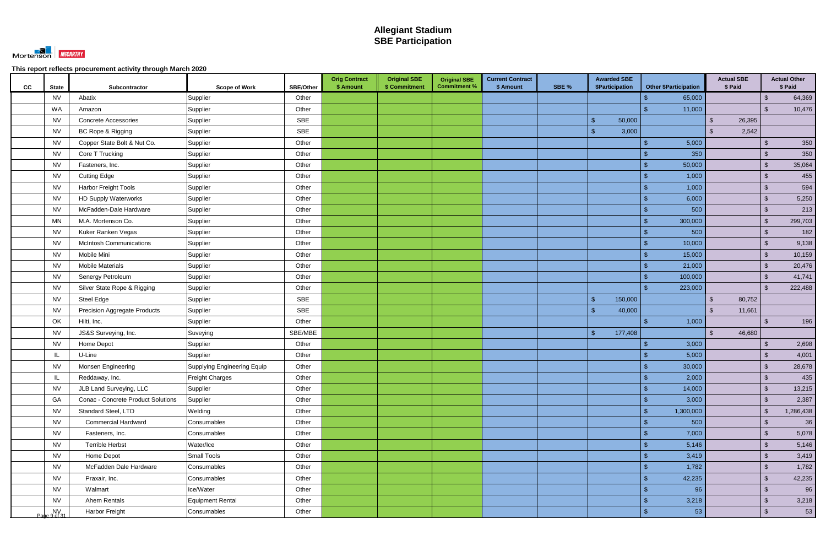

| CC<br><b>State</b>                                                 | Subcontractor                       | <b>Scope of Work</b>               | <b>SBE/Other</b> | <b>Orig Contract</b><br>\$ Amount | <b>Original SBE</b><br>\$ Commitment | <b>Original SBE</b><br><b>Commitment %</b> | <b>Current Contract</b><br>\$ Amount | SBE % | <b>Awarded SBE</b><br>\$Participation | <b>Other \$Participation</b> | <b>Actual SBE</b><br>\$ Paid | <b>Actual Other</b><br>\$ Paid    |
|--------------------------------------------------------------------|-------------------------------------|------------------------------------|------------------|-----------------------------------|--------------------------------------|--------------------------------------------|--------------------------------------|-------|---------------------------------------|------------------------------|------------------------------|-----------------------------------|
| <b>NV</b>                                                          | Abatix                              | Supplier                           | Other            |                                   |                                      |                                            |                                      |       |                                       | 65,000                       |                              | 64,369<br>$\sqrt[3]{2}$           |
| WA                                                                 | Amazon                              | Supplier                           | Other            |                                   |                                      |                                            |                                      |       |                                       | 11,000                       |                              | 10,476<br>$\mathcal{S}$           |
| <b>NV</b>                                                          | <b>Concrete Accessories</b>         | Supplier                           | SBE              |                                   |                                      |                                            |                                      |       | $\mathbf{\hat{s}}$<br>50,000          |                              | $\mathfrak{L}$<br>26,395     |                                   |
| <b>NV</b>                                                          | BC Rope & Rigging                   | Supplier                           | <b>SBE</b>       |                                   |                                      |                                            |                                      |       | 3,000<br>-\$                          |                              | 2,542<br>$\mathfrak{L}$      |                                   |
| <b>NV</b>                                                          | Copper State Bolt & Nut Co.         | Supplier                           | Other            |                                   |                                      |                                            |                                      |       |                                       | 5,000                        |                              | 350<br>$\mathcal{S}$              |
| <b>NV</b>                                                          | Core T Trucking                     | Supplier                           | Other            |                                   |                                      |                                            |                                      |       |                                       | 350                          |                              | 350<br>\$                         |
| <b>NV</b>                                                          | Fasteners, Inc.                     | Supplier                           | Other            |                                   |                                      |                                            |                                      |       |                                       | 50,000                       |                              | $\sqrt[6]{3}$<br>35,064           |
| <b>NV</b>                                                          | <b>Cutting Edge</b>                 | Supplier                           | Other            |                                   |                                      |                                            |                                      |       |                                       | 1,000                        |                              | 455<br>$\mathcal{L}$              |
| <b>NV</b>                                                          | <b>Harbor Freight Tools</b>         | Supplier                           | Other            |                                   |                                      |                                            |                                      |       |                                       | 1,000                        |                              | 594<br>$\sqrt[3]{2}$              |
| <b>NV</b>                                                          | <b>HD Supply Waterworks</b>         | Supplier                           | Other            |                                   |                                      |                                            |                                      |       |                                       | 6,000                        |                              | 5,250<br>$\mathcal{S}$            |
| <b>NV</b>                                                          | McFadden-Dale Hardware              | Supplier                           | Other            |                                   |                                      |                                            |                                      |       |                                       | 500                          |                              | 213<br>$\mathcal{L}$              |
| MN                                                                 | M.A. Mortenson Co.                  | Supplier                           | Other            |                                   |                                      |                                            |                                      |       |                                       | 300,000                      |                              | 299,703<br>$\sqrt[3]{2}$          |
| <b>NV</b>                                                          | Kuker Ranken Vegas                  | Supplier                           | Other            |                                   |                                      |                                            |                                      |       |                                       | 500                          |                              | 182<br>$\sqrt[3]{2}$              |
| <b>NV</b>                                                          | <b>McIntosh Communications</b>      | Supplier                           | Other            |                                   |                                      |                                            |                                      |       |                                       | 10,000                       |                              | 9,138<br>$\sqrt{2}$               |
| <b>NV</b>                                                          | Mobile Mini                         | Supplier                           | Other            |                                   |                                      |                                            |                                      |       |                                       | 15,000                       |                              | 10,159<br>$\sqrt{2}$              |
| <b>NV</b>                                                          | <b>Mobile Materials</b>             | Supplier                           | Other            |                                   |                                      |                                            |                                      |       |                                       | 21,000                       |                              | 20,476<br>$\sqrt{2}$              |
| <b>NV</b>                                                          | Senergy Petroleum                   | Supplier                           | Other            |                                   |                                      |                                            |                                      |       |                                       | 100,000                      |                              | $\sqrt{3}$<br>41,741              |
| <b>NV</b>                                                          | Silver State Rope & Rigging         | Supplier                           | Other            |                                   |                                      |                                            |                                      |       |                                       | 223,000                      |                              | $\mathcal{S}$<br>222,488          |
| <b>NV</b>                                                          | Steel Edge                          | Supplier                           | <b>SBE</b>       |                                   |                                      |                                            |                                      |       | 150,000<br>\$                         |                              | 80,752<br><sup>\$</sup>      |                                   |
| <b>NV</b>                                                          | <b>Precision Aggregate Products</b> | Supplier                           | SBE              |                                   |                                      |                                            |                                      |       | $\mathcal{S}$<br>40,000               |                              | $\mathcal{S}$<br>11,661      |                                   |
| OK                                                                 | Hilti, Inc.                         | Supplier                           | Other            |                                   |                                      |                                            |                                      |       |                                       | 1,000                        |                              | 196<br>$\mathcal{S}$              |
| <b>NV</b>                                                          | JS&S Surveying, Inc.                | Suveying                           | SBE/MBE          |                                   |                                      |                                            |                                      |       | $\mathbb{S}$<br>177,408               |                              | $\mathcal{S}$<br>46,680      |                                   |
| <b>NV</b>                                                          | Home Depot                          | Supplier                           | Other            |                                   |                                      |                                            |                                      |       |                                       | 3,000                        |                              | 2,698<br>$\sqrt[6]{3}$            |
| IL                                                                 | U-Line                              | Supplier                           | Other            |                                   |                                      |                                            |                                      |       |                                       | 5,000                        |                              | 4,001<br>$\sqrt[6]{3}$            |
| <b>NV</b>                                                          | Monsen Engineering                  | <b>Supplying Engineering Equip</b> | Other            |                                   |                                      |                                            |                                      |       |                                       | 30,000                       |                              | 28,678<br>$\mathcal{L}$           |
| $\ensuremath{\mathsf{IL}}\xspace$                                  | Reddaway, Inc.                      | Freight Charges                    | Other            |                                   |                                      |                                            |                                      |       |                                       | 2,000<br>- \$                |                              | 435<br>$\sqrt[6]{3}$              |
| <b>NV</b>                                                          | JLB Land Surveying, LLC             | Supplier                           | Other            |                                   |                                      |                                            |                                      |       |                                       | 14,000<br>\$.                |                              | $\sqrt[6]{3}$<br>13,215           |
| GA                                                                 | Conac - Concrete Product Solutions  | Supplier                           | Other            |                                   |                                      |                                            |                                      |       |                                       | 3,000                        |                              | $\sqrt{2}$<br>2,387               |
| <b>NV</b>                                                          | Standard Steel, LTD                 | Welding                            | Other            |                                   |                                      |                                            |                                      |       |                                       | 1,300,000<br>\$              |                              | 1,286,438<br>$\sqrt{2}$           |
| <b>NV</b>                                                          | <b>Commercial Hardward</b>          | Consumables                        | Other            |                                   |                                      |                                            |                                      |       |                                       | 500                          |                              | $\sqrt[3]{2}$<br>36               |
| <b>NV</b>                                                          | Fasteners, Inc.                     | Consumables                        | Other            |                                   |                                      |                                            |                                      |       |                                       | 7,000                        |                              | $\sqrt[6]{\frac{1}{2}}$<br>5,078  |
| <b>NV</b>                                                          | <b>Terrible Herbst</b>              | Water/Ice                          | Other            |                                   |                                      |                                            |                                      |       |                                       | 5,146                        |                              | $\sqrt[3]{2}$<br>5,146            |
| <b>NV</b>                                                          | Home Depot                          | Small Tools                        | Other            |                                   |                                      |                                            |                                      |       |                                       | 3,419                        |                              | $\sqrt{2}$<br>3,419               |
| <b>NV</b>                                                          | McFadden Dale Hardware              | Consumables                        | Other            |                                   |                                      |                                            |                                      |       |                                       | 1,782                        |                              | $\sqrt{2}$<br>1,782               |
| <b>NV</b>                                                          | Praxair, Inc.                       | Consumables                        | Other            |                                   |                                      |                                            |                                      |       |                                       | 42,235                       |                              | $\sqrt[6]{\frac{1}{2}}$<br>42,235 |
| <b>NV</b>                                                          | Walmart                             | Ice/Water                          | Other            |                                   |                                      |                                            |                                      |       |                                       | 96                           |                              | 96<br>$\sqrt[3]{2}$               |
| <b>NV</b>                                                          | Ahern Rentals                       | <b>Equipment Rental</b>            | Other            |                                   |                                      |                                            |                                      |       |                                       | 3,218                        |                              | $\sqrt{2}$<br>3,218               |
| $\begin{array}{c} \n\text{NV} \\ \text{Page 9 of 31}\n\end{array}$ | <b>Harbor Freight</b>               | Consumables                        | Other            |                                   |                                      |                                            |                                      |       |                                       | 53                           |                              | 53<br>$\sqrt[3]{2}$               |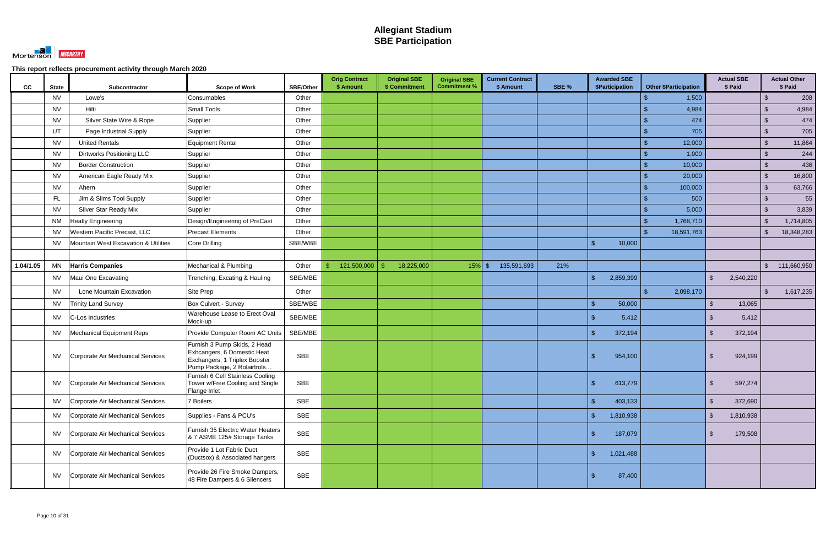

| <b>CC</b> | <b>State</b> | Subcontractor                        | <b>Scope of Work</b>                                                                                                        | <b>SBE/Other</b> | <b>Orig Contract</b><br>\$ Amount | <b>Original SBE</b><br>\$ Commitment | <b>Original SBE</b><br><b>Commitment %</b> | <b>Current Contract</b><br>\$ Amount | SBE % | <b>Awarded SBE</b><br>\$Participation | <b>Other \$Participation</b> | <b>Actual SBE</b><br>\$ Paid |               | <b>Actual Other</b><br>\$ Paid |
|-----------|--------------|--------------------------------------|-----------------------------------------------------------------------------------------------------------------------------|------------------|-----------------------------------|--------------------------------------|--------------------------------------------|--------------------------------------|-------|---------------------------------------|------------------------------|------------------------------|---------------|--------------------------------|
|           | <b>NV</b>    | Lowe's                               | Consumables                                                                                                                 | Other            |                                   |                                      |                                            |                                      |       |                                       | 1,500                        |                              | $\sqrt[6]{3}$ | 208                            |
|           | <b>NV</b>    | Hilti                                | <b>Small Tools</b>                                                                                                          | Other            |                                   |                                      |                                            |                                      |       |                                       | 4,984                        |                              | ්             | 4,984                          |
|           | <b>NV</b>    | Silver State Wire & Rope             | Supplier                                                                                                                    | Other            |                                   |                                      |                                            |                                      |       |                                       | 474                          |                              | $\sqrt{2}$    | 474                            |
|           | UT           | Page Industrial Supply               | Supplier                                                                                                                    | Other            |                                   |                                      |                                            |                                      |       |                                       | 705                          |                              | $\sqrt{3}$    | 705                            |
|           | <b>NV</b>    | <b>United Rentals</b>                | <b>Equipment Rental</b>                                                                                                     | Other            |                                   |                                      |                                            |                                      |       |                                       | 12,000                       |                              | $\sqrt[3]{2}$ | 11,864                         |
|           | <b>NV</b>    | <b>Dirtworks Positioning LLC</b>     | Supplier                                                                                                                    | Other            |                                   |                                      |                                            |                                      |       |                                       | 1,000                        |                              | $\mathcal{S}$ | 244                            |
|           | <b>NV</b>    | <b>Border Construction</b>           | Supplier                                                                                                                    | Other            |                                   |                                      |                                            |                                      |       |                                       | 10,000                       |                              | $\sqrt{2}$    | 436                            |
|           | <b>NV</b>    | American Eagle Ready Mix             | Supplier                                                                                                                    | Other            |                                   |                                      |                                            |                                      |       |                                       | 20,000                       |                              | $\sqrt{3}$    | 16,800                         |
|           | <b>NV</b>    | Ahern                                | Supplier                                                                                                                    | Other            |                                   |                                      |                                            |                                      |       |                                       | 100,000                      |                              | $\sqrt[3]{2}$ | 63,766                         |
|           | <b>FL</b>    | Jim & Slims Tool Supply              | Supplier                                                                                                                    | Other            |                                   |                                      |                                            |                                      |       |                                       | 500                          |                              | $\sqrt{2}$    | 55                             |
|           | <b>NV</b>    | Silver Star Ready Mix                | Supplier                                                                                                                    | Other            |                                   |                                      |                                            |                                      |       |                                       | 5,000                        |                              | $\mathcal{L}$ | 3,839                          |
|           | <b>NM</b>    | <b>Heatly Engineering</b>            | Design/Engineering of PreCast                                                                                               | Other            |                                   |                                      |                                            |                                      |       |                                       | 1,768,710                    |                              | $\mathcal{S}$ | 1,714,805                      |
|           | <b>NV</b>    | <b>Western Pacific Precast, LLC</b>  | <b>Precast Elements</b>                                                                                                     | Other            |                                   |                                      |                                            |                                      |       |                                       | 18,591,763                   |                              | \$            | 18,348,283                     |
|           | NV.          | Mountain West Excavation & Utilities | Core Drilling                                                                                                               | SBE/WBE          |                                   |                                      |                                            |                                      |       | 10,000                                |                              |                              |               |                                |
|           |              |                                      |                                                                                                                             |                  |                                   |                                      |                                            |                                      |       |                                       |                              |                              |               |                                |
| 1.04/1.05 | <b>MN</b>    | <b>Harris Companies</b>              | Mechanical & Plumbing                                                                                                       | Other            | 121,500,000<br>\$.                | 18,225,000<br>-\$                    | $15\%$ \$                                  | 135,591,693                          | 21%   |                                       |                              |                              | $\mathbb{S}$  | 111,660,950                    |
|           | NV.          | Maui One Excavating                  | Trenching, Excating & Hauling                                                                                               | SBE/MBE          |                                   |                                      |                                            |                                      |       | $\mathcal{S}$<br>2,859,399            |                              | $\mathfrak{L}$<br>2,540,220  |               |                                |
|           | <b>NV</b>    | Lone Mountain Excavation             | Site Prep                                                                                                                   | Other            |                                   |                                      |                                            |                                      |       |                                       | 2,098,170                    |                              | $\mathcal{S}$ | 1,617,235                      |
|           | NV           | <b>Trinity Land Survey</b>           | Box Culvert - Survey                                                                                                        | SBE/WBE          |                                   |                                      |                                            |                                      |       | 50,000<br>$\mathbf{\hat{F}}$          |                              | 13,065<br>$\mathcal{S}$      |               |                                |
|           | <b>NV</b>    | C-Los Industries                     | Warehouse Lease to Erect Oval<br>Mock-up                                                                                    | SBE/MBE          |                                   |                                      |                                            |                                      |       | 5,412                                 |                              | 5,412<br>$\mathcal{F}$       |               |                                |
|           | NV.          | Mechanical Equipment Reps            | Provide Computer Room AC Units                                                                                              | SBE/MBE          |                                   |                                      |                                            |                                      |       | $\mathbf{\hat{s}}$<br>372,194         |                              | 372,194<br>\$                |               |                                |
|           | <b>NV</b>    | Corporate Air Mechanical Services    | Furnish 3 Pump Skids, 2 Head<br>Exhcangers, 6 Domestic Heat<br>Exchangers, 1 Triplex Booster<br>Pump Package, 2 Rolairtrols | <b>SBE</b>       |                                   |                                      |                                            |                                      |       | 954,100                               |                              | 924,199<br>-SS               |               |                                |
|           | <b>NV</b>    | Corporate Air Mechanical Services    | Furnish 6 Cell Stainless Cooling<br>Tower w/Free Cooling and Single<br>Flange Inlet                                         | SBE              |                                   |                                      |                                            |                                      |       | $\mathbf{\$}$<br>613,779              |                              | 597,274<br>$\mathfrak{S}$    |               |                                |
|           | NV.          | Corporate Air Mechanical Services    | 7 Boilers                                                                                                                   | <b>SBE</b>       |                                   |                                      |                                            |                                      |       | $\mathcal{S}$<br>403,133              |                              | $\mathfrak{S}$<br>372,690    |               |                                |
|           | NV.          | Corporate Air Mechanical Services    | Supplies - Fans & PCU's                                                                                                     | SBE              |                                   |                                      |                                            |                                      |       | $\mathbf{\hat{s}}$<br>1,810,938       |                              | $\mathcal{S}$<br>1,810,938   |               |                                |
|           | NV           | Corporate Air Mechanical Services    | Furnish 35 Electric Water Heaters<br>& 7 ASME 125# Storage Tanks                                                            | SBE              |                                   |                                      |                                            |                                      |       | \$<br>187,079                         |                              | 179,508<br>-S                |               |                                |
|           | NV.          | Corporate Air Mechanical Services    | Provide 1 Lot Fabric Duct<br>(Ductsox) & Associated hangers                                                                 | <b>SBE</b>       |                                   |                                      |                                            |                                      |       | $\sqrt{2}$<br>1,021,488               |                              |                              |               |                                |
|           | <b>NV</b>    | Corporate Air Mechanical Services    | Provide 26 Fire Smoke Dampers,<br>48 Fire Dampers & 6 Silencers                                                             | SBE              |                                   |                                      |                                            |                                      |       | 87,400<br>\$                          |                              |                              |               |                                |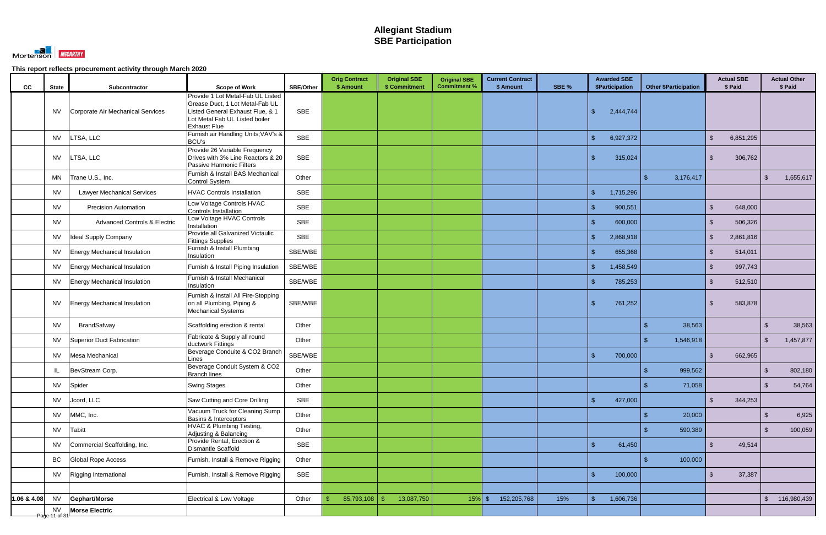

|               |                           |                                         |                                                                                                                              | <b>SBE/Other</b> | <b>Orig Contract</b><br>\$ Amount | <b>Original SBE</b><br>\$ Commitment | <b>Original SBE</b><br><b>Commitment %</b> | <b>Current Contract</b><br>\$ Amount | SBE % | <b>Awarded SBE</b><br><b>\$Participation</b> | <b>Other \$Participation</b> | <b>Actual SBE</b><br>\$ Paid |                         | <b>Actual Other</b><br>\$ Paid |
|---------------|---------------------------|-----------------------------------------|------------------------------------------------------------------------------------------------------------------------------|------------------|-----------------------------------|--------------------------------------|--------------------------------------------|--------------------------------------|-------|----------------------------------------------|------------------------------|------------------------------|-------------------------|--------------------------------|
| CC            | <b>State</b>              | Subcontractor                           | <b>Scope of Work</b><br>Provide 1 Lot Metal-Fab UL Listed                                                                    |                  |                                   |                                      |                                            |                                      |       |                                              |                              |                              |                         |                                |
|               | <b>NV</b>                 | Corporate Air Mechanical Services       | Grease Duct, 1 Lot Metal-Fab UL<br>Listed General Exhaust Flue, & 1<br>Lot Metal Fab UL Listed boiler<br><b>Exhaust Flue</b> | SBE              |                                   |                                      |                                            |                                      |       | $\mathbb{S}$<br>2,444,744                    |                              |                              |                         |                                |
|               | <b>NV</b>                 | LTSA, LLC                               | Furnish air Handling Units; VAV's &<br><b>BCU's</b>                                                                          | <b>SBE</b>       |                                   |                                      |                                            |                                      |       | $\mathcal{S}$<br>6,927,372                   |                              | $\mathfrak{S}$<br>6,851,295  |                         |                                |
|               | <b>NV</b>                 | LTSA, LLC                               | Provide 26 Variable Frequency<br>Drives with 3% Line Reactors & 20<br>Passive Harmonic Filters                               | <b>SBE</b>       |                                   |                                      |                                            |                                      |       | $\mathbf{\hat{s}}$<br>315,024                |                              | <sup>\$</sup><br>306,762     |                         |                                |
|               | MN                        | Trane U.S., Inc.                        | Furnish & Install BAS Mechanical<br><b>Control System</b>                                                                    | Other            |                                   |                                      |                                            |                                      |       |                                              | 3,176,417<br>\$.             |                              | $\mathcal{L}$           | 1,655,617                      |
|               | <b>NV</b>                 | <b>Lawyer Mechanical Services</b>       | <b>HVAC Controls Installation</b>                                                                                            | <b>SBE</b>       |                                   |                                      |                                            |                                      |       | $\mathcal{S}$<br>1,715,296                   |                              |                              |                         |                                |
|               | <b>NV</b>                 | <b>Precision Automation</b>             | Low Voltage Controls HVAC<br>Controls Installation                                                                           | <b>SBE</b>       |                                   |                                      |                                            |                                      |       | 900,551<br>$\mathbf{\hat{s}}$                |                              | 648,000<br>$\mathfrak{L}$    |                         |                                |
|               | <b>NV</b>                 | <b>Advanced Controls &amp; Electric</b> | Low Voltage HVAC Controls<br>Installation                                                                                    | <b>SBE</b>       |                                   |                                      |                                            |                                      |       | $\mathcal{S}$<br>600,000                     |                              | 506,326<br><sup>\$</sup>     |                         |                                |
|               | <b>NV</b>                 | Ideal Supply Company                    | Provide all Galvanized Victaulic<br><b>Fittings Supplies</b>                                                                 | <b>SBE</b>       |                                   |                                      |                                            |                                      |       | $\mathbf{\hat{s}}$<br>2,868,918              |                              | $\mathcal{S}$<br>2,861,816   |                         |                                |
|               | <b>NV</b>                 | <b>Energy Mechanical Insulation</b>     | Furnish & Install Plumbing<br>Insulation                                                                                     | SBE/WBE          |                                   |                                      |                                            |                                      |       | 655,368<br>\$                                |                              | <sup>\$</sup><br>514,011     |                         |                                |
|               | <b>NV</b>                 | <b>Energy Mechanical Insulation</b>     | Furnish & Install Piping Insulation                                                                                          | SBE/WBE          |                                   |                                      |                                            |                                      |       | $\sqrt{2}$<br>1,458,549                      |                              | 997,743<br>$\mathfrak{S}$    |                         |                                |
|               | <b>NV</b>                 | <b>Energy Mechanical Insulation</b>     | Furnish & Install Mechanical<br>Insulation                                                                                   | SBE/WBE          |                                   |                                      |                                            |                                      |       | 785,253                                      |                              | 512,510<br><sup>\$</sup>     |                         |                                |
|               | <b>NV</b>                 | <b>Energy Mechanical Insulation</b>     | Furnish & Install All Fire-Stopping<br>on all Plumbing, Piping &<br><b>Mechanical Systems</b>                                | SBE/WBE          |                                   |                                      |                                            |                                      |       | 761,252<br>$\mathbf{\hat{s}}$                |                              | 583,878<br><sup>\$</sup>     |                         |                                |
|               | <b>NV</b>                 | <b>BrandSafway</b>                      | Scaffolding erection & rental                                                                                                | Other            |                                   |                                      |                                            |                                      |       |                                              | 38,563                       |                              | \$                      | 38,563                         |
|               | <b>NV</b>                 | Superior Duct Fabrication               | Fabricate & Supply all round<br>ductwork Fittings                                                                            | Other            |                                   |                                      |                                            |                                      |       |                                              | 1,546,918                    |                              | $\mathcal{L}$           | 1,457,877                      |
|               | <b>NV</b>                 | Mesa Mechanical                         | Beverage Conduite & CO2 Branch<br>Lines                                                                                      | SBE/WBE          |                                   |                                      |                                            |                                      |       | 700,000<br>-\$                               |                              | 662,965<br><sup>\$</sup>     |                         |                                |
|               | IL                        | BevStream Corp.                         | Beverage Conduit System & CO2<br><b>Branch lines</b>                                                                         | Other            |                                   |                                      |                                            |                                      |       |                                              | 999,562                      |                              | \$                      | 802,180                        |
|               | <b>NV</b>                 | Spider                                  | <b>Swing Stages</b>                                                                                                          | Other            |                                   |                                      |                                            |                                      |       |                                              | 71,058                       |                              | $\sqrt[6]{\frac{1}{2}}$ | 54,764                         |
|               | <b>NV</b>                 | Jcord, LLC                              | Saw Cutting and Core Drilling                                                                                                | <b>SBE</b>       |                                   |                                      |                                            |                                      |       | $\mathfrak{S}$<br>427,000                    |                              | $\mathfrak{S}$<br>344,253    |                         |                                |
|               | <b>NV</b>                 | MMC, Inc.                               | Vacuum Truck for Cleaning Sump<br>Basins & Interceptors                                                                      | Other            |                                   |                                      |                                            |                                      |       |                                              | 20,000                       |                              | $\mathfrak{L}$          | 6,925                          |
|               | <b>NV</b>                 | Tabitt                                  | HVAC & Plumbing Testing,<br>Adjusting & Balancing                                                                            | Other            |                                   |                                      |                                            |                                      |       |                                              | 590,389                      |                              | $\mathcal{S}$           | 100,059                        |
|               | <b>NV</b>                 | Commercial Scaffolding, Inc.            | Provide Rental, Erection &<br>Dismantle Scaffold                                                                             | <b>SBE</b>       |                                   |                                      |                                            |                                      |       | $\sqrt{2}$<br>61,450                         |                              | $\mathfrak{S}$<br>49,514     |                         |                                |
|               | BC                        | <b>Global Rope Access</b>               | Furnish, Install & Remove Rigging                                                                                            | Other            |                                   |                                      |                                            |                                      |       |                                              | 100,000                      |                              |                         |                                |
|               | <b>NV</b>                 | Rigging International                   | Furnish, Install & Remove Rigging                                                                                            | <b>SBE</b>       |                                   |                                      |                                            |                                      |       | $\mathbb{S}$<br>100,000                      |                              | 37,387<br><sup>\$</sup>      |                         |                                |
|               |                           |                                         |                                                                                                                              |                  |                                   |                                      |                                            |                                      |       |                                              |                              |                              |                         |                                |
| $1.06$ & 4.08 | <b>NV</b>                 | Gephart/Morse                           | Electrical & Low Voltage                                                                                                     | Other            | $\mathfrak{L}$<br>85,793,108      | 13,087,750<br>-\$                    | $15\%$ \$                                  | 152,205,768                          | 15%   | 1,606,736<br>$\mathbb{S}$                    |                              |                              | $\mathfrak{S}$          | 116,980,439                    |
|               | <b>NV</b><br>Page 11 of 3 | <b>Morse Electric</b>                   |                                                                                                                              |                  |                                   |                                      |                                            |                                      |       |                                              |                              |                              |                         |                                |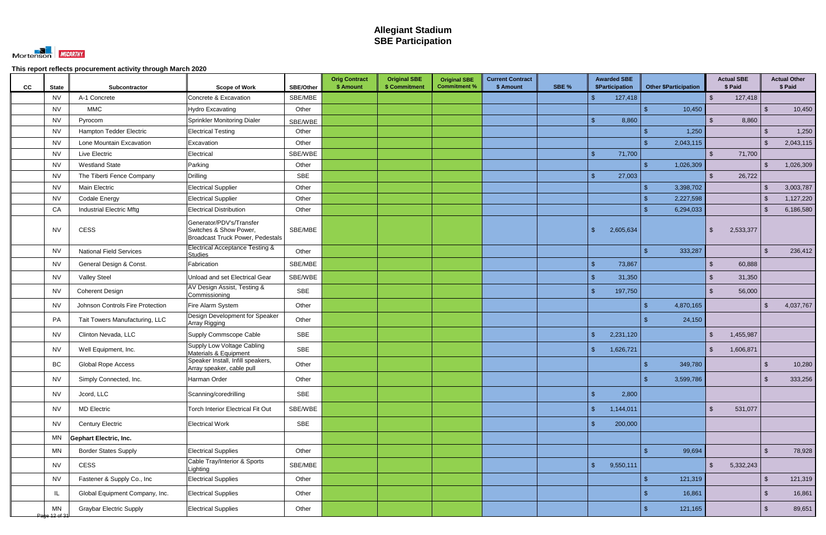

| CC | <b>State</b>        | Subcontractor                    | <b>Scope of Work</b>                                                                          | <b>SBE/Other</b> | <b>Orig Contract</b><br>\$ Amount | <b>Original SBE</b><br>\$ Commitment | <b>Original SBE</b><br><b>Commitment %</b> | <b>Current Contract</b><br>\$ Amount | SBE % |                    | <b>Awarded SBE</b><br><b>\$Participation</b> | <b>Other \$Participation</b> |                | <b>Actual SBE</b><br>\$ Paid |                         | <b>Actual Other</b><br>\$ Paid |
|----|---------------------|----------------------------------|-----------------------------------------------------------------------------------------------|------------------|-----------------------------------|--------------------------------------|--------------------------------------------|--------------------------------------|-------|--------------------|----------------------------------------------|------------------------------|----------------|------------------------------|-------------------------|--------------------------------|
|    | <b>NV</b>           | A-1 Concrete                     | Concrete & Excavation                                                                         | SBE/MBE          |                                   |                                      |                                            |                                      |       | $\mathbf{\$}$      | 127,418                                      |                              | $\mathbb{S}$   | 127,418                      |                         |                                |
|    | <b>NV</b>           | <b>MMC</b>                       | Hydro Excavating                                                                              | Other            |                                   |                                      |                                            |                                      |       |                    |                                              | 10,450                       |                |                              | -\$                     | 10,450                         |
|    | <b>NV</b>           | Pyrocom                          | Sprinkler Monitoring Dialer                                                                   | SBE/WBE          |                                   |                                      |                                            |                                      |       | $\mathbf{\hat{S}}$ | 8,860                                        |                              | $\mathcal{S}$  | 8,860                        |                         |                                |
|    | <b>NV</b>           | Hampton Tedder Electric          | <b>Electrical Testing</b>                                                                     | Other            |                                   |                                      |                                            |                                      |       |                    |                                              | 1,250                        |                |                              | \$                      | 1,250                          |
|    | <b>NV</b>           | Lone Mountain Excavation         | Excavation                                                                                    | Other            |                                   |                                      |                                            |                                      |       |                    |                                              | 2,043,115                    |                |                              | \$                      | 2,043,115                      |
|    | <b>NV</b>           | Live Electric                    | Electrical                                                                                    | SBE/WBE          |                                   |                                      |                                            |                                      |       | $\mathcal{S}$      | 71,700                                       |                              | $\mathbb{S}$   | 71,700                       |                         |                                |
|    | <b>NV</b>           | <b>Westland State</b>            | Parking                                                                                       | Other            |                                   |                                      |                                            |                                      |       |                    |                                              | 1,026,309                    |                |                              | $\mathbf{\$}$           | 1,026,309                      |
|    | <b>NV</b>           | The Tiberti Fence Company        | <b>Drilling</b>                                                                               | <b>SBE</b>       |                                   |                                      |                                            |                                      |       | $\mathbb{S}$       | 27,003                                       |                              | $\mathcal{S}$  | 26,722                       |                         |                                |
|    | <b>NV</b>           | <b>Main Electric</b>             | <b>Electrical Supplier</b>                                                                    | Other            |                                   |                                      |                                            |                                      |       |                    |                                              | 3,398,702                    |                |                              | -\$                     | 3,003,787                      |
|    | <b>NV</b>           | <b>Codale Energy</b>             | <b>Electrical Supplier</b>                                                                    | Other            |                                   |                                      |                                            |                                      |       |                    |                                              | 2,227,598                    |                |                              | -\$                     | 1,127,220                      |
|    | CA                  | <b>Industrial Electric Mftg</b>  | <b>Electrical Distribution</b>                                                                | Other            |                                   |                                      |                                            |                                      |       |                    |                                              | 6,294,033                    |                |                              | -\$                     | 6,186,580                      |
|    | <b>NV</b>           | <b>CESS</b>                      | Generator/PDV's/Transfer<br>Switches & Show Power,<br><b>Broadcast Truck Power, Pedestals</b> | SBE/MBE          |                                   |                                      |                                            |                                      |       | $\mathbf{\$}$      | 2,605,634                                    |                              | \$             | 2,533,377                    |                         |                                |
|    | <b>NV</b>           | <b>National Field Services</b>   | <b>Electrical Acceptance Testing &amp;</b><br><b>Studies</b>                                  | Other            |                                   |                                      |                                            |                                      |       |                    |                                              | 333,287                      |                |                              | $\mathcal{L}$           | 236,412                        |
|    | <b>NV</b>           | General Design & Const.          | Fabrication                                                                                   | SBE/MBE          |                                   |                                      |                                            |                                      |       | $\mathcal{S}$      | 73,867                                       |                              | $\mathbb{S}$   | 60,888                       |                         |                                |
|    | <b>NV</b>           | <b>Valley Steel</b>              | Unload and set Electrical Gear                                                                | SBE/WBE          |                                   |                                      |                                            |                                      |       | $\mathbb{S}$       | 31,350                                       |                              | $\mathbb{S}$   | 31,350                       |                         |                                |
|    | <b>NV</b>           | <b>Coherent Design</b>           | AV Design Assist, Testing &<br>Commissioning                                                  | SBE              |                                   |                                      |                                            |                                      |       | $\mathbf{\$}$      | 197,750                                      |                              | $\mathbb{S}$   | 56,000                       |                         |                                |
|    | NV                  | Johnson Controls Fire Protection | Fire Alarm System                                                                             | Other            |                                   |                                      |                                            |                                      |       |                    |                                              | 4,870,165                    |                |                              | \$                      | 4,037,767                      |
|    | PA                  | Tait Towers Manufacturing, LLC   | Design Development for Speaker<br>Array Rigging                                               | Other            |                                   |                                      |                                            |                                      |       |                    |                                              | 24,150                       |                |                              |                         |                                |
|    | <b>NV</b>           | Clinton Nevada, LLC              | Supply Commscope Cable                                                                        | <b>SBE</b>       |                                   |                                      |                                            |                                      |       | $\mathbb{S}$       | 2,231,120                                    |                              | $\mathbb{S}$   | 1,455,987                    |                         |                                |
|    | <b>NV</b>           | Well Equipment, Inc.             | Supply Low Voltage Cabling<br>Materials & Equipment                                           | <b>SBE</b>       |                                   |                                      |                                            |                                      |       | $\mathcal{S}$      | 1,626,721                                    |                              | \$             | 1,606,871                    |                         |                                |
|    | BC                  | <b>Global Rope Access</b>        | Speaker Install, Infill speakers,<br>Array speaker, cable pull                                | Other            |                                   |                                      |                                            |                                      |       |                    |                                              | 349,780                      |                |                              | .S                      | 10,280                         |
|    | <b>NV</b>           | Simply Connected, Inc.           | Harman Order                                                                                  | Other            |                                   |                                      |                                            |                                      |       |                    |                                              | 3,599,786                    |                |                              |                         | 333,256                        |
|    | <b>NV</b>           | Jcord, LLC                       | Scanning/coredrilling                                                                         | SBE              |                                   |                                      |                                            |                                      |       | $\sqrt{2}$         | 2,800                                        |                              |                |                              |                         |                                |
|    | <b>NV</b>           | <b>MD Electric</b>               | Torch Interior Electrical Fit Out                                                             | SBE/WBE          |                                   |                                      |                                            |                                      |       | $\sqrt{2}$         | 1,144,011                                    |                              | $\sqrt{2}$     | 531,077                      |                         |                                |
|    | <b>NV</b>           | <b>Century Electric</b>          | <b>Electrical Work</b>                                                                        | SBE              |                                   |                                      |                                            |                                      |       | $\mathbf{\$}$      | 200,000                                      |                              |                |                              |                         |                                |
|    | MN                  | <b>Gephart Electric, Inc.</b>    |                                                                                               |                  |                                   |                                      |                                            |                                      |       |                    |                                              |                              |                |                              |                         |                                |
|    | MN                  | <b>Border States Supply</b>      | <b>Electrical Supplies</b>                                                                    | Other            |                                   |                                      |                                            |                                      |       |                    |                                              | 99,694                       |                |                              | $\sqrt{2}$              | 78,928                         |
|    | <b>NV</b>           | CESS                             | Cable Tray/Interior & Sports<br>Lighting                                                      | SBE/MBE          |                                   |                                      |                                            |                                      |       | $\mathcal{S}$      | 9,550,111                                    |                              | $\mathfrak{S}$ | 5,332,243                    |                         |                                |
|    | <b>NV</b>           | Fastener & Supply Co., Inc       | <b>Electrical Supplies</b>                                                                    | Other            |                                   |                                      |                                            |                                      |       |                    |                                              | 121,319                      |                |                              | $\sqrt[6]{\frac{1}{2}}$ | 121,319                        |
|    | IL                  | Global Equipment Company, Inc.   | <b>Electrical Supplies</b>                                                                    | Other            |                                   |                                      |                                            |                                      |       |                    |                                              | 16,861                       |                |                              | $\sqrt[6]{3}$           | 16,861                         |
|    | MN<br>Page 12 of 31 | <b>Graybar Electric Supply</b>   | <b>Electrical Supplies</b>                                                                    | Other            |                                   |                                      |                                            |                                      |       |                    |                                              | 121,165<br>\$                |                |                              | $\sqrt[6]{3}$           | 89,651                         |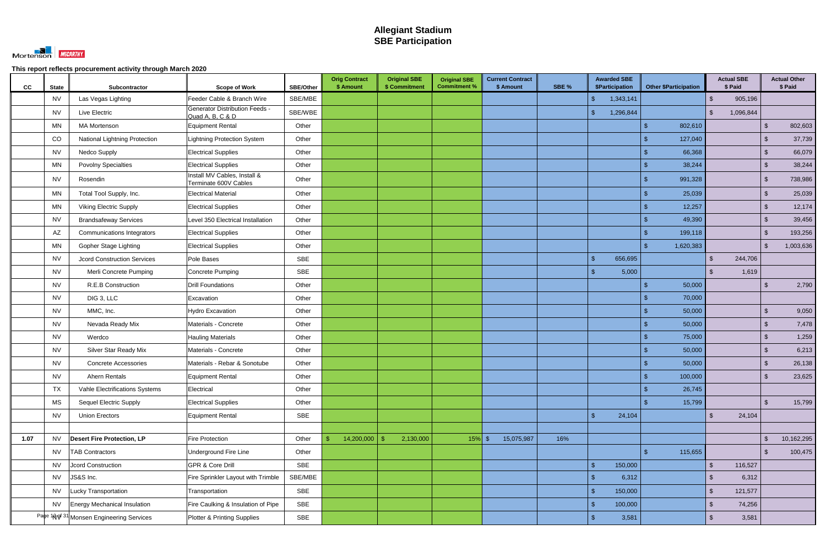

| <b>State</b><br>CC  | Subcontractor                                                     | <b>Scope of Work</b>                                      | <b>SBE/Other</b> | <b>Orig Contract</b><br>\$ Amount | <b>Original SBE</b><br>\$ Commitment | <b>Original SBE</b><br><b>Commitment %</b> | <b>Current Contract</b><br>\$ Amount | SBE % | <b>Awarded SBE</b><br>\$Participation | <b>Other \$Participation</b> | <b>Actual SBE</b><br>\$ Paid |                         | <b>Actual Other</b><br>\$ Paid |
|---------------------|-------------------------------------------------------------------|-----------------------------------------------------------|------------------|-----------------------------------|--------------------------------------|--------------------------------------------|--------------------------------------|-------|---------------------------------------|------------------------------|------------------------------|-------------------------|--------------------------------|
| <b>NV</b>           | Las Vegas Lighting                                                | Feeder Cable & Branch Wire                                | SBE/MBE          |                                   |                                      |                                            |                                      |       | 1,343,141<br><sup>\$</sup>            |                              | 905,196<br>\$                |                         |                                |
| <b>NV</b>           | Live Electric                                                     | <b>Generator Distribution Feeds -</b><br>Quad A, B, C & D | SBE/WBE          |                                   |                                      |                                            |                                      |       | 1,296,844<br>$\mathcal{S}$            |                              | 1,096,844<br>$\mathfrak{L}$  |                         |                                |
| MN                  | <b>MA Mortenson</b>                                               | <b>Equipment Rental</b>                                   | Other            |                                   |                                      |                                            |                                      |       |                                       | 802,610                      |                              | $\sqrt{2}$              | 802,603                        |
| CO                  | National Lightning Protection                                     | <b>Lightning Protection System</b>                        | Other            |                                   |                                      |                                            |                                      |       |                                       | 127,040                      |                              | $\mathcal{L}$           | 37,739                         |
| <b>NV</b>           | <b>Nedco Supply</b>                                               | <b>Electrical Supplies</b>                                | Other            |                                   |                                      |                                            |                                      |       |                                       | 66,368                       |                              | $\mathcal{L}$           | 66,079                         |
| MN                  | <b>Povolny Specialties</b>                                        | <b>Electrical Supplies</b>                                | Other            |                                   |                                      |                                            |                                      |       |                                       | 38,244                       |                              | $\sqrt{2}$              | 38,244                         |
| <b>NV</b>           | Rosendin                                                          | Install MV Cables, Install &<br>Terminate 600V Cables     | Other            |                                   |                                      |                                            |                                      |       |                                       | 991,328                      |                              | $\mathcal{L}$           | 738,986                        |
| MN                  | Total Tool Supply, Inc.                                           | <b>Electrical Material</b>                                | Other            |                                   |                                      |                                            |                                      |       |                                       | 25,039                       |                              | $\mathcal{L}$           | 25,039                         |
| MN                  | <b>Viking Electric Supply</b>                                     | <b>Electrical Supplies</b>                                | Other            |                                   |                                      |                                            |                                      |       |                                       | 12,257                       |                              | $\sqrt[6]{3}$           | 12,174                         |
| <b>NV</b>           | <b>Brandsafeway Services</b>                                      | Level 350 Electrical Installation                         | Other            |                                   |                                      |                                            |                                      |       |                                       | 49,390                       |                              | $\mathcal{L}$           | 39,456                         |
| AZ                  | <b>Communications Integrators</b>                                 | <b>Electrical Supplies</b>                                | Other            |                                   |                                      |                                            |                                      |       |                                       | 199,118                      |                              | $\mathcal{S}$           | 193,256                        |
| MN                  | Gopher Stage Lighting                                             | <b>Electrical Supplies</b>                                | Other            |                                   |                                      |                                            |                                      |       |                                       | 1,620,383                    |                              | $\mathcal{S}$           | 1,003,636                      |
| <b>NV</b>           | <b>Jcord Construction Services</b>                                | Pole Bases                                                | <b>SBE</b>       |                                   |                                      |                                            |                                      |       | 656,695<br>$\mathbb{S}$               |                              | 244,706<br>$\mathfrak{L}$    |                         |                                |
| <b>NV</b>           | Merli Concrete Pumping                                            | Concrete Pumping                                          | SBE              |                                   |                                      |                                            |                                      |       | 5,000<br><sup>\$</sup>                |                              | 1,619<br>\$.                 |                         |                                |
| <b>NV</b>           | R.E.B Construction                                                | <b>Drill Foundations</b>                                  | Other            |                                   |                                      |                                            |                                      |       |                                       | 50,000                       |                              | $\sqrt[6]{\frac{1}{2}}$ | 2,790                          |
| <b>NV</b>           | DIG 3, LLC                                                        | Excavation                                                | Other            |                                   |                                      |                                            |                                      |       |                                       | 70,000                       |                              |                         |                                |
| <b>NV</b>           | MMC, Inc.                                                         | <b>Hydro Excavation</b>                                   | Other            |                                   |                                      |                                            |                                      |       |                                       | 50,000                       |                              | $\sqrt[6]{\frac{1}{2}}$ | 9,050                          |
| <b>NV</b>           | Nevada Ready Mix                                                  | Materials - Concrete                                      | Other            |                                   |                                      |                                            |                                      |       |                                       | 50,000                       |                              | $\sqrt[6]{3}$           | 7,478                          |
| <b>NV</b>           | Werdco                                                            | <b>Hauling Materials</b>                                  | Other            |                                   |                                      |                                            |                                      |       |                                       | 75,000                       |                              | $\mathcal{L}$           | 1,259                          |
| <b>NV</b>           | Silver Star Ready Mix                                             | Materials - Concrete                                      | Other            |                                   |                                      |                                            |                                      |       |                                       | 50,000                       |                              | $\mathcal{L}$           | 6,213                          |
| <b>NV</b>           | <b>Concrete Accessories</b>                                       | Materials - Rebar & Sonotube                              | Other            |                                   |                                      |                                            |                                      |       |                                       | 50,000                       |                              | -\$                     | 26,138                         |
| <b>NV</b>           | Ahern Rentals                                                     | <b>Equipment Rental</b>                                   | Other            |                                   |                                      |                                            |                                      |       |                                       | 100,000<br>จ                 |                              | $\sqrt[6]{\frac{1}{2}}$ | 23,625                         |
| <b>TX</b>           | Vahle Electrifications Systems                                    | Electrical                                                | Other            |                                   |                                      |                                            |                                      |       |                                       | 26,745                       |                              |                         |                                |
| MS                  | <b>Sequel Electric Supply</b>                                     | <b>Electrical Supplies</b>                                | Other            |                                   |                                      |                                            |                                      |       |                                       | 15,799                       |                              | $\sqrt{2}$              | 15,799                         |
| <b>NV</b>           | <b>Union Erectors</b>                                             | <b>Equipment Rental</b>                                   | SBE              |                                   |                                      |                                            |                                      |       | 24,104<br>$\sqrt{2}$                  |                              | $\mathfrak{S}$<br>24,104     |                         |                                |
|                     |                                                                   |                                                           |                  |                                   |                                      |                                            |                                      |       |                                       |                              |                              |                         |                                |
| $1.07$<br><b>NV</b> | <b>Desert Fire Protection, LP</b>                                 | Fire Protection                                           | Other            | 14,200,000                        | 2,130,000<br>-\$                     | $15\%$ \$                                  | 15,075,987                           | 16%   |                                       |                              |                              | $\mathfrak{L}$          | 10,162,295                     |
| <b>NV</b>           | <b>TAB Contractors</b>                                            | Underground Fire Line                                     | Other            |                                   |                                      |                                            |                                      |       |                                       | 115,655<br>- \$              |                              | $\mathcal{L}$           | 100,475                        |
| <b>NV</b>           | Jcord Construction                                                | <b>GPR &amp; Core Drill</b>                               | SBE              |                                   |                                      |                                            |                                      |       | 150,000<br>$\mathbb{S}$               |                              | 116,527<br>$\sqrt{2}$        |                         |                                |
| <b>NV</b>           | JS&S Inc.                                                         | Fire Sprinkler Layout with Trimble                        | SBE/MBE          |                                   |                                      |                                            |                                      |       | 6,312<br>$\sqrt[6]{\frac{1}{2}}$      |                              | 6,312<br>$\mathfrak{L}$      |                         |                                |
| <b>NV</b>           | <b>Lucky Transportation</b>                                       | Transportation                                            | SBE              |                                   |                                      |                                            |                                      |       | 150,000<br>$\sqrt[6]{3}$              |                              | $\mathfrak{S}$<br>121,577    |                         |                                |
| <b>NV</b>           | <b>Energy Mechanical Insulation</b>                               | Fire Caulking & Insulation of Pipe                        | SBE              |                                   |                                      |                                            |                                      |       | $\mathfrak{S}$<br>100,000             |                              | $\mathfrak{S}$<br>74,256     |                         |                                |
|                     | Pa <sup>be 1</sup> N9 <sup>f 31</sup> Monsen Engineering Services | Plotter & Printing Supplies                               | SBE              |                                   |                                      |                                            |                                      |       | $\sqrt[6]{\frac{1}{2}}$<br>3,581      |                              | $\sqrt{2}$<br>3,581          |                         |                                |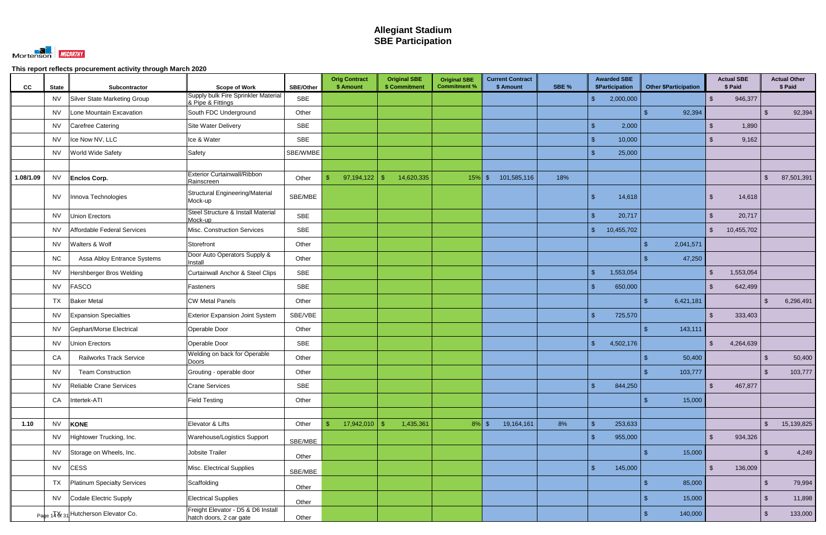

| CC        | <b>State</b> | Subcontractor                        | <b>Scope of Work</b>                                          | <b>SBE/Other</b> | <b>Orig Contract</b><br>\$ Amount | <b>Original SBE</b><br>\$ Commitment | <b>Original SBE</b><br><b>Commitment %</b> | <b>Current Contract</b><br>\$ Amount | SBE % | <b>Awarded SBE</b><br>\$Participation | <b>Other \$Participation</b> | <b>Actual SBE</b><br>\$ Paid |            |                         | <b>Actual Other</b><br>\$ Paid |
|-----------|--------------|--------------------------------------|---------------------------------------------------------------|------------------|-----------------------------------|--------------------------------------|--------------------------------------------|--------------------------------------|-------|---------------------------------------|------------------------------|------------------------------|------------|-------------------------|--------------------------------|
|           | <b>NV</b>    | Silver State Marketing Group         | Supply bulk Fire Sprinkler Material<br>& Pipe & Fittings      | SBE              |                                   |                                      |                                            |                                      |       | $\mathbf{\$}$<br>2,000,000            |                              | $\mathbb{S}$                 | 946,377    |                         |                                |
|           | <b>NV</b>    | Lone Mountain Excavation             | South FDC Underground                                         | Other            |                                   |                                      |                                            |                                      |       |                                       | 92,394                       |                              |            | -\$                     | 92,394                         |
|           | NV.          | Carefree Catering                    | Site Water Delivery                                           | SBE              |                                   |                                      |                                            |                                      |       | 2,000<br>$\mathbf{\$}$                |                              | S.                           | 1,890      |                         |                                |
|           | NV.          | Ice Now NV, LLC                      | Ice & Water                                                   | <b>SBE</b>       |                                   |                                      |                                            |                                      |       | $\mathbf{\$}$<br>10,000               |                              | $\mathbb{S}$                 | 9,162      |                         |                                |
|           | <b>NV</b>    | World Wide Safety                    | Safety                                                        | SBE/WMBE         |                                   |                                      |                                            |                                      |       | 25,000<br>$\mathbf{\hat{f}}$          |                              |                              |            |                         |                                |
|           |              |                                      |                                                               |                  |                                   |                                      |                                            |                                      |       |                                       |                              |                              |            |                         |                                |
| 1.08/1.09 | <b>NV</b>    | <b>Enclos Corp.</b>                  | <b>Exterior Curtainwall/Ribbon</b><br>Rainscreen              | Other            | 97,194,122<br>$\mathfrak{S}$      | 14,620,335<br>-\$                    | $15\%$ \$                                  | 101,585,116                          | 18%   |                                       |                              |                              |            | $\sqrt[6]{\frac{1}{2}}$ | 87,501,391                     |
|           | <b>NV</b>    | Innova Technologies                  | <b>Structural Engineering/Material</b><br>Mock-up             | SBE/MBE          |                                   |                                      |                                            |                                      |       | $\mathbf{\$}$<br>14,618               |                              | \$                           | 14,618     |                         |                                |
|           | <b>NV</b>    | <b>Union Erectors</b>                | Steel Structure & Install Material<br>Mock-up                 | <b>SBE</b>       |                                   |                                      |                                            |                                      |       | $\mathbb{S}$<br>20,717                |                              | $\mathcal{S}$                | 20,717     |                         |                                |
|           | <b>NV</b>    | Affordable Federal Services          | Misc. Construction Services                                   | <b>SBE</b>       |                                   |                                      |                                            |                                      |       | $\mathcal{S}$<br>10,455,702           |                              | $\frac{1}{2}$                | 10,455,702 |                         |                                |
|           | <b>NV</b>    | Walters & Wolf                       | Storefront                                                    | Other            |                                   |                                      |                                            |                                      |       |                                       | 2,041,571                    |                              |            |                         |                                |
|           | <b>NC</b>    | Assa Abloy Entrance Systems          | Door Auto Operators Supply &<br>Install                       | Other            |                                   |                                      |                                            |                                      |       |                                       | 47,250                       |                              |            |                         |                                |
|           | <b>NV</b>    | Hershberger Bros Welding             | <b>Curtainwall Anchor &amp; Steel Clips</b>                   | <b>SBE</b>       |                                   |                                      |                                            |                                      |       | 1,553,054<br>$\mathbb{S}$             |                              | <sup>\$</sup>                | 1,553,054  |                         |                                |
|           | <b>NV</b>    | <b>FASCO</b>                         | Fasteners                                                     | <b>SBE</b>       |                                   |                                      |                                            |                                      |       | $\mathbb{S}$<br>650,000               |                              | $\mathbb{S}$                 | 642,499    |                         |                                |
|           | TX           | <b>Baker Metal</b>                   | <b>CW Metal Panels</b>                                        | Other            |                                   |                                      |                                            |                                      |       |                                       | 6,421,181                    |                              |            | -\$                     | 6,296,491                      |
|           | <b>NV</b>    | <b>Expansion Specialties</b>         | <b>Exterior Expansion Joint System</b>                        | SBE/VBE          |                                   |                                      |                                            |                                      |       | $\mathbf{\$}$<br>725,570              |                              | $\mathbb{S}$                 | 333,403    |                         |                                |
|           | <b>NV</b>    | Gephart/Morse Electrical             | Operable Door                                                 | Other            |                                   |                                      |                                            |                                      |       |                                       | 143,111                      |                              |            |                         |                                |
|           | <b>NV</b>    | <b>Union Erectors</b>                | Operable Door                                                 | <b>SBE</b>       |                                   |                                      |                                            |                                      |       | $\sqrt{2}$<br>4,502,176               |                              | $\mathbb{S}$                 | 4,264,639  |                         |                                |
|           | CA           | <b>Railworks Track Service</b>       | Welding on back for Operable<br>Doors                         | Other            |                                   |                                      |                                            |                                      |       |                                       | 50,400                       |                              |            | $\mathbf{\$}$           | 50,400                         |
|           | <b>NV</b>    | <b>Team Construction</b>             | Grouting - operable door                                      | Other            |                                   |                                      |                                            |                                      |       |                                       | 103,777                      |                              |            | $\sqrt[6]{3}$           | 103,777                        |
|           | <b>NV</b>    | Reliable Crane Services              | <b>Crane Services</b>                                         | SBE              |                                   |                                      |                                            |                                      |       | $\mathbb{S}$<br>844,250               |                              | $\mathfrak{S}$               | 467,877    |                         |                                |
|           | CA           | Intertek-ATI                         | <b>Field Testing</b>                                          | Other            |                                   |                                      |                                            |                                      |       |                                       | 15,000<br>\$.                |                              |            |                         |                                |
|           |              |                                      |                                                               |                  |                                   |                                      |                                            |                                      |       |                                       |                              |                              |            |                         |                                |
| 1.10      | <b>NV</b>    | <b>KONE</b>                          | Elevator & Lifts                                              | Other            | 17,942,010<br>\$                  | 1,435,361<br>-\$                     | $8\%$ \$                                   | 19,164,161                           | 8%    | 253,633<br>$\mathcal{S}$              |                              |                              |            | $\mathfrak{L}$          | 15,139,825                     |
|           | <b>NV</b>    | Hightower Trucking, Inc.             | Warehouse/Logistics Support                                   | SBE/MBE          |                                   |                                      |                                            |                                      |       | $\mathcal{S}$<br>955,000              |                              | $\mathfrak{S}$               | 934,326    |                         |                                |
|           | <b>NV</b>    | Storage on Wheels, Inc.              | Jobsite Trailer                                               | Other            |                                   |                                      |                                            |                                      |       |                                       | 15,000<br>\$                 |                              |            | $\sqrt[6]{\frac{1}{2}}$ | 4,249                          |
|           | <b>NV</b>    | <b>CESS</b>                          | Misc. Electrical Supplies                                     | SBE/MBE          |                                   |                                      |                                            |                                      |       | $\mathcal{S}$<br>145,000              |                              | $\mathbb{S}$                 | 136,009    |                         |                                |
|           | <b>TX</b>    | Platinum Specialty Services          | Scaffolding                                                   | Other            |                                   |                                      |                                            |                                      |       |                                       | 85,000                       |                              |            | $\sqrt[6]{3}$           | 79,994                         |
|           | <b>NV</b>    | Codale Electric Supply               | <b>Electrical Supplies</b>                                    | Other            |                                   |                                      |                                            |                                      |       |                                       | 15,000                       |                              |            | $\sqrt[6]{3}$           | 11,898                         |
|           |              | Page 14 8 31 Hutcherson Elevator Co. | Freight Elevator - D5 & D6 Install<br>hatch doors, 2 car gate | Other            |                                   |                                      |                                            |                                      |       |                                       | 140,000                      |                              |            | $\mathfrak{L}$          | 133,000                        |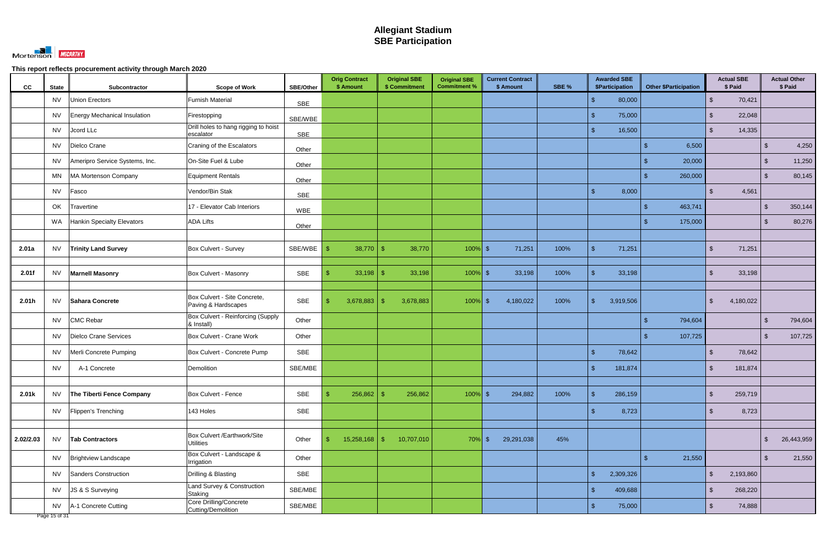

| <b>CC</b> | <b>State</b>                                | Subcontractor                  | <b>Scope of Work</b>                                | SBE/Other  | <b>Orig Contract</b><br>\$ Amount | <b>Original SBE</b><br>\$ Commitment | <b>Original SBE</b><br><b>Commitment %</b> | <b>Current Contract</b><br>\$ Amount | SBE % | <b>Awarded SBE</b><br><b>\$Participation</b> | <b>Other \$Participation</b> | <b>Actual SBE</b><br>\$ Paid | <b>Actual Other</b><br>\$ Paid |
|-----------|---------------------------------------------|--------------------------------|-----------------------------------------------------|------------|-----------------------------------|--------------------------------------|--------------------------------------------|--------------------------------------|-------|----------------------------------------------|------------------------------|------------------------------|--------------------------------|
|           | <b>NV</b>                                   | Union Erectors                 | <b>Furnish Material</b>                             | <b>SBE</b> |                                   |                                      |                                            |                                      |       | 80,000<br>$\mathcal{S}$                      |                              | 70,421<br>$\mathbb{S}$       |                                |
|           | <b>NV</b>                                   | Energy Mechanical Insulation   | Firestopping                                        | SBE/WBE    |                                   |                                      |                                            |                                      |       | 75,000<br>-\$                                |                              | 22,048<br>\$                 |                                |
|           | <b>NV</b>                                   | Jcord LLc                      | Drill holes to hang rigging to hoist<br>escalator   | <b>SBE</b> |                                   |                                      |                                            |                                      |       | $\mathbf{\$}$<br>16,500                      |                              | $\mathbb{S}$<br>14,335       |                                |
|           | <b>NV</b>                                   | Dielco Crane                   | Craning of the Escalators                           | Other      |                                   |                                      |                                            |                                      |       |                                              | 6,500                        |                              | 4,250<br>$\mathcal{S}$         |
|           | <b>NV</b>                                   | Ameripro Service Systems, Inc. | On-Site Fuel & Lube                                 | Other      |                                   |                                      |                                            |                                      |       |                                              | 20,000                       |                              | 11,250<br>$\mathcal{S}$        |
|           | <b>MN</b>                                   | MA Mortenson Company           | Equipment Rentals                                   | Other      |                                   |                                      |                                            |                                      |       |                                              | 260,000                      |                              | 80,145<br>$\mathfrak{L}$       |
|           | <b>NV</b>                                   | Fasco                          | Vendor/Bin Stak                                     | <b>SBE</b> |                                   |                                      |                                            |                                      |       | $\mathcal{R}$<br>8,000                       |                              | 4,561<br>$\mathbb{S}$        |                                |
|           | OK                                          | Travertine                     | 17 - Elevator Cab Interiors                         | <b>WBE</b> |                                   |                                      |                                            |                                      |       |                                              | 463,741                      |                              | $\sqrt[6]{3}$<br>350,144       |
|           | WA                                          | Hankin Specialty Elevators     | <b>ADA Lifts</b>                                    | Other      |                                   |                                      |                                            |                                      |       |                                              | 175,000                      |                              | 80,276<br>$\mathcal{S}$        |
|           |                                             |                                |                                                     |            |                                   |                                      |                                            |                                      |       |                                              |                              |                              |                                |
| 2.01a     | <b>NV</b>                                   | <b>Trinity Land Survey</b>     | Box Culvert - Survey                                | SBE/WBE    | 38,770                            | 38,770<br>-\$                        | $100\%$ \$                                 | 71,251                               | 100%  | $\mathbf{\hat{S}}$<br>71,251                 |                              | 71,251<br>$\mathbb{S}$       |                                |
| 2.01f     | <b>NV</b>                                   | <b>Marnell Masonry</b>         | Box Culvert - Masonry                               | <b>SBE</b> | 33,198                            | 33,198<br>-\$                        | $100\%$ \$                                 | 33,198                               | 100%  | 33,198                                       |                              | 33,198<br>$\mathcal{S}$      |                                |
|           |                                             |                                |                                                     |            |                                   |                                      |                                            |                                      |       |                                              |                              |                              |                                |
| 2.01h     | <b>NV</b>                                   | Sahara Concrete                | Box Culvert - Site Concrete,<br>Paving & Hardscapes | <b>SBE</b> | 3,678,883<br>\$                   | 3,678,883<br>-\$                     | $100\%$ \$                                 | 4,180,022                            | 100%  | $\mathcal{S}$<br>3,919,506                   |                              | 4,180,022<br>\$              |                                |
|           | <b>NV</b>                                   | <b>CMC Rebar</b>               | Box Culvert - Reinforcing (Supply<br>& Install)     | Other      |                                   |                                      |                                            |                                      |       |                                              | 794,604                      |                              | 794,604<br>$\sqrt[6]{3}$       |
|           | <b>NV</b>                                   | Dielco Crane Services          | Box Culvert - Crane Work                            | Other      |                                   |                                      |                                            |                                      |       |                                              | 107,725                      |                              | 107,725<br>$\mathbb{S}$        |
|           | <b>NV</b>                                   | Merli Concrete Pumping         | Box Culvert - Concrete Pump                         | <b>SBE</b> |                                   |                                      |                                            |                                      |       | 78,642<br>$\mathcal{S}$                      |                              | 78,642<br>$\mathbb{S}$       |                                |
|           | <b>NV</b>                                   | A-1 Concrete                   | Demolition                                          | SBE/MBE    |                                   |                                      |                                            |                                      |       | 181,874<br>\$.                               |                              | 181,874<br>$\mathbb{S}$      |                                |
|           |                                             |                                |                                                     |            |                                   |                                      |                                            |                                      |       |                                              |                              |                              |                                |
| 2.01k     | <b>NV</b>                                   | The Tiberti Fence Company      | Box Culvert - Fence                                 | SBE        | 256,862<br>\$                     | 256,862<br>- \$                      | $100\%$ \$                                 | 294,882                              | 100%  | $\mathbb{S}$<br>286,159                      |                              | $\mathfrak{S}$<br>259,719    |                                |
|           | <b>NV</b>                                   | Flippen's Trenching            | 143 Holes                                           | SBE        |                                   |                                      |                                            |                                      |       | 8,723<br>\$.                                 |                              | 8,723<br>\$                  |                                |
|           |                                             |                                |                                                     |            |                                   |                                      |                                            |                                      |       |                                              |                              |                              |                                |
| 2.02/2.03 | <b>NV</b>                                   | <b>Tab Contractors</b>         | Box Culvert /Earthwork/Site<br><b>Utilities</b>     | Other      | $15,258,168$ \$<br>\$             | 10,707,010                           | $70\%$ \$                                  | 29,291,038                           | 45%   |                                              |                              |                              | 26,443,959<br>$\mathcal{S}$    |
|           | <b>NV</b>                                   | <b>Brightview Landscape</b>    | Box Culvert - Landscape &<br>Irrigation             | Other      |                                   |                                      |                                            |                                      |       |                                              | 21,550<br>\$                 |                              | $\sqrt[6]{3}$<br>21,550        |
|           | <b>NV</b>                                   | Sanders Construction           | Drilling & Blasting                                 | <b>SBE</b> |                                   |                                      |                                            |                                      |       | $\sqrt{2}$<br>2,309,326                      |                              | $\frac{1}{2}$<br>2,193,860   |                                |
|           | <b>NV</b>                                   | JS & S Surveying               | Land Survey & Construction<br>Staking               | SBE/MBE    |                                   |                                      |                                            |                                      |       | 409,688<br>$\mathbb{S}$                      |                              | 268,220<br>$\mathfrak{S}$    |                                |
|           | <b>NV</b><br>$2200 \text{ } 15 \text{ } 25$ | A-1 Concrete Cutting           | Core Drilling/Concrete<br>Cutting/Demolition        | SBE/MBE    |                                   |                                      |                                            |                                      |       | $\mathbf{\hat{s}}$<br>75,000                 |                              | $\mathfrak{S}$<br>74,888     |                                |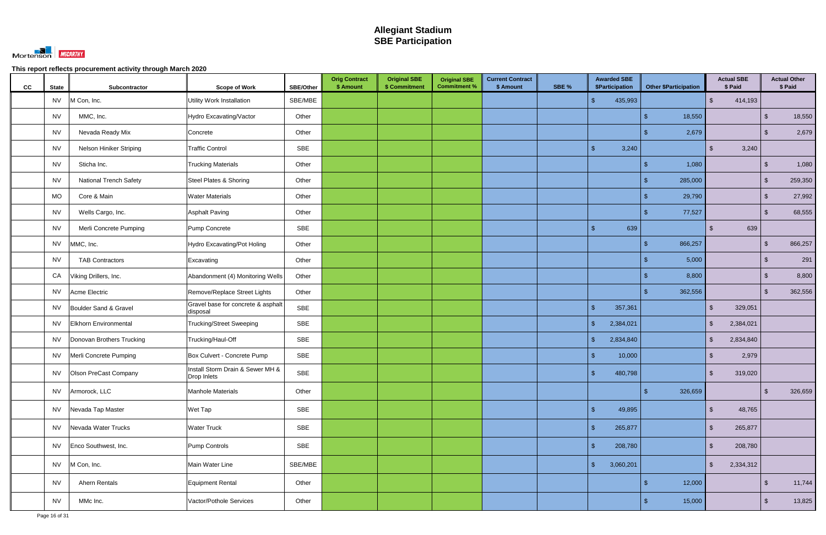

| CC<br><b>State</b> | Subcontractor                  | <b>Scope of Work</b>                            | <b>SBE/Other</b> | <b>Orig Contract</b><br>\$ Amount | <b>Original SBE</b><br>\$ Commitment | <b>Original SBE</b><br><b>Commitment %</b> | <b>Current Contract</b><br>\$ Amount | SBE % | <b>Awarded SBE</b><br>\$Participation | <b>Other \$Participation</b> | <b>Actual SBE</b><br>\$ Paid |                         | <b>Actual Other</b><br>\$ Paid |
|--------------------|--------------------------------|-------------------------------------------------|------------------|-----------------------------------|--------------------------------------|--------------------------------------------|--------------------------------------|-------|---------------------------------------|------------------------------|------------------------------|-------------------------|--------------------------------|
| <b>NV</b>          | M Con, Inc.                    | <b>Utility Work Installation</b>                | SBE/MBE          |                                   |                                      |                                            |                                      |       | 435,993<br>$\mathcal{S}$              |                              | 414,193<br>$\mathfrak{S}$    |                         |                                |
| NV                 | MMC, Inc.                      | Hydro Excavating/Vactor                         | Other            |                                   |                                      |                                            |                                      |       |                                       | 18,550<br>\$.                |                              | $\sqrt[6]{3}$           | 18,550                         |
| NV                 | Nevada Ready Mix               | Concrete                                        | Other            |                                   |                                      |                                            |                                      |       |                                       | 2,679                        |                              | ්                       | 2,679                          |
| <b>NV</b>          | <b>Nelson Hiniker Striping</b> | <b>Traffic Control</b>                          | SBE              |                                   |                                      |                                            |                                      |       | $\mathbf{\hat{s}}$<br>3,240           |                              | 3,240<br>\$                  |                         |                                |
| <b>NV</b>          | Sticha Inc.                    | <b>Trucking Materials</b>                       | Other            |                                   |                                      |                                            |                                      |       |                                       | 1,080                        |                              | $\mathfrak{L}$          | 1,080                          |
| NV                 | <b>National Trench Safety</b>  | Steel Plates & Shoring                          | Other            |                                   |                                      |                                            |                                      |       |                                       | 285,000                      |                              | $\mathfrak{S}$          | 259,350                        |
| MO                 | Core & Main                    | <b>Water Materials</b>                          | Other            |                                   |                                      |                                            |                                      |       |                                       | 29,790                       |                              | $\mathfrak{S}$          | 27,992                         |
| <b>NV</b>          | Wells Cargo, Inc.              | <b>Asphalt Paving</b>                           | Other            |                                   |                                      |                                            |                                      |       |                                       | 77,527                       |                              | $\mathfrak{S}$          | 68,555                         |
| <b>NV</b>          | Merli Concrete Pumping         | Pump Concrete                                   | SBE              |                                   |                                      |                                            |                                      |       | 639<br>$\mathbf{\hat{R}}$             |                              | 639<br>SS.                   |                         |                                |
| <b>NV</b>          | MMC, Inc.                      | Hydro Excavating/Pot Holing                     | Other            |                                   |                                      |                                            |                                      |       |                                       | 866,257                      |                              | $\mathfrak{S}$          | 866,257                        |
| <b>NV</b>          | <b>TAB Contractors</b>         | Excavating                                      | Other            |                                   |                                      |                                            |                                      |       |                                       | 5,000                        |                              | $\sqrt[6]{\frac{1}{2}}$ | 291                            |
| CA                 | Viking Drillers, Inc.          | Abandonment (4) Monitoring Wells                | Other            |                                   |                                      |                                            |                                      |       |                                       | 8,800                        |                              | $\sqrt[6]{\frac{1}{2}}$ | 8,800                          |
| <b>NV</b>          | Acme Electric                  | Remove/Replace Street Lights                    | Other            |                                   |                                      |                                            |                                      |       |                                       | 362,556                      |                              | $\mathfrak{F}$          | 362,556                        |
| NV.                | Boulder Sand & Gravel          | Gravel base for concrete & asphalt<br>disposal  | <b>SBE</b>       |                                   |                                      |                                            |                                      |       | $\mathcal{S}$<br>357,361              |                              | $\mathbb{S}$<br>329,051      |                         |                                |
| NV.                | <b>Elkhorn Environmental</b>   | <b>Trucking/Street Sweeping</b>                 | SBE              |                                   |                                      |                                            |                                      |       | $\mathcal{S}$<br>2,384,021            |                              | $\mathfrak{S}$<br>2,384,021  |                         |                                |
| <b>NV</b>          | Donovan Brothers Trucking      | Trucking/Haul-Off                               | SBE              |                                   |                                      |                                            |                                      |       | $\sqrt{2}$<br>2,834,840               |                              | $\mathfrak{S}$<br>2,834,840  |                         |                                |
| <b>NV</b>          | Merli Concrete Pumping         | Box Culvert - Concrete Pump                     | SBE              |                                   |                                      |                                            |                                      |       | $\mathcal{S}$<br>10,000               |                              | 2,979<br>S.                  |                         |                                |
| <b>NV</b>          | Olson PreCast Company          | Install Storm Drain & Sewer MH &<br>Drop Inlets | SBE              |                                   |                                      |                                            |                                      |       | 480,798<br>\$.                        |                              | $\mathfrak{S}$<br>319,020    |                         |                                |
| <b>NV</b>          | Armorock, LLC                  | Manhole Materials                               | Other            |                                   |                                      |                                            |                                      |       |                                       | 326,659<br>\$.               |                              | $\mathbb{S}$            | 326,659                        |
|                    | NV Nevada Tap Master           | Wet Tap                                         | SBE              |                                   |                                      |                                            |                                      |       | $\mathcal{S}$<br>49,895               |                              | $\sqrt{2}$<br>48,765         |                         |                                |
| <b>NV</b>          | Nevada Water Trucks            | <b>Water Truck</b>                              | SBE              |                                   |                                      |                                            |                                      |       | $\sqrt{2}$<br>265,877                 |                              | $\mathfrak{S}$<br>265,877    |                         |                                |
|                    | NV Enco Southwest, Inc.        | Pump Controls                                   | SBE              |                                   |                                      |                                            |                                      |       | $\mathbf{\hat{s}}$<br>208,780         |                              | $\mathbb{S}$<br>208,780      |                         |                                |
|                    | NV M Con, Inc.                 | Main Water Line                                 | SBE/MBE          |                                   |                                      |                                            |                                      |       | $\mathcal{S}$<br>3,060,201            |                              | 2,334,312<br>$\frac{1}{2}$   |                         |                                |
| <b>NV</b>          | Ahern Rentals                  | Equipment Rental                                | Other            |                                   |                                      |                                            |                                      |       |                                       | 12,000                       |                              | $\sqrt[6]{3}$           | 11,744                         |
| <b>NV</b>          | MMc Inc.                       | Vactor/Pothole Services                         | Other            |                                   |                                      |                                            |                                      |       |                                       | 15,000<br>\$                 |                              | $\sqrt[6]{3}$           | 13,825                         |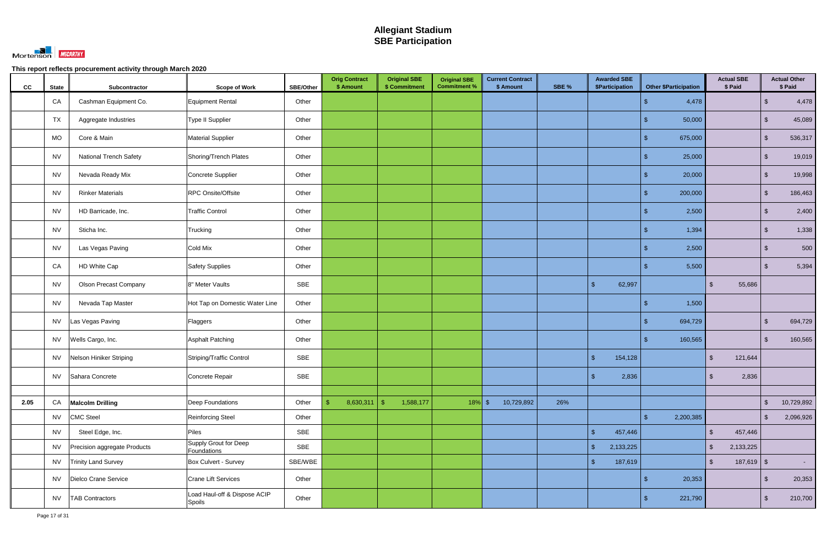

| cc   | <b>State</b> | Subcontractor                 | <b>Scope of Work</b>                        | <b>SBE/Other</b> | <b>Orig Contract</b><br>\$ Amount | <b>Original SBE</b><br>\$ Commitment | <b>Original SBE</b><br><b>Commitment %</b> | <b>Current Contract</b><br>\$ Amount | SBE % | <b>Awarded SBE</b><br>\$Participation | <b>Other \$Participation</b> | <b>Actual SBE</b><br>\$ Paid   |                         | <b>Actual Other</b><br>\$ Paid |
|------|--------------|-------------------------------|---------------------------------------------|------------------|-----------------------------------|--------------------------------------|--------------------------------------------|--------------------------------------|-------|---------------------------------------|------------------------------|--------------------------------|-------------------------|--------------------------------|
|      | CA           | Cashman Equipment Co.         | Equipment Rental                            | Other            |                                   |                                      |                                            |                                      |       |                                       | 4,478                        |                                | -\$                     | 4,478                          |
|      | <b>TX</b>    | Aggregate Industries          | <b>Type II Supplier</b>                     | Other            |                                   |                                      |                                            |                                      |       |                                       | 50,000                       |                                | $\mathcal{S}$           | 45,089                         |
|      | <b>MO</b>    | Core & Main                   | <b>Material Supplier</b>                    | Other            |                                   |                                      |                                            |                                      |       |                                       | 675,000                      |                                | $\sqrt[6]{3}$           | 536,317                        |
|      | <b>NV</b>    | <b>National Trench Safety</b> | Shoring/Trench Plates                       | Other            |                                   |                                      |                                            |                                      |       |                                       | 25,000                       |                                | $\sqrt[6]{3}$           | 19,019                         |
|      | <b>NV</b>    | Nevada Ready Mix              | Concrete Supplier                           | Other            |                                   |                                      |                                            |                                      |       |                                       | 20,000                       |                                | \$                      | 19,998                         |
|      | <b>NV</b>    | <b>Rinker Materials</b>       | RPC Onsite/Offsite                          | Other            |                                   |                                      |                                            |                                      |       |                                       | 200,000                      |                                | $\sqrt[6]{3}$           | 186,463                        |
|      | <b>NV</b>    | HD Barricade, Inc.            | <b>Traffic Control</b>                      | Other            |                                   |                                      |                                            |                                      |       |                                       | 2,500                        |                                | $\sqrt[6]{3}$           | 2,400                          |
|      | <b>NV</b>    | Sticha Inc.                   | Trucking                                    | Other            |                                   |                                      |                                            |                                      |       |                                       | 1,394                        |                                | $\sqrt[6]{\frac{1}{2}}$ | 1,338                          |
|      | <b>NV</b>    | Las Vegas Paving              | Cold Mix                                    | Other            |                                   |                                      |                                            |                                      |       |                                       | 2,500                        |                                | -\$                     | 500                            |
|      | CA           | HD White Cap                  | <b>Safety Supplies</b>                      | Other            |                                   |                                      |                                            |                                      |       |                                       | 5,500                        |                                | $\sqrt[6]{3}$           | 5,394                          |
|      | <b>NV</b>    | <b>Olson Precast Company</b>  | 8" Meter Vaults                             | SBE              |                                   |                                      |                                            |                                      |       | $\mathbb{S}$<br>62,997                |                              | 55,686<br>\$                   |                         |                                |
|      | <b>NV</b>    | Nevada Tap Master             | Hot Tap on Domestic Water Line              | Other            |                                   |                                      |                                            |                                      |       |                                       | 1,500                        |                                |                         |                                |
|      | <b>NV</b>    | Las Vegas Paving              | Flaggers                                    | Other            |                                   |                                      |                                            |                                      |       |                                       | 694,729                      |                                | \$.                     | 694,729                        |
|      | <b>NV</b>    | Wells Cargo, Inc.             | Asphalt Patching                            | Other            |                                   |                                      |                                            |                                      |       |                                       | 160,565                      |                                | -\$                     | 160,565                        |
|      | <b>NV</b>    | Nelson Hiniker Striping       | Striping/Traffic Control                    | SBE              |                                   |                                      |                                            |                                      |       | 154,128<br>-\$                        |                              | 121,644<br><sup>\$</sup>       |                         |                                |
|      | <b>NV</b>    | Sahara Concrete               | Concrete Repair                             | SBE              |                                   |                                      |                                            |                                      |       | 2,836<br>$\sqrt[6]{3}$                |                              | 2,836<br>$\sqrt[6]{2}$         |                         |                                |
|      |              |                               |                                             |                  |                                   |                                      |                                            |                                      |       |                                       |                              |                                |                         |                                |
| 2.05 | CA           | <b>Malcolm Drilling</b>       | <b>Deep Foundations</b>                     | Other            | 8,630,311<br>-\$                  | 1,588,177<br>$\sqrt{3}$              | $18\%$ \$                                  | 10,729,892                           | 26%   |                                       |                              |                                | $\mathcal{L}$           | 10,729,892                     |
|      | <b>NV</b>    | <b>CMC Steel</b>              | Reinforcing Steel                           | Other            |                                   |                                      |                                            |                                      |       |                                       | 2,200,385                    |                                | $\sqrt[6]{3}$           | 2,096,926                      |
|      | <b>NV</b>    | Steel Edge, Inc.              | Piles                                       | SBE              |                                   |                                      |                                            |                                      |       | $\mathbb{S}$<br>457,446               |                              | $\mathfrak{S}$<br>457,446      |                         |                                |
|      | <b>NV</b>    | Precision aggregate Products  | <b>Supply Grout for Deep</b><br>Foundations | SBE              |                                   |                                      |                                            |                                      |       | $\sqrt{2}$<br>2,133,225               |                              | 2,133,225<br>\$                |                         |                                |
|      | <b>NV</b>    | <b>Trinity Land Survey</b>    | Box Culvert - Survey                        | SBE/WBE          |                                   |                                      |                                            |                                      |       | $\sqrt{2}$<br>187,619                 |                              | $187,619$ \$<br>$\mathfrak{S}$ |                         | $\sim 100$                     |
|      | <b>NV</b>    | Dielco Crane Service          | <b>Crane Lift Services</b>                  | Other            |                                   |                                      |                                            |                                      |       |                                       | 20,353                       |                                | -\$                     | 20,353                         |
|      | <b>NV</b>    | <b>TAB Contractors</b>        | Load Haul-off & Dispose ACIP<br>Spoils      | Other            |                                   |                                      |                                            |                                      |       |                                       | 221,790                      |                                | -\$                     | 210,700                        |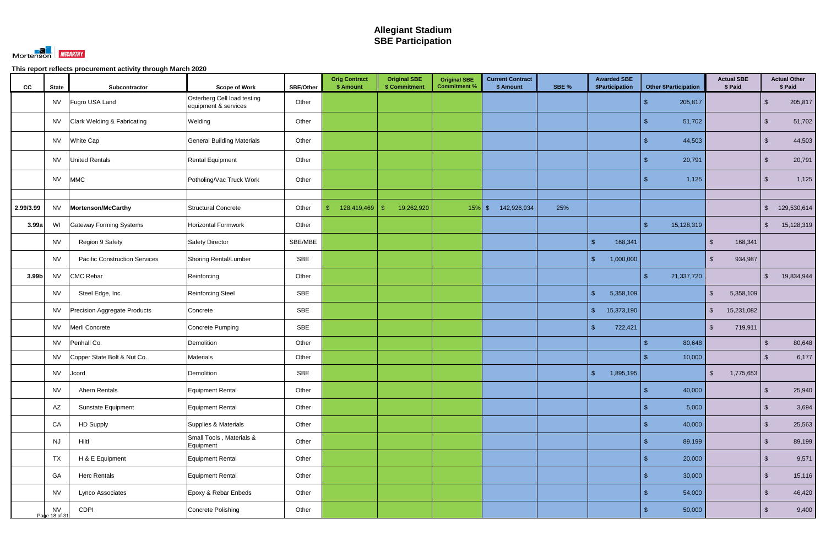

| cc        | <b>State</b>               | Subcontractor                        | <b>Scope of Work</b>                                | SBE/Other  | <b>Orig Contract</b><br>\$ Amount | <b>Original SBE</b><br>\$ Commitment | <b>Original SBE</b><br><b>Commitment %</b> | <b>Current Contract</b><br>\$ Amount | SBE % | <b>Awarded SBE</b><br><b>\$Participation</b> | <b>Other \$Participation</b> | <b>Actual SBE</b><br>\$ Paid          |                         | <b>Actual Other</b><br>\$ Paid |
|-----------|----------------------------|--------------------------------------|-----------------------------------------------------|------------|-----------------------------------|--------------------------------------|--------------------------------------------|--------------------------------------|-------|----------------------------------------------|------------------------------|---------------------------------------|-------------------------|--------------------------------|
|           | <b>NV</b>                  | Fugro USA Land                       | Osterberg Cell load testing<br>equipment & services | Other      |                                   |                                      |                                            |                                      |       |                                              | 205,817                      |                                       | $\mathcal{S}$           | 205,817                        |
|           | NV                         | Clark Welding & Fabricating          | Welding                                             | Other      |                                   |                                      |                                            |                                      |       |                                              | 51,702                       |                                       | $\sqrt[6]{3}$           | 51,702                         |
|           | <b>NV</b>                  | White Cap                            | <b>General Building Materials</b>                   | Other      |                                   |                                      |                                            |                                      |       |                                              | 44,503                       |                                       | $\sqrt[6]{3}$           | 44,503                         |
|           | NV                         | <b>United Rentals</b>                | Rental Equipment                                    | Other      |                                   |                                      |                                            |                                      |       |                                              | 20,791                       |                                       | $\mathcal{L}$           | 20,791                         |
|           | <b>NV</b>                  | <b>MMC</b>                           | Potholing/Vac Truck Work                            | Other      |                                   |                                      |                                            |                                      |       |                                              | 1,125                        |                                       | $\sqrt[6]{3}$           | 1,125                          |
|           |                            |                                      |                                                     |            |                                   |                                      |                                            |                                      |       |                                              |                              |                                       |                         |                                |
| 2.99/3.99 | <b>NV</b>                  | Mortenson/McCarthy                   | Structural Concrete                                 | Other      | $\mathbb{S}$<br>128,419,469       | $\mathfrak{F}$<br>19,262,920         | $15\%$ \$                                  | 142,926,934                          | 25%   |                                              |                              |                                       | $\mathfrak{S}$          | 129,530,614                    |
| 3.99a     | WI                         | <b>Gateway Forming Systems</b>       | Horizontal Formwork                                 | Other      |                                   |                                      |                                            |                                      |       |                                              | 15,128,319<br>\$             |                                       | $\mathfrak{S}$          | 15,128,319                     |
|           | <b>NV</b>                  | Region 9 Safety                      | <b>Safety Director</b>                              | SBE/MBE    |                                   |                                      |                                            |                                      |       | $\sqrt{2}$<br>168,341                        |                              | 168,341<br>$\sqrt[6]{\frac{1}{2}}$    |                         |                                |
|           | <b>NV</b>                  | <b>Pacific Construction Services</b> | Shoring Rental/Lumber                               | SBE        |                                   |                                      |                                            |                                      |       | $\mathbb{S}$<br>1,000,000                    |                              | $\mathbb{S}$<br>934,987               |                         |                                |
| 3.99b     | <b>NV</b>                  | <b>CMC Rebar</b>                     | Reinforcing                                         | Other      |                                   |                                      |                                            |                                      |       |                                              | 21,337,720<br>\$.            |                                       | $\mathcal{S}$           | 19,834,944                     |
|           | <b>NV</b>                  | Steel Edge, Inc.                     | <b>Reinforcing Steel</b>                            | SBE        |                                   |                                      |                                            |                                      |       | $\mathbb{S}$<br>5,358,109                    |                              | $\mathbb{S}$<br>5,358,109             |                         |                                |
|           | <b>NV</b>                  | Precision Aggregate Products         | Concrete                                            | SBE        |                                   |                                      |                                            |                                      |       | $\mathcal{S}$<br>15,373,190                  |                              | $\sqrt[6]{\frac{1}{2}}$<br>15,231,082 |                         |                                |
|           | <b>NV</b>                  | Merli Concrete                       | Concrete Pumping                                    | <b>SBE</b> |                                   |                                      |                                            |                                      |       | 722,421<br>$\mathbb{S}$                      |                              | $\sqrt[6]{\frac{1}{2}}$<br>719,911    |                         |                                |
|           | <b>NV</b>                  | Penhall Co.                          | Demolition                                          | Other      |                                   |                                      |                                            |                                      |       |                                              | 80,648<br>$\mathfrak{L}$     |                                       | $\sqrt[6]{3}$           | 80,648                         |
|           | <b>NV</b>                  | Copper State Bolt & Nut Co.          | Materials                                           | Other      |                                   |                                      |                                            |                                      |       |                                              | 10,000                       |                                       | $\sqrt[6]{3}$           | 6,177                          |
|           | <b>NV</b>                  | Jcord                                | Demolition                                          | <b>SBE</b> |                                   |                                      |                                            |                                      |       | $\mathbf{\hat{s}}$<br>1,895,195              |                              | 1,775,653<br>$\sqrt[6]{\frac{1}{2}}$  |                         |                                |
|           | <b>NV</b>                  | Ahern Rentals                        | Equipment Rental                                    | Other      |                                   |                                      |                                            |                                      |       |                                              | 40,000<br>\$.                |                                       | $\sqrt[6]{\frac{1}{2}}$ | 25,940                         |
|           | AZ                         | Sunstate Equipment                   | Equipment Rental                                    | Other      |                                   |                                      |                                            |                                      |       |                                              | 5,000<br>\$                  |                                       | $\sqrt[6]{\frac{1}{2}}$ | 3,694                          |
|           | CA                         | <b>HD Supply</b>                     | Supplies & Materials                                | Other      |                                   |                                      |                                            |                                      |       |                                              | 40,000<br>\$                 |                                       | $\sqrt[6]{3}$           | 25,563                         |
|           | <b>NJ</b>                  | Hilti                                | Small Tools, Materials &<br>Equipment               | Other      |                                   |                                      |                                            |                                      |       |                                              | 89,199<br>\$.                |                                       | $\sqrt[6]{3}$           | 89,199                         |
|           | <b>TX</b>                  | H & E Equipment                      | Equipment Rental                                    | Other      |                                   |                                      |                                            |                                      |       |                                              | 20,000<br>\$                 |                                       | $\sqrt[6]{\frac{1}{2}}$ | 9,571                          |
|           | GA                         | <b>Herc Rentals</b>                  | Equipment Rental                                    | Other      |                                   |                                      |                                            |                                      |       |                                              | 30,000<br>\$.                |                                       | $\sqrt{2}$              | 15,116                         |
|           | <b>NV</b>                  | Lynco Associates                     | Epoxy & Rebar Enbeds                                | Other      |                                   |                                      |                                            |                                      |       |                                              | 54,000<br>\$                 |                                       | $\sqrt[6]{3}$           | 46,420                         |
|           | <b>NV</b><br>Page 18 of 31 | CDPI                                 | Concrete Polishing                                  | Other      |                                   |                                      |                                            |                                      |       |                                              | 50,000<br>\$                 |                                       | $\sqrt[6]{\frac{1}{2}}$ | 9,400                          |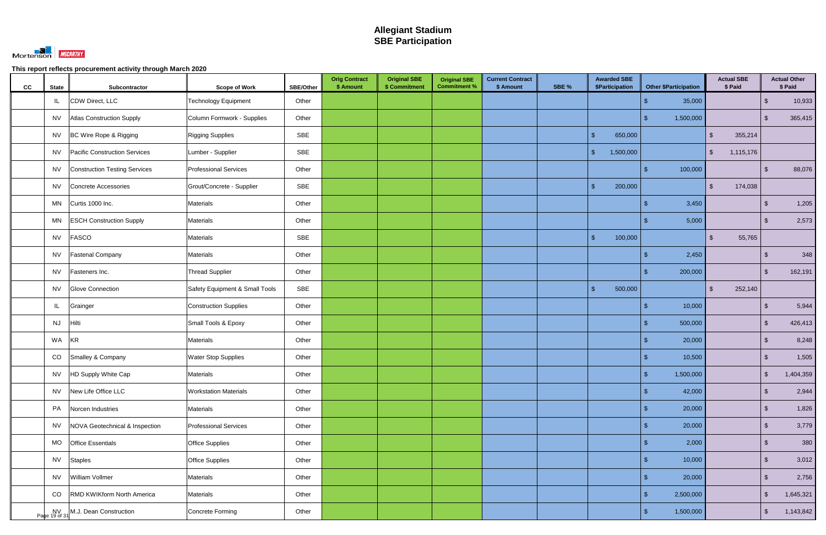

| cc | <b>State</b> | Subcontractor                     | <b>Scope of Work</b>           | <b>SBE/Other</b> | <b>Orig Contract</b><br>\$ Amount | <b>Original SBE</b><br>\$ Commitment | <b>Original SBE</b><br><b>Commitment %</b> | <b>Current Contract</b><br>\$ Amount | SBE % | <b>Awarded SBE</b><br>\$Participation | <b>Other \$Participation</b> | <b>Actual SBE</b><br>\$ Paid      |                         | <b>Actual Other</b><br>\$ Paid |
|----|--------------|-----------------------------------|--------------------------------|------------------|-----------------------------------|--------------------------------------|--------------------------------------------|--------------------------------------|-------|---------------------------------------|------------------------------|-----------------------------------|-------------------------|--------------------------------|
|    | IL           | CDW Direct, LLC                   | <b>Technology Equipment</b>    | Other            |                                   |                                      |                                            |                                      |       |                                       | 35,000                       |                                   | $\sqrt[6]{3}$           | 10,933                         |
|    | <b>NV</b>    | <b>Atlas Construction Supply</b>  | Column Formwork - Supplies     | Other            |                                   |                                      |                                            |                                      |       |                                       | 1,500,000                    |                                   | \$                      | 365,415                        |
|    | <b>NV</b>    | BC Wire Rope & Rigging            | <b>Rigging Supplies</b>        | <b>SBE</b>       |                                   |                                      |                                            |                                      |       | $\mathbf{\hat{S}}$<br>650,000         |                              | 355,214<br>$\mathbb{S}$           |                         |                                |
|    | <b>NV</b>    | Pacific Construction Services     | Lumber - Supplier              | <b>SBE</b>       |                                   |                                      |                                            |                                      |       | $\mathbb{S}$<br>1,500,000             |                              | $\frac{1}{2}$<br>1,115,176        |                         |                                |
|    | <b>NV</b>    | Construction Testing Services     | <b>Professional Services</b>   | Other            |                                   |                                      |                                            |                                      |       |                                       | 100,000<br>\$.               |                                   | $\sqrt[6]{3}$           | 88,076                         |
|    | <b>NV</b>    | Concrete Accessories              | Grout/Concrete - Supplier      | <b>SBE</b>       |                                   |                                      |                                            |                                      |       | $\mathbf{\hat{s}}$<br>200,000         |                              | 174,038<br>$\mathbb{S}$           |                         |                                |
|    | MN           | Curtis 1000 Inc.                  | Materials                      | Other            |                                   |                                      |                                            |                                      |       |                                       | 3,450                        |                                   | $\sqrt[6]{3}$           | 1,205                          |
|    | MN           | <b>ESCH Construction Supply</b>   | Materials                      | Other            |                                   |                                      |                                            |                                      |       |                                       | 5,000                        |                                   | \$                      | 2,573                          |
|    | <b>NV</b>    | <b>FASCO</b>                      | Materials                      | <b>SBE</b>       |                                   |                                      |                                            |                                      |       | $\sqrt{2}$<br>100,000                 |                              | 55,765<br>$\sqrt[6]{\frac{1}{2}}$ |                         |                                |
|    | <b>NV</b>    | <b>Fastenal Company</b>           | Materials                      | Other            |                                   |                                      |                                            |                                      |       |                                       | 2,450                        |                                   | $\sqrt[6]{3}$           | 348                            |
|    | <b>NV</b>    | Fasteners Inc.                    | <b>Thread Supplier</b>         | Other            |                                   |                                      |                                            |                                      |       |                                       | 200,000                      |                                   | $\mathcal{S}$           | 162,191                        |
|    | <b>NV</b>    | <b>Glove Connection</b>           | Safety Equipment & Small Tools | SBE              |                                   |                                      |                                            |                                      |       | $\mathbf{\hat{S}}$<br>500,000         |                              | 252,140<br>$\mathbb{S}$           |                         |                                |
|    | IL           | Grainger                          | <b>Construction Supplies</b>   | Other            |                                   |                                      |                                            |                                      |       |                                       | 10,000                       |                                   |                         | 5,944                          |
|    | <b>NJ</b>    | Hilti                             | Small Tools & Epoxy            | Other            |                                   |                                      |                                            |                                      |       |                                       | 500,000                      |                                   | $\mathcal{S}$           | 426,413                        |
|    | WA           | <b>KR</b>                         | Materials                      | Other            |                                   |                                      |                                            |                                      |       |                                       | 20,000                       |                                   | $\sqrt[6]{3}$           | 8,248                          |
|    | CO           | Smalley & Company                 | <b>Water Stop Supplies</b>     | Other            |                                   |                                      |                                            |                                      |       |                                       | 10,500                       |                                   | $\sqrt[6]{3}$           | 1,505                          |
|    |              | NV  HD Supply White Cap           | Materials                      | Other            |                                   |                                      |                                            |                                      |       |                                       | ፍ<br>1,500,000               |                                   | $\sqrt{2}$              | 1,404,359                      |
|    |              | NV New Life Office LLC            | <b>Workstation Materials</b>   | Other            |                                   |                                      |                                            |                                      |       |                                       | \$<br>42,000                 |                                   | $\sqrt[6]{\frac{1}{2}}$ | 2,944                          |
|    | PA           | Norcen Industries                 | Materials                      | Other            |                                   |                                      |                                            |                                      |       |                                       | 20,000                       |                                   | $\sqrt[6]{\frac{1}{2}}$ | 1,826                          |
|    | <b>NV</b>    | NOVA Geotechnical & Inspection    | <b>Professional Services</b>   | Other            |                                   |                                      |                                            |                                      |       |                                       | 20,000                       |                                   | $\sqrt[6]{3}$           | 3,779                          |
|    | MO           | <b>Office Essentials</b>          | <b>Office Supplies</b>         | Other            |                                   |                                      |                                            |                                      |       |                                       | 2,000                        |                                   | $\sqrt[6]{3}$           | 380                            |
|    | <b>NV</b>    | <b>Staples</b>                    | <b>Office Supplies</b>         | Other            |                                   |                                      |                                            |                                      |       |                                       | 10,000<br>\$                 |                                   | $\sqrt[6]{\frac{1}{2}}$ | 3,012                          |
|    | <b>NV</b>    | William Vollmer                   | Materials                      | Other            |                                   |                                      |                                            |                                      |       |                                       | 20,000<br>\$                 |                                   | $\sqrt[6]{\frac{1}{2}}$ | 2,756                          |
|    | CO           | <b>RMD KWIKform North America</b> | Materials                      | Other            |                                   |                                      |                                            |                                      |       |                                       | 2,500,000                    |                                   | $\sqrt[6]{3}$           | 1,645,321                      |
|    |              | NV MJ. Dean Construction          | Concrete Forming               | Other            |                                   |                                      |                                            |                                      |       |                                       | 1,500,000<br>\$.             |                                   | $\sqrt[6]{3}$           | 1,143,842                      |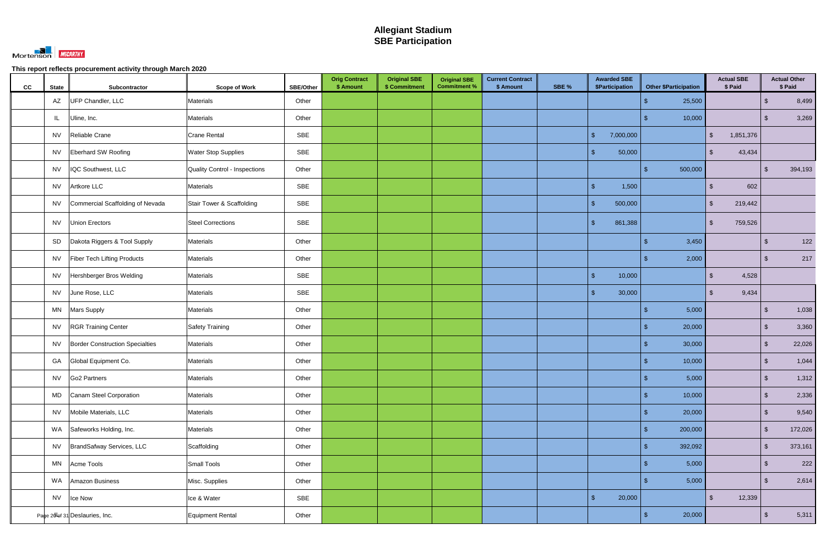

| CC | <b>State</b> | Subcontractor                          | <b>Scope of Work</b>          | <b>SBE/Other</b> | <b>Orig Contract</b><br>\$ Amount | <b>Original SBE</b><br>\$ Commitment | <b>Original SBE</b><br><b>Commitment %</b> | <b>Current Contract</b><br>\$ Amount | SBE % | <b>Awarded SBE</b><br>\$Participation | <b>Other \$Participation</b> | <b>Actual SBE</b><br>\$ Paid   |                         | <b>Actual Other</b><br>\$ Paid |
|----|--------------|----------------------------------------|-------------------------------|------------------|-----------------------------------|--------------------------------------|--------------------------------------------|--------------------------------------|-------|---------------------------------------|------------------------------|--------------------------------|-------------------------|--------------------------------|
|    | AZ           | UFP Chandler, LLC                      | <b>Materials</b>              | Other            |                                   |                                      |                                            |                                      |       |                                       | 25,500                       |                                | $\sqrt[6]{3}$           | 8,499                          |
|    | L            | Uline, Inc.                            | <b>Materials</b>              | Other            |                                   |                                      |                                            |                                      |       |                                       | 10,000                       |                                | $\sqrt[6]{3}$           | 3,269                          |
|    | <b>NV</b>    | Reliable Crane                         | Crane Rental                  | SBE              |                                   |                                      |                                            |                                      |       | $\mathbf{\$}$<br>7,000,000            |                              | 1,851,376<br>\$                |                         |                                |
|    | <b>NV</b>    | <b>Eberhard SW Roofing</b>             | <b>Water Stop Supplies</b>    | SBE              |                                   |                                      |                                            |                                      |       | $\sqrt{2}$<br>50,000                  |                              | 43,434<br>$\mathbb{S}$         |                         |                                |
|    | <b>NV</b>    | IQC Southwest, LLC                     | Quality Control - Inspections | Other            |                                   |                                      |                                            |                                      |       |                                       | 500,000<br>\$                |                                | $\sqrt[3]{2}$           | 394,193                        |
|    | <b>NV</b>    | Artkore LLC                            | Materials                     | SBE              |                                   |                                      |                                            |                                      |       | $\sqrt{2}$<br>1,500                   |                              | 602<br>$\sqrt[6]{\frac{1}{2}}$ |                         |                                |
|    | <b>NV</b>    | Commercial Scaffolding of Nevada       | Stair Tower & Scaffolding     | <b>SBE</b>       |                                   |                                      |                                            |                                      |       | $\sqrt{2}$<br>500,000                 |                              | 219,442<br>$\mathfrak{F}$      |                         |                                |
|    | <b>NV</b>    | Union Erectors                         | Steel Corrections             | SBE              |                                   |                                      |                                            |                                      |       | $\mathcal{S}$<br>861,388              |                              | $\sqrt[6]{3}$<br>759,526       |                         |                                |
|    | SD           | Dakota Riggers & Tool Supply           | Materials                     | Other            |                                   |                                      |                                            |                                      |       |                                       | 3,450                        |                                | $\sqrt[3]{2}$           | 122                            |
|    | <b>NV</b>    | Fiber Tech Lifting Products            | Materials                     | Other            |                                   |                                      |                                            |                                      |       |                                       | 2,000                        |                                | $\sqrt[3]{2}$           | 217                            |
|    | <b>NV</b>    | Hershberger Bros Welding               | <b>Materials</b>              | SBE              |                                   |                                      |                                            |                                      |       | $\sqrt{2}$<br>10,000                  |                              | 4,528<br>$\sqrt[6]{3}$         |                         |                                |
|    | <b>NV</b>    | June Rose, LLC                         | Materials                     | SBE              |                                   |                                      |                                            |                                      |       | $\mathcal{S}$<br>30,000               |                              | 9,434<br><sup>\$</sup>         |                         |                                |
|    | <b>MN</b>    | <b>Mars Supply</b>                     | Materials                     | Other            |                                   |                                      |                                            |                                      |       |                                       | 5,000<br>ß.                  |                                | $\sqrt[3]{2}$           | 1,038                          |
|    | <b>NV</b>    | <b>RGR Training Center</b>             | <b>Safety Training</b>        | Other            |                                   |                                      |                                            |                                      |       |                                       | 20,000                       |                                | $\sqrt[3]{2}$           | 3,360                          |
|    | <b>NV</b>    | <b>Border Construction Specialties</b> | Materials                     | Other            |                                   |                                      |                                            |                                      |       |                                       | 30,000                       |                                | $\sqrt[3]{2}$           | 22,026                         |
|    | GA           | Global Equipment Co.                   | Materials                     | Other            |                                   |                                      |                                            |                                      |       |                                       | 10,000                       |                                | $\sqrt[6]{3}$           | 1,044                          |
|    | <b>NV</b>    | <b>Go2 Partners</b>                    | Materials                     | Other            |                                   |                                      |                                            |                                      |       |                                       | \$<br>5,000                  |                                | $\sqrt[6]{\frac{1}{2}}$ | 1,312                          |
|    | MD           | Canam Steel Corporation                | Materials                     | Other            |                                   |                                      |                                            |                                      |       |                                       | 10,000<br>$\mathfrak{L}$     |                                | $\sqrt[6]{\frac{1}{2}}$ | 2,336                          |
|    | <b>NV</b>    | Mobile Materials, LLC                  | <b>Materials</b>              | Other            |                                   |                                      |                                            |                                      |       |                                       | 20,000<br>\$                 |                                | $\sqrt[6]{3}$           | 9,540                          |
|    | WA           | Safeworks Holding, Inc.                | <b>Materials</b>              | Other            |                                   |                                      |                                            |                                      |       |                                       | 200,000<br>\$.               |                                | $\sqrt[6]{3}$           | 172,026                        |
|    | <b>NV</b>    | BrandSafway Services, LLC              | Scaffolding                   | Other            |                                   |                                      |                                            |                                      |       |                                       | 392,092<br>£.                |                                | $\sqrt{2}$              | 373,161                        |
|    | MN           | Acme Tools                             | <b>Small Tools</b>            | Other            |                                   |                                      |                                            |                                      |       |                                       | 5,000                        |                                | $\sqrt{3}$              | 222                            |
|    | WA           | <b>Amazon Business</b>                 | Misc. Supplies                | Other            |                                   |                                      |                                            |                                      |       |                                       | 5,000                        |                                | $\sqrt[6]{\frac{1}{2}}$ | 2,614                          |
|    | <b>NV</b>    | Ice Now                                | Ice & Water                   | SBE              |                                   |                                      |                                            |                                      |       | $\mathfrak{S}$<br>20,000              |                              | $\sqrt{2}$<br>12,339           |                         |                                |
|    |              | Page 20lof 31 Deslauries, Inc.         | Equipment Rental              | Other            |                                   |                                      |                                            |                                      |       |                                       | 20,000<br>\$                 |                                | $\sqrt[6]{3}$           | 5,311                          |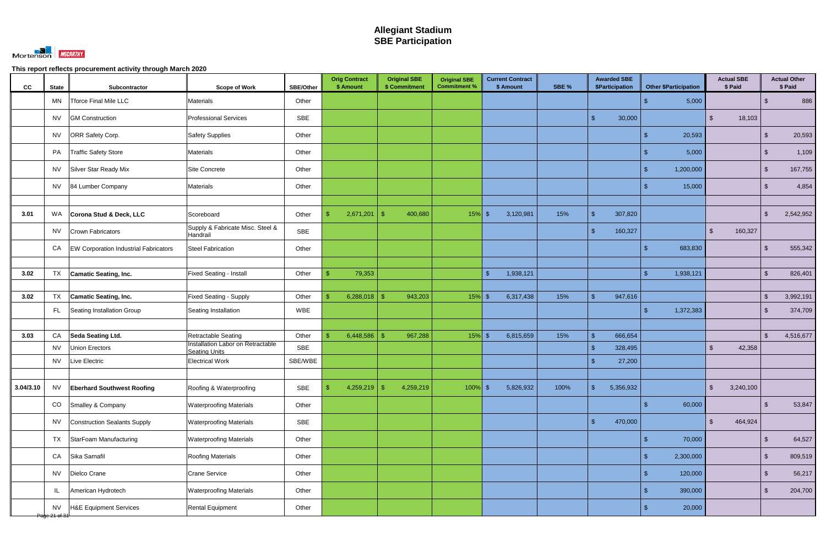

| cc        | <b>State</b>                          | Subcontractor                                | <b>Scope of Work</b>                                            | SBE/Other  | <b>Orig Contract</b><br>\$ Amount | <b>Original SBE</b><br>\$ Commitment | <b>Original SBE</b><br><b>Commitment %</b> | <b>Current Contract</b><br>\$ Amount |           | SBE % |                    | <b>Awarded SBE</b><br>\$Participation |                | <b>Other \$Participation</b> |                         | <b>Actual SBE</b><br>\$ Paid |                | <b>Actual Other</b><br>\$ Paid |
|-----------|---------------------------------------|----------------------------------------------|-----------------------------------------------------------------|------------|-----------------------------------|--------------------------------------|--------------------------------------------|--------------------------------------|-----------|-------|--------------------|---------------------------------------|----------------|------------------------------|-------------------------|------------------------------|----------------|--------------------------------|
|           | MN                                    | Tforce Final Mile LLC                        | Materials                                                       | Other      |                                   |                                      |                                            |                                      |           |       |                    |                                       |                | 5,000                        |                         |                              | \$             | 886                            |
|           | <b>NV</b>                             | <b>GM Construction</b>                       | <b>Professional Services</b>                                    | <b>SBE</b> |                                   |                                      |                                            |                                      |           |       | $\mathbf{\hat{s}}$ | 30,000                                |                |                              | $\mathbb{S}$            | 18,103                       |                |                                |
|           | NV                                    | ORR Safety Corp.                             | <b>Safety Supplies</b>                                          | Other      |                                   |                                      |                                            |                                      |           |       |                    |                                       |                | 20,593                       |                         |                              | $\mathfrak{L}$ | 20,593                         |
|           | PA                                    | <b>Traffic Safety Store</b>                  | Materials                                                       | Other      |                                   |                                      |                                            |                                      |           |       |                    |                                       |                | 5,000                        |                         |                              | \$             | 1,109                          |
|           | <b>NV</b>                             | Silver Star Ready Mix                        | Site Concrete                                                   | Other      |                                   |                                      |                                            |                                      |           |       |                    |                                       | \$.            | 1,200,000                    |                         |                              | $\sqrt[6]{3}$  | 167,755                        |
|           | <b>NV</b>                             | 84 Lumber Company                            | Materials                                                       | Other      |                                   |                                      |                                            |                                      |           |       |                    |                                       |                | 15,000                       |                         |                              | $\mathcal{S}$  | 4,854                          |
|           |                                       |                                              |                                                                 |            |                                   |                                      |                                            |                                      |           |       |                    |                                       |                |                              |                         |                              |                |                                |
| 3.01      | WA                                    | Corona Stud & Deck, LLC                      | Scoreboard                                                      | Other      | 2,671,201<br>-\$                  | -\$<br>400,680                       | $15\%$ \$                                  | 3,120,981                            |           | 15%   | -\$                | 307,820                               |                |                              |                         |                              | $\sqrt[6]{3}$  | 2,542,952                      |
|           | <b>NV</b>                             | Crown Fabricators                            | Supply & Fabricate Misc. Steel &<br>Handrail                    | <b>SBE</b> |                                   |                                      |                                            |                                      |           |       | $\mathcal{S}$      | 160,327                               |                |                              | $\mathfrak{S}$          | 160,327                      |                |                                |
|           | CA                                    | <b>EW Corporation Industrial Fabricators</b> | <b>Steel Fabrication</b>                                        | Other      |                                   |                                      |                                            |                                      |           |       |                    |                                       |                | 683,830                      |                         |                              |                | 555,342                        |
|           |                                       |                                              |                                                                 |            |                                   |                                      |                                            |                                      |           |       |                    |                                       |                |                              |                         |                              |                |                                |
| 3.02      | <b>TX</b>                             | <b>Camatic Seating, Inc.</b>                 | <b>Fixed Seating - Install</b>                                  | Other      | 79,353<br>\$                      |                                      |                                            | $\mathcal{S}$                        | 1,938,121 |       |                    |                                       | £.             | 1,938,121                    |                         |                              | $\mathfrak{L}$ | 826,401                        |
|           |                                       |                                              |                                                                 |            |                                   |                                      |                                            |                                      |           |       |                    |                                       |                |                              |                         |                              |                |                                |
| 3.02      | TX                                    | <b>Camatic Seating, Inc.</b>                 | <b>Fixed Seating - Supply</b>                                   | Other      | 6,288,018<br>\$.                  | 943,203<br>- \$                      | $15\%$ \$                                  |                                      | 6,317,438 | 15%   | $\mathcal{S}$      | 947,616                               |                |                              |                         |                              | $\mathcal{S}$  | 3,992,191                      |
|           | FL.                                   | Seating Installation Group                   | Seating Installation                                            | WBE        |                                   |                                      |                                            |                                      |           |       |                    |                                       | \$.            | 1,372,383                    |                         |                              | \$             | 374,709                        |
|           |                                       |                                              |                                                                 |            |                                   |                                      |                                            |                                      |           |       |                    |                                       |                |                              |                         |                              |                |                                |
| 3.03      | CA                                    | <b>Seda Seating Ltd.</b>                     | <b>Retractable Seating</b><br>Installation Labor on Retractable | Other      | 6,448,586<br>\$                   | 967,288                              | $15%$ \$                                   | 6,815,659                            |           | 15%   | -\$                | 666,654                               |                |                              |                         |                              | $\mathcal{S}$  | 4,516,677                      |
|           | <b>NV</b>                             | <b>Union Erectors</b>                        | <b>Seating Units</b>                                            | <b>SBE</b> |                                   |                                      |                                            |                                      |           |       | $\mathcal{S}$      | 328,495                               |                |                              | $\mathfrak{S}$          | 42,358                       |                |                                |
|           | <b>NV</b>                             | Live Electric                                | <b>Electrical Work</b>                                          | SBE/WBE    |                                   |                                      |                                            |                                      |           |       | $\mathbf{\hat{R}}$ | 27,200                                |                |                              |                         |                              |                |                                |
| 3.04/3.10 | <b>NV</b>                             | <b>Eberhard Southwest Roofing</b>            | Roofing & Waterproofing                                         | SBE        | 4,259,219<br>$\mathcal{S}$        | 4,259,219<br>-\$                     | $100\%$ \$                                 |                                      | 5,826,932 | 100%  | $\mathfrak{S}$     | 5,356,932                             |                |                              | $\sqrt[6]{\frac{1}{2}}$ | 3,240,100                    |                |                                |
|           | CO                                    | Smalley & Company                            | <b>Waterproofing Materials</b>                                  | Other      |                                   |                                      |                                            |                                      |           |       |                    |                                       | \$.            | 60,000                       |                         |                              | $\sqrt[6]{3}$  | 53,847                         |
|           |                                       | Construction Sealants Supply                 |                                                                 | SBE        |                                   |                                      |                                            |                                      |           |       | $\mathbf{\hat{s}}$ | 470,000                               |                |                              | $\mathfrak{S}$          | 464,924                      |                |                                |
|           | <b>NV</b>                             |                                              | <b>Waterproofing Materials</b>                                  |            |                                   |                                      |                                            |                                      |           |       |                    |                                       |                |                              |                         |                              |                |                                |
|           | <b>TX</b>                             | StarFoam Manufacturing                       | <b>Waterproofing Materials</b>                                  | Other      |                                   |                                      |                                            |                                      |           |       |                    |                                       |                | 70,000                       |                         |                              | $\mathcal{S}$  | 64,527                         |
|           | CA                                    | Sika Sarnafil                                | <b>Roofing Materials</b>                                        | Other      |                                   |                                      |                                            |                                      |           |       |                    |                                       | $\mathfrak{L}$ | 2,300,000                    |                         |                              | $\mathcal{S}$  | 809,519                        |
|           | <b>NV</b>                             | Dielco Crane                                 | <b>Crane Service</b>                                            | Other      |                                   |                                      |                                            |                                      |           |       |                    |                                       |                | 120,000                      |                         |                              | $\sqrt[6]{3}$  | 56,217                         |
|           | IL                                    | American Hydrotech                           | <b>Waterproofing Materials</b>                                  | Other      |                                   |                                      |                                            |                                      |           |       |                    |                                       |                | 390,000                      |                         |                              | $\sqrt[6]{3}$  | 204,700                        |
|           | <b>NV</b><br><del>Page 21 of 31</del> | H&E Equipment Services                       | <b>Rental Equipment</b>                                         | Other      |                                   |                                      |                                            |                                      |           |       |                    |                                       | \$.            | 20,000                       |                         |                              |                |                                |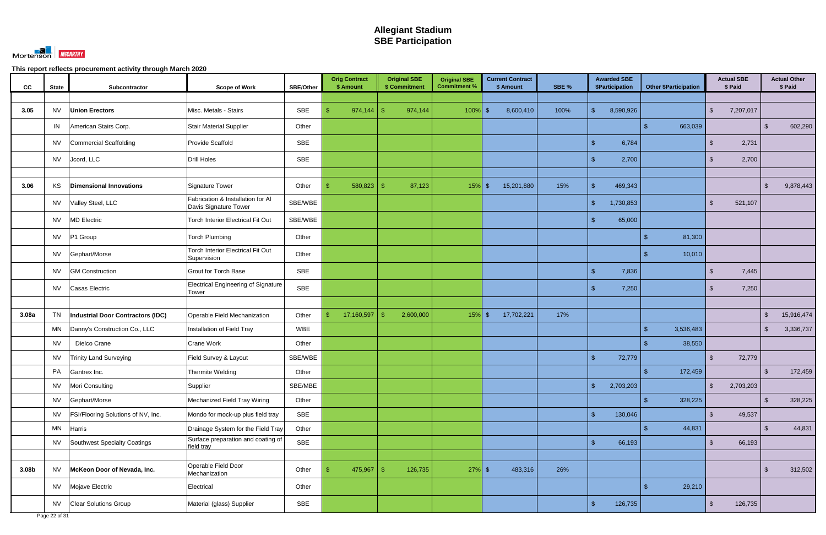

| cc    | <b>State</b> | Subcontractor                             | <b>Scope of Work</b>                                       | SBE/Other  | <b>Orig Contract</b><br>\$ Amount |            | <b>Original SBE</b><br>\$ Commitment | <b>Original SBE</b><br><b>Commitment %</b> |        | <b>Current Contract</b><br>\$ Amount | SBE % |                    | <b>Awarded SBE</b><br><b>\$Participation</b> |               | <b>Other \$Participation</b> |                         | <b>Actual SBE</b><br>\$ Paid |               | <b>Actual Other</b><br>\$ Paid |
|-------|--------------|-------------------------------------------|------------------------------------------------------------|------------|-----------------------------------|------------|--------------------------------------|--------------------------------------------|--------|--------------------------------------|-------|--------------------|----------------------------------------------|---------------|------------------------------|-------------------------|------------------------------|---------------|--------------------------------|
|       |              |                                           |                                                            |            |                                   |            |                                      |                                            |        |                                      |       |                    |                                              |               |                              |                         |                              |               |                                |
| 3.05  | <b>NV</b>    | <b>Union Erectors</b>                     | Misc. Metals - Stairs                                      | SBE        |                                   | 974,144    | 974,144<br>- \$                      | 100%                                       | ,   \$ | 8,600,410                            | 100%  | $\mathbb{S}$       | 8,590,926                                    |               |                              | $\mathfrak{S}$          | 7,207,017                    |               |                                |
|       | IN           | American Stairs Corp.                     | <b>Stair Material Supplier</b>                             | Other      |                                   |            |                                      |                                            |        |                                      |       |                    |                                              |               | 663,039                      |                         |                              | $\sqrt[6]{3}$ | 602,290                        |
|       | <b>NV</b>    | Commercial Scaffolding                    | Provide Scaffold                                           | SBE        |                                   |            |                                      |                                            |        |                                      |       | $\mathbf{\$}$      | 6,784                                        |               |                              | $\mathbb{S}$            | 2,731                        |               |                                |
|       | <b>NV</b>    | Jcord, LLC                                | <b>Drill Holes</b>                                         | SBE        |                                   |            |                                      |                                            |        |                                      |       | $\mathbf{\hat{f}}$ | 2,700                                        |               |                              | $\mathfrak{L}$          | 2,700                        |               |                                |
|       |              |                                           |                                                            |            |                                   |            |                                      |                                            |        |                                      |       |                    |                                              |               |                              |                         |                              |               |                                |
| 3.06  | KS           | <b>Dimensional Innovations</b>            | <b>Signature Tower</b>                                     | Other      |                                   | 580,823    | 87,123<br>-SS                        | $15%$ \$                                   |        | 15,201,880                           | 15%   | $\mathbf{\$}$      | 469,343                                      |               |                              |                         |                              | $\mathbf{\$}$ | 9,878,443                      |
|       | <b>NV</b>    | Valley Steel, LLC                         | Fabrication & Installation for Al<br>Davis Signature Tower | SBE/WBE    |                                   |            |                                      |                                            |        |                                      |       | $\mathbb{S}$       | 1,730,853                                    |               |                              | $\mathbb{S}$            | 521,107                      |               |                                |
|       | <b>NV</b>    | <b>MD Electric</b>                        | <b>Torch Interior Electrical Fit Out</b>                   | SBE/WBE    |                                   |            |                                      |                                            |        |                                      |       | $\mathbf{\hat{s}}$ | 65,000                                       |               |                              |                         |                              |               |                                |
|       | <b>NV</b>    | P1 Group                                  | <b>Torch Plumbing</b>                                      | Other      |                                   |            |                                      |                                            |        |                                      |       |                    |                                              |               | 81,300                       |                         |                              |               |                                |
|       | <b>NV</b>    | Gephart/Morse                             | <b>Torch Interior Electrical Fit Out</b><br>Supervision    | Other      |                                   |            |                                      |                                            |        |                                      |       |                    |                                              |               | 10,010                       |                         |                              |               |                                |
|       | <b>NV</b>    | <b>GM Construction</b>                    | <b>Grout for Torch Base</b>                                | <b>SBE</b> |                                   |            |                                      |                                            |        |                                      |       | $\mathbb{S}$       | 7,836                                        |               |                              | $\mathbb{S}$            | 7,445                        |               |                                |
|       | <b>NV</b>    | Casas Electric                            | <b>Electrical Engineering of Signature</b><br>Tower        | <b>SBE</b> |                                   |            |                                      |                                            |        |                                      |       | $\mathbf{\hat{s}}$ | 7,250                                        |               |                              | $\mathfrak{L}$          | 7,250                        |               |                                |
|       |              |                                           |                                                            |            |                                   |            |                                      |                                            |        |                                      |       |                    |                                              |               |                              |                         |                              |               |                                |
| 3.08a | <b>TN</b>    | Industrial Door Contractors (IDC)         | Operable Field Mechanization                               | Other      | $\mathbb{S}$                      | 17,160,597 | 2,600,000                            | $15%$ \$                                   |        | 17,702,221                           | 17%   |                    |                                              |               |                              |                         |                              | $\mathbf{\$}$ | 15,916,474                     |
|       | MN           | Danny's Construction Co., LLC             | Installation of Field Tray                                 | <b>WBE</b> |                                   |            |                                      |                                            |        |                                      |       |                    |                                              |               | 3,536,483                    |                         |                              | <sup>\$</sup> | 3,336,737                      |
|       | <b>NV</b>    | Dielco Crane                              | Crane Work                                                 | Other      |                                   |            |                                      |                                            |        |                                      |       |                    |                                              |               | 38,550                       |                         |                              |               |                                |
|       | NV           | <b>Trinity Land Surveying</b>             | Field Survey & Layout                                      | SBE/WBE    |                                   |            |                                      |                                            |        |                                      |       | $\mathbf{\$}$      | 72,779                                       |               |                              | S.                      | 72,779                       |               |                                |
|       | PA           | Gantrex Inc.                              | Thermite Welding                                           | Other      |                                   |            |                                      |                                            |        |                                      |       |                    |                                              |               | 172,459                      |                         |                              | \$            | 172,459                        |
|       | <b>NV</b>    | Mori Consulting                           | Supplier                                                   | SBE/MBE    |                                   |            |                                      |                                            |        |                                      |       | $\sqrt{2}$         | 2,703,203                                    |               |                              | $\sqrt[6]{\frac{1}{2}}$ | 2,703,203                    |               |                                |
|       | <b>NV</b>    | Gephart/Morse                             | Mechanized Field Tray Wiring                               | Other      |                                   |            |                                      |                                            |        |                                      |       |                    |                                              |               | 328,225                      |                         |                              | $\mathcal{S}$ | 328,225                        |
|       | <b>NV</b>    | <b>FSI/Flooring Solutions of NV, Inc.</b> | Mondo for mock-up plus field tray                          | SBE        |                                   |            |                                      |                                            |        |                                      |       | $\mathbb{S}$       | 130,046                                      |               |                              | $\mathfrak{S}$          | 49,537                       |               |                                |
|       | MN           | Harris                                    | Drainage System for the Field Tray                         | Other      |                                   |            |                                      |                                            |        |                                      |       |                    |                                              |               | 44,831                       |                         |                              | $\sqrt[6]{3}$ | 44,831                         |
|       | <b>NV</b>    | Southwest Specialty Coatings              | Surface preparation and coating of<br>field tray           | SBE        |                                   |            |                                      |                                            |        |                                      |       | $\mathbb{S}$       | 66,193                                       |               |                              | $\mathfrak{S}$          | 66,193                       |               |                                |
|       |              |                                           |                                                            |            |                                   |            |                                      |                                            |        |                                      |       |                    |                                              |               |                              |                         |                              |               |                                |
| 3.08b | <b>NV</b>    | McKeon Door of Nevada, Inc.               | Operable Field Door<br>Mechanization                       | Other      |                                   |            | 126,735                              | $27%$ \$                                   |        | 483,316                              | 26%   |                    |                                              |               |                              |                         |                              | $\sqrt[6]{3}$ | 312,502                        |
|       | <b>NV</b>    | Mojave Electric                           | Electrical                                                 | Other      |                                   |            |                                      |                                            |        |                                      |       |                    |                                              | $\mathcal{L}$ | 29,210                       |                         |                              |               |                                |
|       | <b>NV</b>    | <b>Clear Solutions Group</b>              | Material (glass) Supplier                                  | SBE        |                                   |            |                                      |                                            |        |                                      |       | $\mathbb{S}$       | 126,735                                      |               |                              | $\mathbb{S}$            | 126,735                      |               |                                |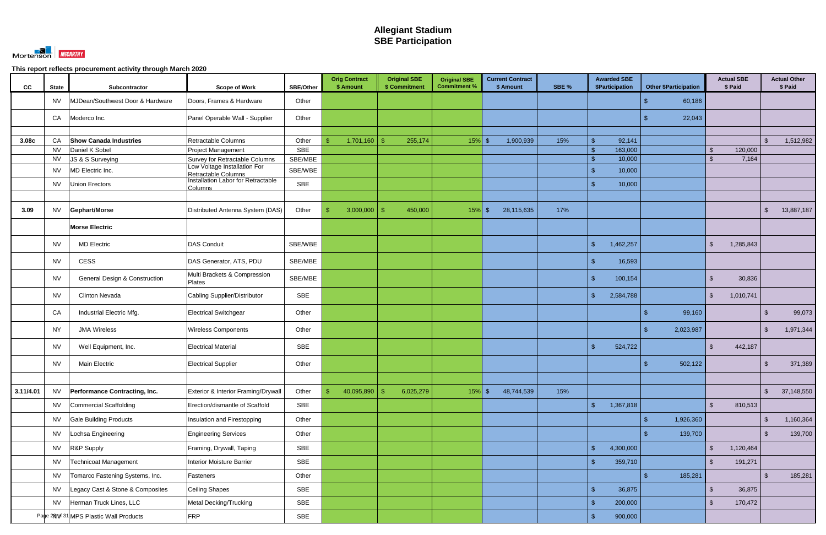

| CC        | <b>State</b>           | Subcontractor                            | <b>Scope of Work</b>                                             | <b>SBE/Other</b>      | <b>Orig Contract</b><br>\$ Amount | <b>Original SBE</b><br>\$ Commitment | <b>Original SBE</b><br><b>Commitment %</b> | <b>Current Contract</b><br>\$ Amount | SBE % | <b>Awarded SBE</b><br>\$Participation | <b>Other \$Participation</b> | <b>Actual SBE</b><br>\$ Paid                        |                         | <b>Actual Other</b><br>\$ Paid |
|-----------|------------------------|------------------------------------------|------------------------------------------------------------------|-----------------------|-----------------------------------|--------------------------------------|--------------------------------------------|--------------------------------------|-------|---------------------------------------|------------------------------|-----------------------------------------------------|-------------------------|--------------------------------|
|           | <b>NV</b>              | MJDean/Southwest Door & Hardware         | Doors, Frames & Hardware                                         | Other                 |                                   |                                      |                                            |                                      |       |                                       | 60,186                       |                                                     |                         |                                |
|           | CA                     | Moderco Inc.                             | Panel Operable Wall - Supplier                                   | Other                 |                                   |                                      |                                            |                                      |       |                                       | 22,043                       |                                                     |                         |                                |
|           |                        |                                          |                                                                  |                       |                                   |                                      |                                            |                                      |       |                                       |                              |                                                     |                         |                                |
| 3.08c     | CA                     | <b>Show Canada Industries</b>            | Retractable Columns                                              | Other                 | 1,701,160                         | 255,174                              | $15%$ \$                                   | 1,900,939                            | 15%   | 92,141<br>\$                          |                              |                                                     | \$.                     | 1,512,982                      |
|           | <b>NV</b><br><b>NV</b> | Daniel K Sobel                           | Project Management<br>Survey for Retractable Columns             | <b>SBE</b><br>SBE/MBE |                                   |                                      |                                            |                                      |       | 163,000<br>\$<br>10,000<br>\$         |                              | 120,000<br>$\mathfrak{S}$<br>7,164<br><sup>\$</sup> |                         |                                |
|           |                        | JS & S Surveying                         | Low Voltage Installation For                                     |                       |                                   |                                      |                                            |                                      |       |                                       |                              |                                                     |                         |                                |
|           | <b>NV</b>              | MD Electric Inc.                         | Retractable Columns<br><b>Installation Labor for Retractable</b> | SBE/WBE               |                                   |                                      |                                            |                                      |       | $\sqrt[6]{3}$<br>10,000               |                              |                                                     |                         |                                |
|           | <b>NV</b>              | Union Erectors                           | Columns                                                          | SBE                   |                                   |                                      |                                            |                                      |       | $\mathcal{R}$<br>10,000               |                              |                                                     |                         |                                |
|           |                        |                                          |                                                                  |                       |                                   |                                      |                                            |                                      |       |                                       |                              |                                                     |                         |                                |
| 3.09      | <b>NV</b>              | Gephart/Morse                            | Distributed Antenna System (DAS)                                 | Other                 | 3,000,000                         | 450,000<br>-\$                       | $15\%$ \$                                  | 28,115,635                           | 17%   |                                       |                              |                                                     | $\mathcal{L}$           | 13,887,187                     |
|           |                        | <b>Morse Electric</b>                    |                                                                  |                       |                                   |                                      |                                            |                                      |       |                                       |                              |                                                     |                         |                                |
|           | <b>NV</b>              | <b>MD Electric</b>                       | <b>DAS Conduit</b>                                               | SBE/WBE               |                                   |                                      |                                            |                                      |       | $\mathcal{S}$<br>1,462,257            |                              | 1,285,843<br>\$                                     |                         |                                |
|           | <b>NV</b>              | CESS                                     | DAS Generator, ATS, PDU                                          | SBE/MBE               |                                   |                                      |                                            |                                      |       | 16,593<br>$\mathbb{S}$                |                              |                                                     |                         |                                |
|           | <b>NV</b>              | <b>General Design &amp; Construction</b> | Multi Brackets & Compression<br>Plates                           | SBE/MBE               |                                   |                                      |                                            |                                      |       | $\sqrt{2}$<br>100,154                 |                              | 30,836<br><sup>\$</sup>                             |                         |                                |
|           | <b>NV</b>              | <b>Clinton Nevada</b>                    | Cabling Supplier/Distributor                                     | <b>SBE</b>            |                                   |                                      |                                            |                                      |       | $\mathcal{S}$<br>2,584,788            |                              | $\mathfrak{S}$<br>1,010,741                         |                         |                                |
|           | CA                     | Industrial Electric Mfg.                 | <b>Electrical Switchgear</b>                                     | Other                 |                                   |                                      |                                            |                                      |       |                                       | 99,160                       |                                                     | -\$                     | 99,073                         |
|           | <b>NY</b>              | <b>JMA Wireless</b>                      | <b>Wireless Components</b>                                       | Other                 |                                   |                                      |                                            |                                      |       |                                       | 2,023,987                    |                                                     | -\$                     | 1,971,344                      |
|           | <b>NV</b>              | Well Equipment, Inc.                     | <b>Electrical Material</b>                                       | SBE                   |                                   |                                      |                                            |                                      |       | 524,722                               |                              | $\mathfrak{S}$<br>442,187                           |                         |                                |
|           | <b>NV</b>              | Main Electric                            | <b>Electrical Supplier</b>                                       | Other                 |                                   |                                      |                                            |                                      |       |                                       | 502,122                      |                                                     |                         | 371,389                        |
|           |                        |                                          |                                                                  |                       |                                   |                                      |                                            |                                      |       |                                       |                              |                                                     |                         |                                |
| 3.11/4.01 | <b>NV</b>              | Performance Contracting, Inc.            | Exterior & Interior Framing/Drywall                              | Other                 | 40,095,890<br>$\mathfrak{S}$      | 6,025,279<br>-\$                     | $15\%$ \$                                  | 48,744,539                           | 15%   |                                       |                              |                                                     | $\sqrt[6]{\frac{1}{2}}$ | 37,148,550                     |
|           | <b>NV</b>              | Commercial Scaffolding                   | Erection/dismantle of Scaffold                                   | <b>SBE</b>            |                                   |                                      |                                            |                                      |       | $\sqrt{2}$<br>1,367,818               |                              | $\mathfrak{S}$<br>810,513                           |                         |                                |
|           | <b>NV</b>              | <b>Gale Building Products</b>            | Insulation and Firestopping                                      | Other                 |                                   |                                      |                                            |                                      |       |                                       | 1,926,360<br>\$.             |                                                     | $\mathcal{L}$           | 1,160,364                      |
|           | <b>NV</b>              | Lochsa Engineering                       | <b>Engineering Services</b>                                      | Other                 |                                   |                                      |                                            |                                      |       |                                       | 139,700                      |                                                     | ්                       | 139,700                        |
|           | <b>NV</b>              | R&P Supply                               | Framing, Drywall, Taping                                         | <b>SBE</b>            |                                   |                                      |                                            |                                      |       | 4,300,000<br>$\mathbf{\$}$            |                              | $\mathfrak{S}$<br>1,120,464                         |                         |                                |
|           | <b>NV</b>              | Technicoat Management                    | Interior Moisture Barrier                                        | SBE                   |                                   |                                      |                                            |                                      |       | -\$<br>359,710                        |                              | $\mathfrak{S}$<br>191,271                           |                         |                                |
|           | <b>NV</b>              | Tomarco Fastening Systems, Inc.          | Fasteners                                                        | Other                 |                                   |                                      |                                            |                                      |       |                                       | 185,281<br>\$.               |                                                     | $\mathcal{L}$           | 185,281                        |
|           | <b>NV</b>              | Legacy Cast & Stone & Composites         | Ceiling Shapes                                                   | <b>SBE</b>            |                                   |                                      |                                            |                                      |       | $\mathbb{S}$<br>36,875                |                              | $\mathfrak{S}$<br>36,875                            |                         |                                |
|           | <b>NV</b>              | Herman Truck Lines, LLC                  | Metal Decking/Trucking                                           | SBE                   |                                   |                                      |                                            |                                      |       | $\mathcal{S}$<br>200,000              |                              | $\mathfrak{S}$<br>170,472                           |                         |                                |
|           |                        | Page 2NV 31 MPS Plastic Wall Products    | <b>FRP</b>                                                       | SBE                   |                                   |                                      |                                            |                                      |       | $\mathbf{\$}$<br>900,000              |                              |                                                     |                         |                                |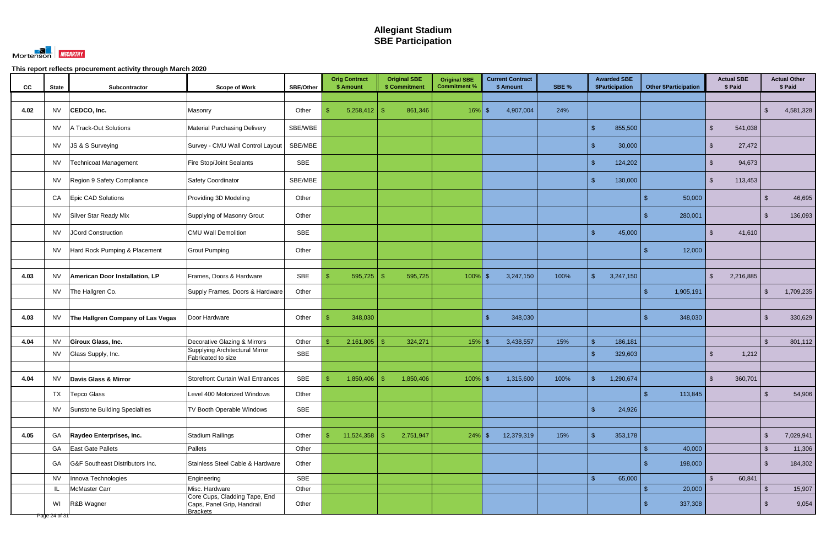

| cc   | <b>State</b>  | Subcontractor                     | <b>Scope of Work</b>                                                           | SBE/Other | <b>Orig Contract</b><br>\$ Amount | <b>Original SBE</b><br>\$ Commitment | <b>Original SBE</b><br><b>Commitment %</b> | <b>Current Contract</b><br>\$ Amount | SBE % | <b>Awarded SBE</b><br><b>\$Participation</b> | <b>Other \$Participation</b> | <b>Actual SBE</b><br>\$ Paid |               | <b>Actual Other</b><br>\$ Paid |
|------|---------------|-----------------------------------|--------------------------------------------------------------------------------|-----------|-----------------------------------|--------------------------------------|--------------------------------------------|--------------------------------------|-------|----------------------------------------------|------------------------------|------------------------------|---------------|--------------------------------|
|      |               |                                   |                                                                                |           |                                   |                                      |                                            |                                      |       |                                              |                              |                              |               |                                |
| 4.02 | <b>NV</b>     | CEDCO, Inc.                       | Masonry                                                                        | Other     | $5,258,412$ \$                    | 861,346                              | $16\%$ \$                                  | 4,907,004                            | 24%   |                                              |                              |                              | $\mathcal{L}$ | 4,581,328                      |
|      | <b>NV</b>     | A Track-Out Solutions             | <b>Material Purchasing Delivery</b>                                            | SBE/WBE   |                                   |                                      |                                            |                                      |       | 855,500<br>ፍ                                 |                              | $\mathcal{S}$<br>541,038     |               |                                |
|      | <b>NV</b>     | JS & S Surveying                  | Survey - CMU Wall Control Layout                                               | SBE/MBE   |                                   |                                      |                                            |                                      |       | -\$<br>30,000                                |                              | 27,472<br>-S                 |               |                                |
|      | <b>NV</b>     | Technicoat Management             | <b>Fire Stop/Joint Sealants</b>                                                | SBE       |                                   |                                      |                                            |                                      |       | 124,202<br>$\mathcal{S}$                     |                              | 94,673<br>-S                 |               |                                |
|      | <b>NV</b>     | Region 9 Safety Compliance        | <b>Safety Coordinator</b>                                                      | SBE/MBE   |                                   |                                      |                                            |                                      |       | 130,000<br>$\mathbf{\hat{R}}$                |                              | 113,453<br><sup>\$</sup>     |               |                                |
|      | CA            | Epic CAD Solutions                | Providing 3D Modeling                                                          | Other     |                                   |                                      |                                            |                                      |       |                                              | 50,000<br>\$.                |                              | <b>\$</b>     | 46,695                         |
|      | <b>NV</b>     | Silver Star Ready Mix             | Supplying of Masonry Grout                                                     | Other     |                                   |                                      |                                            |                                      |       |                                              | 280,001                      |                              | $\mathcal{S}$ | 136,093                        |
|      | <b>NV</b>     | JCord Construction                | <b>CMU Wall Demolition</b>                                                     | SBE       |                                   |                                      |                                            |                                      |       | 45,000<br>$\mathbf{\hat{R}}$                 |                              | 41,610<br>$\mathcal{S}$      |               |                                |
|      | NV.           | Hard Rock Pumping & Placement     | <b>Grout Pumping</b>                                                           | Other     |                                   |                                      |                                            |                                      |       |                                              | 12,000                       |                              |               |                                |
|      |               |                                   |                                                                                |           |                                   |                                      |                                            |                                      |       |                                              |                              |                              |               |                                |
| 4.03 | <b>NV</b>     | American Door Installation, LP    | Frames, Doors & Hardware                                                       | SBE       | 595,725<br>\$                     | 595,725<br>-SS                       | 100%                                       | 3,247,150<br>l S                     | 100%  | $\mathbb{S}$<br>3,247,150                    |                              | $\mathfrak{S}$<br>2,216,885  |               |                                |
|      | <b>NV</b>     | The Hallgren Co.                  | Supply Frames, Doors & Hardware                                                | Other     |                                   |                                      |                                            |                                      |       |                                              | 1,905,191<br>\$.             |                              | $\sqrt[6]{3}$ | 1,709,235                      |
|      |               |                                   |                                                                                |           |                                   |                                      |                                            |                                      |       |                                              |                              |                              |               |                                |
| 4.03 | <b>NV</b>     | The Hallgren Company of Las Vegas | Door Hardware                                                                  | Other     | 348,030                           |                                      |                                            | 348,030<br>- \$                      |       |                                              | 348,030                      |                              | \$            | 330,629                        |
|      |               |                                   |                                                                                |           |                                   |                                      |                                            |                                      |       |                                              |                              |                              |               |                                |
| 4.04 | <b>NV</b>     | Giroux Glass, Inc.                | Decorative Glazing & Mirrors                                                   | Other     | 2,161,805                         | 324,271<br>- R                       | $15%$ \$                                   | 3,438,557                            | 15%   | 186,181<br>\$                                |                              |                              | \$            | 801,112                        |
|      | <b>NV</b>     | Glass Supply, Inc.                | <b>Supplying Architectural Mirror</b><br>Fabricated to size                    | SBE       |                                   |                                      |                                            |                                      |       | $\mathbf{\hat{R}}$<br>329,603                |                              | 1,212<br>-SS                 |               |                                |
|      |               |                                   |                                                                                |           |                                   |                                      |                                            |                                      |       |                                              |                              |                              |               |                                |
| 4.04 | NV            | Davis Glass & Mirror              | Storefront Curtain Wall Entrances                                              | SBE       | $1,850,406$ \ \ \$                | 1,850,406                            | $100\%$ \$                                 | 1,315,600                            | 100%  | 1,290,674                                    |                              | \$<br>360,701                |               |                                |
|      | TX            | <b>Tepco Glass</b>                | Level 400 Motorized Windows                                                    | Other     |                                   |                                      |                                            |                                      |       |                                              | 113,845                      |                              | $\sqrt[6]{3}$ | 54,906                         |
|      | <b>NV</b>     | Sunstone Building Specialties     | TV Booth Operable Windows                                                      | SBE       |                                   |                                      |                                            |                                      |       | $\mathbf{\hat{s}}$<br>24,926                 |                              |                              |               |                                |
|      |               |                                   |                                                                                |           |                                   |                                      |                                            |                                      |       |                                              |                              |                              |               |                                |
| 4.05 | GA            | Raydeo Enterprises, Inc.          | <b>Stadium Railings</b>                                                        | Other     |                                   | 2,751,947                            | $24\%$ \$                                  | 12,379,319                           | 15%   | 353,178                                      |                              |                              | $\mathcal{S}$ | 7,029,941                      |
|      | GA            | East Gate Pallets                 | Pallets                                                                        | Other     |                                   |                                      |                                            |                                      |       |                                              | 40,000                       |                              | $\sqrt[6]{3}$ | 11,306                         |
|      | GA            | G&F Southeast Distributors Inc.   | Stainless Steel Cable & Hardware                                               | Other     |                                   |                                      |                                            |                                      |       |                                              | 198,000                      |                              | $\mathcal{L}$ | 184,302                        |
|      | <b>NV</b>     | Innova Technologies               | Engineering                                                                    | SBE       |                                   |                                      |                                            |                                      |       | $\mathcal{S}$<br>65,000                      |                              | $\mathcal{S}$<br>60,841      |               |                                |
|      | IL.           | McMaster Carr                     | Misc. Hardware                                                                 | Other     |                                   |                                      |                                            |                                      |       |                                              | 20,000                       |                              | $\mathcal{S}$ | 15,907                         |
|      | WI            | R&B Wagner                        | Core Cups, Cladding Tape, End<br>Caps, Panel Grip, Handrail<br><b>Brackets</b> | Other     |                                   |                                      |                                            |                                      |       |                                              | 337,308                      |                              |               | 9,054                          |
|      | Page 24 of 31 |                                   |                                                                                |           |                                   |                                      |                                            |                                      |       |                                              |                              |                              |               |                                |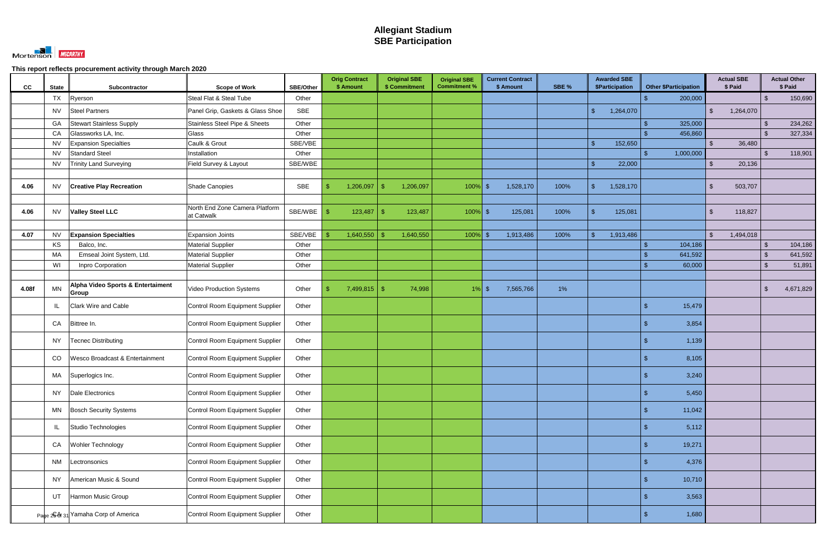

| CC    | <b>State</b> | Subcontractor                        | <b>Scope of Work</b>                         | <b>SBE/Other</b> | <b>Orig Contract</b><br>\$ Amount | <b>Original SBE</b><br>\$ Commitment | <b>Original SBE</b><br><b>Commitment %</b> | <b>Current Contract</b><br>\$ Amount | SBE % | <b>Awarded SBE</b><br>\$Participation | <b>Other \$Participation</b> | <b>Actual SBE</b><br>\$ Paid |                | <b>Actual Other</b><br>\$ Paid |
|-------|--------------|--------------------------------------|----------------------------------------------|------------------|-----------------------------------|--------------------------------------|--------------------------------------------|--------------------------------------|-------|---------------------------------------|------------------------------|------------------------------|----------------|--------------------------------|
|       | <b>TX</b>    | Ryerson                              | Steal Flat & Steal Tube                      | Other            |                                   |                                      |                                            |                                      |       |                                       | 200,000                      |                              | \$             | 150,690                        |
|       | NV.          | <b>Steel Partners</b>                | Panel Grip, Gaskets & Glass Shoe             | SBE              |                                   |                                      |                                            |                                      |       | $\mathbf{\$}$<br>1,264,070            |                              | 1,264,070<br>$\mathbb{S}$    |                |                                |
|       | GA           | <b>Stewart Stainless Supply</b>      | Stainless Steel Pipe & Sheets                | Other            |                                   |                                      |                                            |                                      |       |                                       | 325,000                      |                              | -\$            | 234,262                        |
|       | CA           | Glassworks LA, Inc.                  | Glass                                        | Other            |                                   |                                      |                                            |                                      |       |                                       | 456,860                      |                              | . \$           | 327,334                        |
|       | <b>NV</b>    | <b>Expansion Specialties</b>         | Caulk & Grout                                | SBE/VBE          |                                   |                                      |                                            |                                      |       | $\mathbf{\hat{R}}$<br>152,650         |                              | $\mathcal{S}$<br>36,480      |                |                                |
|       | <b>NV</b>    | <b>Standard Steel</b>                | Installation                                 | Other            |                                   |                                      |                                            |                                      |       |                                       | 1,000,000                    |                              | -\$            | 118,901                        |
|       | <b>NV</b>    | <b>Trinity Land Surveying</b>        | Field Survey & Layout                        | SBE/WBE          |                                   |                                      |                                            |                                      |       | 22,000<br>-S.                         |                              | $\mathbb{S}$<br>20,136       |                |                                |
|       |              |                                      |                                              |                  |                                   |                                      |                                            |                                      |       |                                       |                              |                              |                |                                |
| 4.06  | <b>NV</b>    | <b>Creative Play Recreation</b>      | Shade Canopies                               | SBE              | 1,206,097<br>\$                   | 1,206,097                            | $100\%$ \$                                 | 1,528,170                            | 100%  | $\mathcal{S}$<br>1,528,170            |                              | 503,707<br>\$                |                |                                |
|       |              |                                      |                                              |                  |                                   |                                      |                                            |                                      |       |                                       |                              |                              |                |                                |
| 4.06  | <b>NV</b>    | <b>Valley Steel LLC</b>              | North End Zone Camera Platform<br>at Catwalk | SBE/WBE          | 123,487                           | 123,487                              | $100\%$ \$                                 | 125,081                              | 100%  | 125,081                               |                              | 118,827<br>S.                |                |                                |
|       |              |                                      |                                              |                  |                                   |                                      |                                            |                                      |       |                                       |                              |                              |                |                                |
| 4.07  | <b>NV</b>    | <b>Expansion Specialties</b>         | <b>Expansion Joints</b>                      | SBE/VBE          | 1,640,550                         | 1,640,550                            | $100\%$ \$                                 | 1,913,486                            | 100%  | 1,913,486<br>ፍ                        |                              | $\mathbb{S}$<br>1,494,018    |                |                                |
|       | KS           | Balco, Inc.                          | <b>Material Supplier</b>                     | Other            |                                   |                                      |                                            |                                      |       |                                       | 104,186                      |                              | $\mathfrak{L}$ | 104,186                        |
|       | МA           | Emseal Joint System, Ltd.            | <b>Material Supplier</b>                     | Other            |                                   |                                      |                                            |                                      |       |                                       | 641,592                      |                              | -\$            | 641,592                        |
|       | WI           | Inpro Corporation                    | <b>Material Supplier</b>                     | Other            |                                   |                                      |                                            |                                      |       |                                       | 60,000                       |                              | $\mathfrak{L}$ | 51,891                         |
| 4.08f | <b>MN</b>    | Alpha Video Sports & Entertaiment    | <b>Video Production Systems</b>              | Other            | $7,499,815$ \$<br>\$              | 74,998                               | $1\%$ \$                                   | 7,565,766                            | $1\%$ |                                       |                              |                              | \$             | 4,671,829                      |
|       | IL           | Group<br><b>Clark Wire and Cable</b> | <b>Control Room Equipment Supplier</b>       | Other            |                                   |                                      |                                            |                                      |       |                                       | 15,479                       |                              |                |                                |
|       | CA           | Bittree In.                          | <b>Control Room Equipment Supplier</b>       | Other            |                                   |                                      |                                            |                                      |       |                                       | 3,854                        |                              |                |                                |
|       | NY           | <b>Tecnec Distributing</b>           | <b>Control Room Equipment Supplier</b>       | Other            |                                   |                                      |                                            |                                      |       |                                       | 1,139                        |                              |                |                                |
|       | CO           | Wesco Broadcast & Entertainment      | Control Room Equipment Supplier              | Other            |                                   |                                      |                                            |                                      |       |                                       | 8,105                        |                              |                |                                |
|       |              | MA Superlogics Inc.                  | Control Room Equipment Supplier              | Other            |                                   |                                      |                                            |                                      |       |                                       | $\mathbf{\Phi}$<br>3,240     |                              |                |                                |
|       |              | NY Dale Electronics                  | Control Room Equipment Supplier              | Other            |                                   |                                      |                                            |                                      |       |                                       | 5,450                        |                              |                |                                |
|       | MN           | <b>Bosch Security Systems</b>        | Control Room Equipment Supplier              | Other            |                                   |                                      |                                            |                                      |       |                                       | 11,042                       |                              |                |                                |
|       | IL           | Studio Technologies                  | Control Room Equipment Supplier              | Other            |                                   |                                      |                                            |                                      |       |                                       | 5,112                        |                              |                |                                |
|       | CA           | Wohler Technology                    | Control Room Equipment Supplier              | Other            |                                   |                                      |                                            |                                      |       |                                       | 19,271<br>\$.                |                              |                |                                |
|       | <b>NM</b>    | Lectronsonics                        | Control Room Equipment Supplier              | Other            |                                   |                                      |                                            |                                      |       |                                       | 4,376                        |                              |                |                                |
|       | NY           | American Music & Sound               | Control Room Equipment Supplier              | Other            |                                   |                                      |                                            |                                      |       |                                       | 10,710                       |                              |                |                                |
|       | UT           | Harmon Music Group                   | <b>Control Room Equipment Supplier</b>       | Other            |                                   |                                      |                                            |                                      |       |                                       | 3,563                        |                              |                |                                |
|       |              | Page 2G& 31 Yamaha Corp of America   | Control Room Equipment Supplier              | Other            |                                   |                                      |                                            |                                      |       |                                       | 1,680                        |                              |                |                                |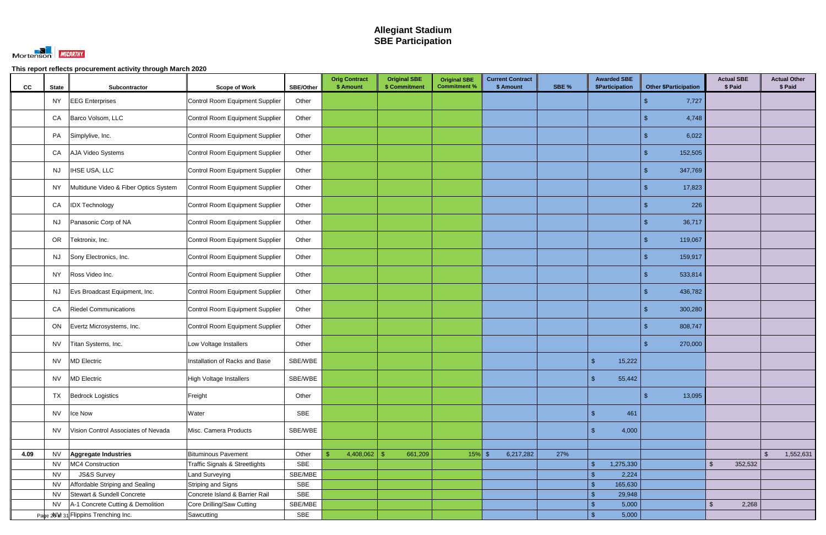

| cc   | <b>State</b> | Subcontractor                         | <b>Scope of Work</b>                      | <b>SBE/Other</b> | <b>Orig Contract</b><br>\$ Amount | <b>Original SBE</b><br>\$ Commitment | <b>Original SBE</b><br><b>Commitment %</b> | <b>Current Contract</b><br>\$ Amount | SBE % | <b>Awarded SBE</b><br>\$Participation | <b>Other \$Participation</b> | <b>Actual SBE</b><br>\$ Paid | <b>Actual Other</b><br>\$ Paid |
|------|--------------|---------------------------------------|-------------------------------------------|------------------|-----------------------------------|--------------------------------------|--------------------------------------------|--------------------------------------|-------|---------------------------------------|------------------------------|------------------------------|--------------------------------|
|      | <b>NY</b>    | <b>EEG</b> Enterprises                | Control Room Equipment Supplier           | Other            |                                   |                                      |                                            |                                      |       |                                       | 7,727                        |                              |                                |
|      | CA           | Barco Volsom, LLC                     | Control Room Equipment Supplier           | Other            |                                   |                                      |                                            |                                      |       |                                       | 4,748                        |                              |                                |
|      | PA           | Simplylive, Inc.                      | Control Room Equipment Supplier           | Other            |                                   |                                      |                                            |                                      |       |                                       | 6,022                        |                              |                                |
|      | CA           | AJA Video Systems                     | Control Room Equipment Supplier           | Other            |                                   |                                      |                                            |                                      |       |                                       | 152,505                      |                              |                                |
|      | <b>NJ</b>    | IHSE USA, LLC                         | Control Room Equipment Supplier           | Other            |                                   |                                      |                                            |                                      |       |                                       | 347,769                      |                              |                                |
|      | <b>NY</b>    | Multidune Video & Fiber Optics System | Control Room Equipment Supplier           | Other            |                                   |                                      |                                            |                                      |       |                                       | 17,823                       |                              |                                |
|      | CA           | <b>IDX Technology</b>                 | Control Room Equipment Supplier           | Other            |                                   |                                      |                                            |                                      |       |                                       | 226                          |                              |                                |
|      | <b>NJ</b>    | Panasonic Corp of NA                  | Control Room Equipment Supplier           | Other            |                                   |                                      |                                            |                                      |       |                                       | 36,717<br>£.                 |                              |                                |
|      | OR           | Tektronix, Inc.                       | Control Room Equipment Supplier           | Other            |                                   |                                      |                                            |                                      |       |                                       | 119,067                      |                              |                                |
|      | <b>NJ</b>    | Sony Electronics, Inc.                | Control Room Equipment Supplier           | Other            |                                   |                                      |                                            |                                      |       |                                       | 159,917                      |                              |                                |
|      | <b>NY</b>    | Ross Video Inc.                       | Control Room Equipment Supplier           | Other            |                                   |                                      |                                            |                                      |       |                                       | 533,814                      |                              |                                |
|      | <b>NJ</b>    | Evs Broadcast Equipment, Inc.         | Control Room Equipment Supplier           | Other            |                                   |                                      |                                            |                                      |       |                                       | 436,782                      |                              |                                |
|      | CA           | <b>Riedel Communications</b>          | Control Room Equipment Supplier           | Other            |                                   |                                      |                                            |                                      |       |                                       | 300,280                      |                              |                                |
|      | ON           | Evertz Microsystems, Inc.             | Control Room Equipment Supplier           | Other            |                                   |                                      |                                            |                                      |       |                                       | 808,747                      |                              |                                |
|      | <b>NV</b>    | Titan Systems, Inc.                   | Low Voltage Installers                    | Other            |                                   |                                      |                                            |                                      |       |                                       | 270,000                      |                              |                                |
|      | <b>NV</b>    | MD Electric                           | Installation of Racks and Base            | SBE/WBE          |                                   |                                      |                                            |                                      |       | 15,222<br>$\mathcal{S}$               |                              |                              |                                |
|      | <b>NV</b>    | <b>MD Electric</b>                    | High Voltage Installers                   | SBE/WBE          |                                   |                                      |                                            |                                      |       | - \$<br>55,442                        |                              |                              |                                |
|      | <b>TX</b>    | <b>Bedrock Logistics</b>              | Freight                                   | Other            |                                   |                                      |                                            |                                      |       |                                       | 13,095                       |                              |                                |
|      | <b>NV</b>    | Ice Now                               | Water                                     | <b>SBE</b>       |                                   |                                      |                                            |                                      |       | 461<br>$\sqrt{2}$                     |                              |                              |                                |
|      | <b>NV</b>    | Vision Control Associates of Nevada   | Misc. Camera Products                     | SBE/WBE          |                                   |                                      |                                            |                                      |       | $\mathbb{S}$<br>4,000                 |                              |                              |                                |
|      |              |                                       |                                           |                  |                                   |                                      |                                            |                                      |       |                                       |                              |                              |                                |
| 4.09 | <b>NV</b>    | Aggregate Industries                  | <b>Bituminous Pavement</b>                | Other            | 4,408,062                         | 661,209                              | $15%$ \$                                   | 6,217,282                            | 27%   |                                       |                              |                              | 1,552,631<br>-\$               |
|      | <b>NV</b>    | MC4 Construction                      | <b>Traffic Signals &amp; Streetlights</b> | SBE              |                                   |                                      |                                            |                                      |       | 1,275,330<br>$\mathbf{\hat{s}}$       |                              | 352,532<br>$\mathbb{S}$      |                                |
|      | <b>NV</b>    | JS&S Survey                           | <b>Land Surveying</b>                     | SBE/MBE          |                                   |                                      |                                            |                                      |       | 2,224<br>\$                           |                              |                              |                                |
|      | <b>NV</b>    | Affordable Striping and Sealing       | Striping and Signs                        | SBE              |                                   |                                      |                                            |                                      |       | 165,630<br>$\sqrt[6]{3}$              |                              |                              |                                |
|      | <b>NV</b>    | Stewart & Sundell Concrete            | Concrete Island & Barrier Rail            | SBE              |                                   |                                      |                                            |                                      |       | 29,948<br>\$                          |                              |                              |                                |
|      | <b>NV</b>    | A-1 Concrete Cutting & Demolition     | Core Drilling/Saw Cutting                 | SBE/MBE          |                                   |                                      |                                            |                                      |       | 5,000<br>$\mathfrak{S}$               |                              | 2,268<br>$\mathfrak{L}$      |                                |
|      |              | Page 20 8f 31 Flippins Trenching Inc. | Sawcutting                                | SBE              |                                   |                                      |                                            |                                      |       | 5,000<br>$\mathbf{\$}$                |                              |                              |                                |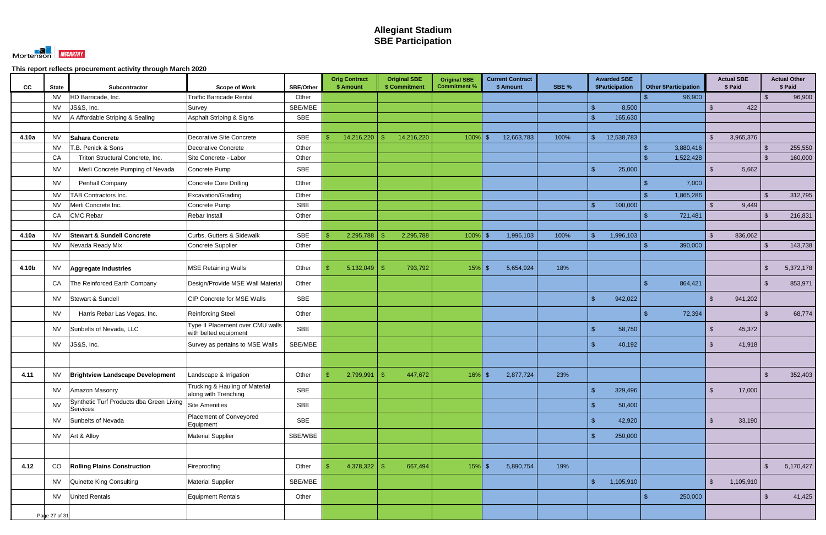

| cc    | <b>State</b>  | Subcontractor                                        | <b>Scope of Work</b>                                      | <b>SBE/Other</b> | <b>Orig Contract</b><br>\$ Amount | <b>Original SBE</b><br>\$ Commitment | <b>Original SBE</b><br><b>Commitment %</b> | <b>Current Contract</b><br>\$ Amount | SBE % | <b>Awarded SBE</b><br>\$Participation | <b>Other \$Participation</b> |                         | <b>Actual SBE</b><br>\$ Paid |               | <b>Actual Other</b><br>\$ Paid |
|-------|---------------|------------------------------------------------------|-----------------------------------------------------------|------------------|-----------------------------------|--------------------------------------|--------------------------------------------|--------------------------------------|-------|---------------------------------------|------------------------------|-------------------------|------------------------------|---------------|--------------------------------|
|       | <b>NV</b>     | HD Barricade, Inc.                                   | <b>Traffic Barricade Rental</b>                           | Other            |                                   |                                      |                                            |                                      |       |                                       | 96,900                       |                         |                              | -\$           | 96,900                         |
|       | <b>NV</b>     | JS&S, Inc.                                           | Survey                                                    | SBE/MBE          |                                   |                                      |                                            |                                      |       | 8,500<br>ፍ                            |                              | $\mathcal{L}$           | 422                          |               |                                |
|       | <b>NV</b>     | A Affordable Striping & Sealing                      | Asphalt Striping & Signs                                  | SBE              |                                   |                                      |                                            |                                      |       | 165,630<br>-\$                        |                              |                         |                              |               |                                |
|       |               |                                                      |                                                           |                  |                                   |                                      |                                            |                                      |       |                                       |                              |                         |                              |               |                                |
| 4.10a | <b>NV</b>     | Sahara Concrete                                      | Decorative Site Concrete                                  | <b>SBE</b>       | 14,216,220<br>\$.                 | 14,216,220<br>- \$                   | $100\%$ \$                                 | 12,663,783                           | 100%  | 12,538,783<br>$\mathbb{S}$            |                              | $\mathbb{S}$            | 3,965,376                    |               |                                |
|       | <b>NV</b>     | <b>T.B. Penick &amp; Sons</b>                        | Decorative Concrete                                       | Other            |                                   |                                      |                                            |                                      |       |                                       | 3,880,416                    |                         |                              | -\$           | 255,550                        |
|       | CA            | Triton Structural Concrete, Inc.                     | Site Concrete - Labor                                     | Other            |                                   |                                      |                                            |                                      |       |                                       | 1,522,428                    |                         |                              | -\$           | 160,000                        |
|       | <b>NV</b>     | Merli Concrete Pumping of Nevada                     | Concrete Pump                                             | <b>SBE</b>       |                                   |                                      |                                            |                                      |       | 25,000<br>$\mathfrak{L}$              |                              | $\mathfrak{L}$          | 5,662                        |               |                                |
|       | <b>NV</b>     | Penhall Company                                      | <b>Concrete Core Drilling</b>                             | Other            |                                   |                                      |                                            |                                      |       |                                       | 7,000                        |                         |                              |               |                                |
|       | <b>NV</b>     | TAB Contractors Inc.                                 | Excavation/Grading                                        | Other            |                                   |                                      |                                            |                                      |       |                                       | 1,865,286                    |                         |                              | .Տ            | 312,795                        |
|       | <b>NV</b>     | Merli Concrete Inc.                                  | Concrete Pump                                             | SBE              |                                   |                                      |                                            |                                      |       | $\mathfrak{L}$<br>100,000             |                              |                         | 9,449                        |               |                                |
|       | CA            | <b>CMC Rebar</b>                                     | Rebar Install                                             | Other            |                                   |                                      |                                            |                                      |       |                                       | 721,481                      |                         |                              |               | 216,831                        |
|       |               |                                                      |                                                           |                  |                                   |                                      |                                            |                                      |       |                                       |                              |                         |                              |               |                                |
| 4.10a | <b>NV</b>     | <b>Stewart &amp; Sundell Concrete</b>                | Curbs, Gutters & Sidewalk                                 | <b>SBE</b>       | 2,295,788                         | 2,295,788                            | $100\%$ \$                                 | 1,996,103                            | 100%  | $\mathbf{\hat{f}}$<br>1,996,103       |                              |                         | 836,062                      |               |                                |
|       | <b>NV</b>     | Nevada Ready Mix                                     | Concrete Supplier                                         | Other            |                                   |                                      |                                            |                                      |       |                                       | 390,000                      |                         |                              | \$            | 143,738                        |
|       |               |                                                      |                                                           |                  |                                   |                                      |                                            |                                      |       |                                       |                              |                         |                              |               |                                |
| 4.10b | <b>NV</b>     | Aggregate Industries                                 | <b>MSE Retaining Walls</b>                                | Other            | 5,132,049<br>\$.                  | 793,792<br>- \$                      | $15\%$ \$                                  | 5,654,924                            | 18%   |                                       |                              |                         |                              | -\$           | 5,372,178                      |
|       | CA            | The Reinforced Earth Company                         | Design/Provide MSE Wall Material                          | Other            |                                   |                                      |                                            |                                      |       |                                       | 864,421                      |                         |                              | $\mathcal{S}$ | 853,971                        |
|       | <b>NV</b>     | Stewart & Sundell                                    | CIP Concrete for MSE Walls                                | SBE              |                                   |                                      |                                            |                                      |       | 942,022<br>$\mathfrak{L}$             |                              | $\mathbb{S}$            | 941,202                      |               |                                |
|       | <b>NV</b>     | Harris Rebar Las Vegas, Inc.                         | <b>Reinforcing Steel</b>                                  | Other            |                                   |                                      |                                            |                                      |       |                                       | 72,394                       |                         |                              | ¢             | 68,774                         |
|       | <b>NV</b>     | Sunbelts of Nevada, LLC                              | Type II Placement over CMU walls<br>with belted equipment | <b>SBE</b>       |                                   |                                      |                                            |                                      |       | 58,750<br>$\mathbf{\hat{f}}$          |                              | $\mathcal{S}$           | 45,372                       |               |                                |
|       | <b>NV</b>     | JS&S, Inc.                                           | Survey as pertains to MSE Walls                           | SBE/MBE          |                                   |                                      |                                            |                                      |       | $\mathfrak{L}$<br>40,192              |                              | $\mathbb{S}$            | 41,918                       |               |                                |
|       |               |                                                      |                                                           |                  |                                   |                                      |                                            |                                      |       |                                       |                              |                         |                              |               |                                |
| 4.11  | <b>NV</b>     | <b>Brightview Landscape Development</b>              | Landscape & Irrigation                                    | Other            | 2,799,991<br>\$.                  | 447,672<br>-\$                       | $16\%$ \$                                  | 2,877,724                            | 23%   |                                       |                              |                         |                              | $\mathcal{L}$ | 352,403                        |
|       | <b>NV</b>     | Amazon Masonry                                       | Trucking & Hauling of Material<br>along with Trenching    | <b>SBE</b>       |                                   |                                      |                                            |                                      |       | 329,496<br>$\mathfrak{L}$             |                              | $\mathbb{S}$            | 17,000                       |               |                                |
|       | <b>NV</b>     | Synthetic Turf Products dba Green Living<br>Services | <b>Site Amenities</b>                                     | <b>SBE</b>       |                                   |                                      |                                            |                                      |       | $\mathbf{\hat{s}}$<br>50,400          |                              |                         |                              |               |                                |
|       | <b>NV</b>     | Sunbelts of Nevada                                   | Placement of Conveyored<br>Equipment                      | <b>SBE</b>       |                                   |                                      |                                            |                                      |       | $\mathbf{\$}$<br>42,920               |                              | \$                      | 33,190                       |               |                                |
|       | <b>NV</b>     | Art & Alloy                                          | <b>Material Supplier</b>                                  | SBE/WBE          |                                   |                                      |                                            |                                      |       | 250,000<br>\$                         |                              |                         |                              |               |                                |
|       |               |                                                      |                                                           |                  |                                   |                                      |                                            |                                      |       |                                       |                              |                         |                              |               |                                |
| 4.12  | CO            | <b>Rolling Plains Construction</b>                   | Fireproofing                                              | Other            | $4,378,322$ \$<br>\$              | 667,494                              | $15\%$ \$                                  | 5,890,754                            | 19%   |                                       |                              |                         |                              | $\mathcal{S}$ | 5,170,427                      |
|       | NV.           | Quinette King Consulting                             | <b>Material Supplier</b>                                  | SBE/MBE          |                                   |                                      |                                            |                                      |       | $\sqrt{2}$<br>1,105,910               |                              | $\sqrt[6]{\frac{1}{2}}$ | 1,105,910                    |               |                                |
|       | <b>NV</b>     | <b>United Rentals</b>                                | Equipment Rentals                                         | Other            |                                   |                                      |                                            |                                      |       |                                       | 250,000                      |                         |                              | -\$           | 41,425                         |
|       |               |                                                      |                                                           |                  |                                   |                                      |                                            |                                      |       |                                       |                              |                         |                              |               |                                |
|       | Page 27 of 31 |                                                      |                                                           |                  |                                   |                                      |                                            |                                      |       |                                       |                              |                         |                              |               |                                |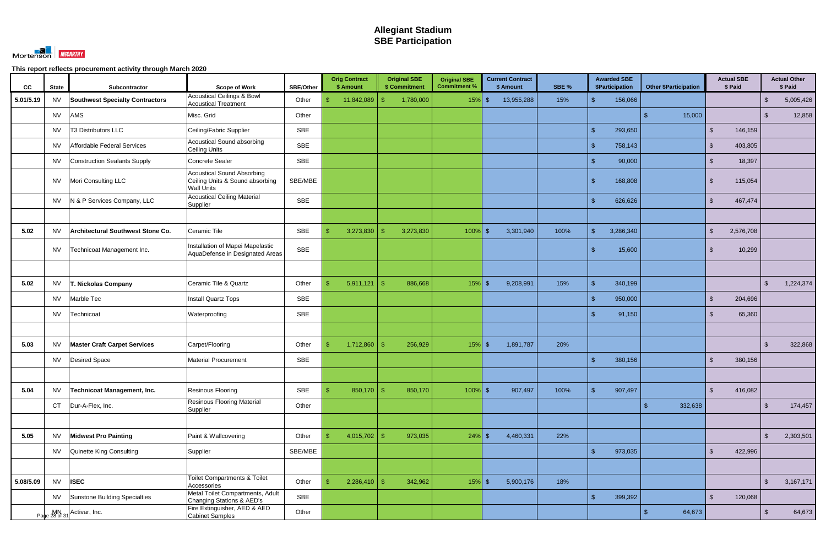

| CC        | <b>State</b> | Subcontractor                          | <b>Scope of Work</b>                                                                      | <b>SBE/Other</b> | <b>Orig Contract</b><br>\$ Amount |              | <b>Original SBE</b><br>\$ Commitment | <b>Original SBE</b><br><b>Commitment %</b> | <b>Current Contract</b><br>\$ Amount | SBE % |                    | <b>Awarded SBE</b><br>\$Participation |     | <b>Other \$Participation</b> |                         | <b>Actual SBE</b><br>\$ Paid |         |                         | <b>Actual Other</b><br>\$ Paid |
|-----------|--------------|----------------------------------------|-------------------------------------------------------------------------------------------|------------------|-----------------------------------|--------------|--------------------------------------|--------------------------------------------|--------------------------------------|-------|--------------------|---------------------------------------|-----|------------------------------|-------------------------|------------------------------|---------|-------------------------|--------------------------------|
| 5.01/5.19 | <b>NV</b>    | <b>Southwest Specialty Contractors</b> | <b>Acoustical Ceilings &amp; Bowl</b><br><b>Acoustical Treatment</b>                      | Other            | 11,842,089<br>S                   | -\$          | 1,780,000                            | $15%$ \$                                   | 13,955,288                           | 15%   | $\mathbf{\hat{s}}$ | 156,066                               |     |                              |                         |                              |         | $\sqrt[6]{3}$           | 5,005,426                      |
|           | <b>NV</b>    | AMS                                    | Misc. Grid                                                                                | Other            |                                   |              |                                      |                                            |                                      |       |                    |                                       |     | 15,000                       |                         |                              |         | \$                      | 12,858                         |
|           | <b>NV</b>    | T3 Distributors LLC                    | Ceiling/Fabric Supplier                                                                   | <b>SBE</b>       |                                   |              |                                      |                                            |                                      |       | $\mathcal{S}$      | 293,650                               |     |                              | $\mathfrak{L}$          |                              | 146,159 |                         |                                |
|           | <b>NV</b>    | Affordable Federal Services            | <b>Acoustical Sound absorbing</b><br><b>Ceiling Units</b>                                 | <b>SBE</b>       |                                   |              |                                      |                                            |                                      |       | $\mathbb{S}$       | 758,143                               |     |                              | <sup>\$</sup>           |                              | 403,805 |                         |                                |
|           | <b>NV</b>    | Construction Sealants Supply           | <b>Concrete Sealer</b>                                                                    | <b>SBE</b>       |                                   |              |                                      |                                            |                                      |       | $\mathcal{L}$      | 90,000                                |     |                              | $\mathfrak{L}$          |                              | 18,397  |                         |                                |
|           | NV.          | Mori Consulting LLC                    | <b>Acoustical Sound Absorbing</b><br>Ceiling Units & Sound absorbing<br><b>Wall Units</b> | SBE/MBE          |                                   |              |                                      |                                            |                                      |       | $\mathbf{\hat{s}}$ | 168,808                               |     |                              | -S                      |                              | 115,054 |                         |                                |
|           | <b>NV</b>    | N & P Services Company, LLC            | <b>Acoustical Ceiling Material</b><br>Supplier                                            | <b>SBE</b>       |                                   |              |                                      |                                            |                                      |       | $\hat{\tau}$       | 626,626                               |     |                              | $\mathfrak{L}$          |                              | 467,474 |                         |                                |
|           |              |                                        |                                                                                           |                  |                                   |              |                                      |                                            |                                      |       |                    |                                       |     |                              |                         |                              |         |                         |                                |
| 5.02      | <b>NV</b>    | Architectural Southwest Stone Co.      | Ceramic Tile                                                                              | <b>SBE</b>       | 3,273,830<br>$\mathbf{\$}$        |              | 3,273,830                            | $100\%$ \$                                 | 3,301,940                            | 100%  | $\mathbb{S}$       | 3,286,340                             |     |                              | $\mathcal{L}$           | 2,576,708                    |         |                         |                                |
|           | <b>NV</b>    | Technicoat Management Inc.             | Installation of Mapei Mapelastic<br>AquaDefense in Designated Areas                       | <b>SBE</b>       |                                   |              |                                      |                                            |                                      |       |                    | 15,600                                |     |                              | -SS                     |                              | 10,299  |                         |                                |
|           |              |                                        |                                                                                           |                  |                                   |              |                                      |                                            |                                      |       |                    |                                       |     |                              |                         |                              |         |                         |                                |
| 5.02      | <b>NV</b>    | . Nickolas Company                     | Ceramic Tile & Quartz                                                                     | Other            | $\mathbf{\$}$<br>5,911,121        | -\$          | 886,668                              | $15%$ \$                                   | 9,208,991                            | 15%   | $\mathcal{R}$      | 340,199                               |     |                              |                         |                              |         | $\mathcal{L}$           | 1,224,374                      |
|           | <b>NV</b>    | Marble Tec                             | <b>Install Quartz Tops</b>                                                                | <b>SBE</b>       |                                   |              |                                      |                                            |                                      |       | $\mathbf{\hat{f}}$ | 950,000                               |     |                              | $\mathfrak{L}$          |                              | 204,696 |                         |                                |
|           | <b>NV</b>    | Technicoat                             | Waterproofing                                                                             | <b>SBE</b>       |                                   |              |                                      |                                            |                                      |       | $\hat{\tau}$       | 91,150                                |     |                              | $\mathfrak{L}$          |                              | 65,360  |                         |                                |
|           |              |                                        |                                                                                           |                  |                                   |              |                                      |                                            |                                      |       |                    |                                       |     |                              |                         |                              |         |                         |                                |
| 5.03      | NV.          | <b>Master Craft Carpet Services</b>    | Carpet/Flooring                                                                           | Other            | 1,712,860<br>$\mathbf{\$}$        | -\$          | 256,929                              | $15%$ \$                                   | 1,891,787                            | 20%   |                    |                                       |     |                              |                         |                              |         | $\mathcal{S}$           | 322,868                        |
|           | <b>NV</b>    | Desired Space                          | <b>Material Procurement</b>                                                               | <b>SBE</b>       |                                   |              |                                      |                                            |                                      |       | $\mathbf{\hat{f}}$ | 380,156                               |     |                              | <sup>\$</sup>           |                              | 380,156 |                         |                                |
|           |              |                                        |                                                                                           |                  |                                   |              |                                      |                                            |                                      |       |                    |                                       |     |                              |                         |                              |         |                         |                                |
| 5.04      | <b>NV</b>    | Technicoat Management, Inc.            | Resinous Flooring                                                                         | SBE              | \$                                | $850,170$ \$ | 850,170                              | $100\%$ \$                                 | 907,497                              | 100%  | $\mathbb{S}$       | 907,497                               |     |                              | $\sqrt[6]{\frac{1}{2}}$ |                              | 416,082 |                         |                                |
|           | <b>CT</b>    | Dur-A-Flex, Inc.                       | <b>Resinous Flooring Material</b><br>Supplier                                             | Other            |                                   |              |                                      |                                            |                                      |       |                    |                                       | \$. | 332,638                      |                         |                              |         | $\sqrt[3]{2}$           | 174,457                        |
|           |              |                                        |                                                                                           |                  |                                   |              |                                      |                                            |                                      |       |                    |                                       |     |                              |                         |                              |         |                         |                                |
| 5.05      | NV           | <b>Midwest Pro Painting</b>            | Paint & Wallcovering                                                                      | Other            | 4,015,702<br>$\sqrt{2}$           | - \$         | 973,035                              | $24\%$ \$                                  | 4,460,331                            | 22%   |                    |                                       |     |                              |                         |                              |         | $\sqrt[6]{3}$           | 2,303,501                      |
|           | <b>NV</b>    | Quinette King Consulting               | Supplier                                                                                  | SBE/MBE          |                                   |              |                                      |                                            |                                      |       | $\mathbf{\hat{s}}$ | 973,035                               |     |                              | $\mathfrak{S}$          |                              | 422,996 |                         |                                |
|           |              |                                        |                                                                                           |                  |                                   |              |                                      |                                            |                                      |       |                    |                                       |     |                              |                         |                              |         |                         |                                |
| 5.08/5.09 | <b>NV</b>    | <b>ISEC</b>                            | <b>Toilet Compartments &amp; Toilet</b><br>Accessories                                    | Other            | $2,286,410$ \$<br>$\mathfrak{L}$  |              | 342,962                              | $15\%$ \$                                  | 5,900,176                            | 18%   |                    |                                       |     |                              |                         |                              |         | $\sqrt[6]{\frac{1}{2}}$ | 3,167,171                      |
|           | NV.          | Sunstone Building Specialties          | Metal Toilet Compartments, Adult<br>Changing Stations & AED's                             | <b>SBE</b>       |                                   |              |                                      |                                            |                                      |       | $\mathcal{S}$      | 399,392                               |     |                              | $\mathfrak{S}$          |                              | 120,068 |                         |                                |
|           |              | Page 28 of 31 Activar, Inc.            | Fire Extinguisher, AED & AED<br><b>Cabinet Samples</b>                                    | Other            |                                   |              |                                      |                                            |                                      |       |                    |                                       |     | 64,673                       |                         |                              |         | $\sqrt[6]{3}$           | 64,673                         |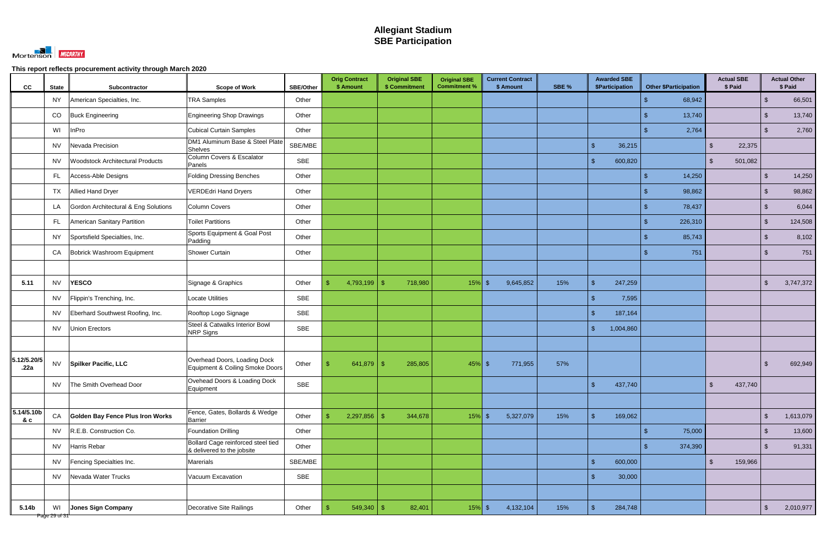

| cc                  | <b>State</b>        | Subcontractor                           | <b>Scope of Work</b>                                             | SBE/Other  | <b>Orig Contract</b><br>\$ Amount | <b>Original SBE</b><br>\$ Commitment | <b>Original SBE</b><br><b>Commitment %</b> | <b>Current Contract</b><br>\$ Amount | SBE % | <b>Awarded SBE</b><br>\$Participation | <b>Other \$Participation</b> | <b>Actual SBE</b><br>\$ Paid |                | <b>Actual Other</b><br>\$ Paid |
|---------------------|---------------------|-----------------------------------------|------------------------------------------------------------------|------------|-----------------------------------|--------------------------------------|--------------------------------------------|--------------------------------------|-------|---------------------------------------|------------------------------|------------------------------|----------------|--------------------------------|
|                     | <b>NY</b>           | American Specialties, Inc.              | <b>TRA Samples</b>                                               | Other      |                                   |                                      |                                            |                                      |       |                                       | 68,942                       |                              | $\sqrt[6]{3}$  | 66,501                         |
|                     | CO                  | <b>Buck Engineering</b>                 | <b>Engineering Shop Drawings</b>                                 | Other      |                                   |                                      |                                            |                                      |       |                                       | 13,740                       |                              | $\mathcal{S}$  | 13,740                         |
|                     | WI                  | InPro                                   | <b>Cubical Curtain Samples</b>                                   | Other      |                                   |                                      |                                            |                                      |       |                                       | 2,764                        |                              | $\sqrt[6]{3}$  | 2,760                          |
|                     | <b>NV</b>           | Nevada Precision                        | DM1 Aluminum Base & Steel Plate<br>Shelves                       | SBE/MBE    |                                   |                                      |                                            |                                      |       | $\mathfrak{S}$<br>36,215              |                              | 22,375<br>$\mathbb{S}$       |                |                                |
|                     | <b>NV</b>           | <b>Woodstock Architectural Products</b> | Column Covers & Escalator<br>Panels                              | <b>SBE</b> |                                   |                                      |                                            |                                      |       | 600,820<br>-\$                        |                              | $\mathbb{S}$<br>501,082      |                |                                |
|                     | FL.                 | Access-Able Designs                     | <b>Folding Dressing Benches</b>                                  | Other      |                                   |                                      |                                            |                                      |       |                                       | 14,250                       |                              | $\mathfrak{L}$ | 14,250                         |
|                     | TX                  | <b>Allied Hand Dryer</b>                | <b>VERDEdri Hand Dryers</b>                                      | Other      |                                   |                                      |                                            |                                      |       |                                       | 98,862                       |                              | $\sqrt[6]{3}$  | 98,862                         |
|                     | LA                  | Gordon Architectural & Eng Solutions    | Column Covers                                                    | Other      |                                   |                                      |                                            |                                      |       |                                       | 78,437                       |                              | $\mathcal{L}$  | 6,044                          |
|                     | FL.                 | American Sanitary Partition             | <b>Toilet Partitions</b>                                         | Other      |                                   |                                      |                                            |                                      |       |                                       | 226,310                      |                              | $\sqrt[6]{3}$  | 124,508                        |
|                     | <b>NY</b>           | Sportsfield Specialties, Inc.           | Sports Equipment & Goal Post<br>Padding                          | Other      |                                   |                                      |                                            |                                      |       |                                       | 85,743                       |                              | $\mathcal{S}$  | 8,102                          |
|                     | CA                  | Bobrick Washroom Equipment              | <b>Shower Curtain</b>                                            | Other      |                                   |                                      |                                            |                                      |       |                                       | 751                          |                              | $\mathcal{S}$  | 751                            |
|                     |                     |                                         |                                                                  |            |                                   |                                      |                                            |                                      |       |                                       |                              |                              |                |                                |
| 5.11                | <b>NV</b>           | <b>YESCO</b>                            | Signage & Graphics                                               | Other      | 4,793,199<br>\$                   | -\$<br>718,980                       | $15%$ \$                                   | 9,645,852                            | 15%   | $\mathbf{\hat{s}}$<br>247,259         |                              |                              | $\sqrt[6]{3}$  | 3,747,372                      |
|                     | <b>NV</b>           | Flippin's Trenching, Inc.               | <b>Locate Utilities</b>                                          | SBE        |                                   |                                      |                                            |                                      |       | 7,595<br>ፍ                            |                              |                              |                |                                |
|                     | <b>NV</b>           | Eberhard Southwest Roofing, Inc.        | Rooftop Logo Signage                                             | <b>SBE</b> |                                   |                                      |                                            |                                      |       | 187,164<br>$\mathbf{\hat{f}}$         |                              |                              |                |                                |
|                     | <b>NV</b>           | <b>Union Erectors</b>                   | Steel & Catwalks Interior Bowl<br><b>NRP Signs</b>               | <b>SBE</b> |                                   |                                      |                                            |                                      |       | $\mathbb{S}$<br>1,004,860             |                              |                              |                |                                |
|                     |                     |                                         |                                                                  |            |                                   |                                      |                                            |                                      |       |                                       |                              |                              |                |                                |
| 5.12/5.20/5<br>.22a | <b>NV</b>           | <b>Spilker Pacific, LLC</b>             | Overhead Doors, Loading Dock<br>Equipment & Coiling Smoke Doors  | Other      | 641,879                           | 285,805<br>- \$                      | $45\%$ \$                                  | 771,955                              | 57%   |                                       |                              |                              |                | 692,949                        |
|                     | <b>NV</b>           | The Smith Overhead Door                 | Ovehead Doors & Loading Dock<br>Equipment                        | <b>SBE</b> |                                   |                                      |                                            |                                      |       | $\sqrt{2}$<br>437,740                 |                              | $\mathbb{S}$<br>437,740      |                |                                |
|                     |                     |                                         |                                                                  |            |                                   |                                      |                                            |                                      |       |                                       |                              |                              |                |                                |
| 5.14/5.10b<br>& c   | CA                  | Golden Bay Fence Plus Iron Works        | Fence, Gates, Bollards & Wedge<br>Barrier                        | Other      | 2,297,856<br>-\$                  | 344,678<br>$\sqrt[6]{3}$             | $15\%$ \$                                  | 5,327,079                            | 15%   | $\mathfrak{S}$<br>169,062             |                              |                              | $\sqrt{2}$     | 1,613,079                      |
|                     | <b>NV</b>           | R.E.B. Construction Co.                 | <b>Foundation Drilling</b>                                       | Other      |                                   |                                      |                                            |                                      |       |                                       | 75,000                       |                              | $\sqrt[6]{3}$  | 13,600                         |
|                     | <b>NV</b>           | Harris Rebar                            | Bollard Cage reinforced steel tied<br>& delivered to the jobsite | Other      |                                   |                                      |                                            |                                      |       |                                       | 374,390                      |                              | $\sqrt[6]{3}$  | 91,331                         |
|                     | <b>NV</b>           | Fencing Specialties Inc.                | Marerials                                                        | SBE/MBE    |                                   |                                      |                                            |                                      |       | $\sqrt{2}$<br>600,000                 |                              | $\mathfrak{S}$<br>159,966    |                |                                |
|                     | <b>NV</b>           | Nevada Water Trucks                     | Vacuum Excavation                                                | SBE        |                                   |                                      |                                            |                                      |       | $\sqrt{2}$<br>30,000                  |                              |                              |                |                                |
|                     |                     |                                         |                                                                  |            |                                   |                                      |                                            |                                      |       |                                       |                              |                              |                |                                |
| 5.14b               | WI<br>Page 29 of 31 | <b>Jones Sign Company</b>               | Decorative Site Railings                                         | Other      | $549,340$ \ \$<br>$\mathbb{S}$    | 82,401                               | $15\%$ \$                                  | 4,132,104                            | 15%   | $\mathcal{S}$<br>284,748              |                              |                              | $\sqrt[6]{3}$  | 2,010,977                      |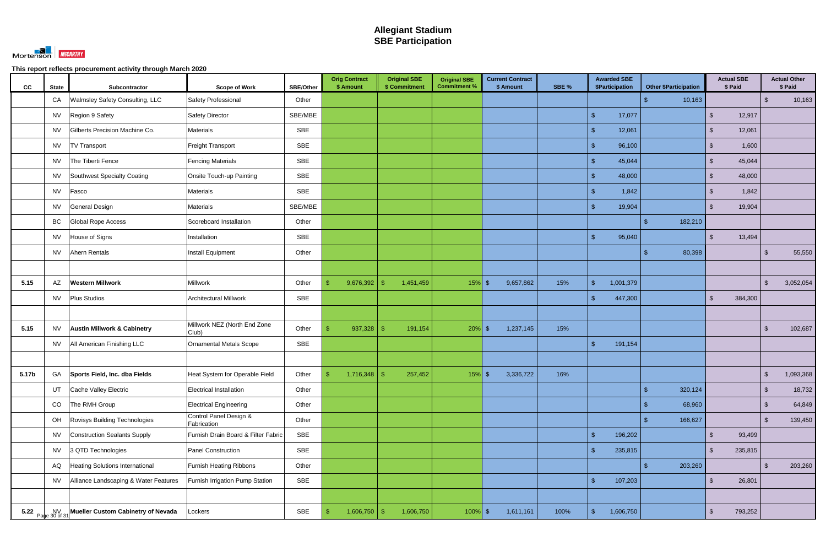

| cc    | <b>State</b> | Subcontractor                              | <b>Scope of Work</b>                  | <b>SBE/Other</b> | <b>Orig Contract</b><br>\$ Amount         | <b>Original SBE</b><br>\$ Commitment | <b>Original SBE</b><br><b>Commitment %</b> | <b>Current Contract</b><br>\$ Amount | SBE % | <b>Awarded SBE</b><br>\$Participation | <b>Other \$Participation</b> | <b>Actual SBE</b><br>\$ Paid |                | <b>Actual Other</b><br>\$ Paid |
|-------|--------------|--------------------------------------------|---------------------------------------|------------------|-------------------------------------------|--------------------------------------|--------------------------------------------|--------------------------------------|-------|---------------------------------------|------------------------------|------------------------------|----------------|--------------------------------|
|       | CA           | Walmsley Safety Consulting, LLC            | Safety Professional                   | Other            |                                           |                                      |                                            |                                      |       |                                       | 10,163                       |                              | $\sqrt[3]{2}$  | 10,163                         |
|       | <b>NV</b>    | Region 9 Safety                            | <b>Safety Director</b>                | SBE/MBE          |                                           |                                      |                                            |                                      |       | $\mathcal{S}$<br>17,077               |                              | 12,917<br><sup>\$</sup>      |                |                                |
|       | <b>NV</b>    | Gilberts Precision Machine Co.             | <b>Materials</b>                      | SBE              |                                           |                                      |                                            |                                      |       | $\sqrt{2}$<br>12,061                  |                              | 12,061<br><sup>\$</sup>      |                |                                |
|       | <b>NV</b>    | <b>TV Transport</b>                        | Freight Transport                     | <b>SBE</b>       |                                           |                                      |                                            |                                      |       | $\sqrt{2}$<br>96,100                  |                              | 1,600<br><sup>\$</sup>       |                |                                |
|       | <b>NV</b>    | The Tiberti Fence                          | <b>Fencing Materials</b>              | <b>SBE</b>       |                                           |                                      |                                            |                                      |       | $\sqrt{2}$<br>45,044                  |                              | 45,044<br><sup>\$</sup>      |                |                                |
|       | <b>NV</b>    | Southwest Specialty Coating                | Onsite Touch-up Painting              | SBE              |                                           |                                      |                                            |                                      |       | $\mathcal{S}$<br>48,000               |                              | 48,000<br>$\mathfrak{L}$     |                |                                |
|       | <b>NV</b>    | Fasco                                      | <b>Materials</b>                      | <b>SBE</b>       |                                           |                                      |                                            |                                      |       | $\mathcal{S}$<br>1,842                |                              | 1,842<br>$\mathcal{S}$       |                |                                |
|       | <b>NV</b>    | General Design                             | <b>Materials</b>                      | SBE/MBE          |                                           |                                      |                                            |                                      |       | $\mathbf{\$}$<br>19,904               |                              | $\mathbb{S}$<br>19,904       |                |                                |
|       | BC           | Global Rope Access                         | Scoreboard Installation               | Other            |                                           |                                      |                                            |                                      |       |                                       | 182,210<br>\$.               |                              |                |                                |
|       | <b>NV</b>    | House of Signs                             | Installation                          | SBE              |                                           |                                      |                                            |                                      |       | $\mathbf{\$}$<br>95,040               |                              | 13,494<br>$\mathfrak{L}$     |                |                                |
|       | <b>NV</b>    | Ahern Rentals                              | Install Equipment                     | Other            |                                           |                                      |                                            |                                      |       |                                       | 80,398                       |                              | -\$            | 55,550                         |
|       |              |                                            |                                       |                  |                                           |                                      |                                            |                                      |       |                                       |                              |                              |                |                                |
| 5.15  | AZ           | <b>Western Millwork</b>                    | Millwork                              | Other            | 9,676,392<br>\$                           | 1,451,459<br>-\$                     | $15%$ \$                                   | 9,657,862                            | 15%   | $\sqrt{2}$<br>1,001,379               |                              |                              | $\sqrt[3]{2}$  | 3,052,054                      |
|       | <b>NV</b>    | <b>Plus Studios</b>                        | <b>Architectural Millwork</b>         | SBE              |                                           |                                      |                                            |                                      |       | 447,300<br>$\mathbf{\hat{s}}$         |                              | 384,300<br>$\mathfrak{S}$    |                |                                |
|       |              |                                            |                                       |                  |                                           |                                      |                                            |                                      |       |                                       |                              |                              |                |                                |
| 5.15  | <b>NV</b>    | <b>Austin Millwork &amp; Cabinetry</b>     | Millwork NEZ (North End Zone<br>Club) | Other            | 937,328<br>\$.                            | 191,154<br>-\$                       | $20\%$ \$                                  | 1,237,145                            | 15%   |                                       |                              |                              | $\sqrt[3]{2}$  | 102,687                        |
|       | <b>NV</b>    | All American Finishing LLC                 | Ornamental Metals Scope               | <b>SBE</b>       |                                           |                                      |                                            |                                      |       | $\sqrt{2}$<br>191,154                 |                              |                              |                |                                |
|       |              |                                            |                                       |                  |                                           |                                      |                                            |                                      |       |                                       |                              |                              |                |                                |
| 5.17b | GA           | Sports Field, Inc. dba Fields              | Heat System for Operable Field        | Other            | \$.<br>1,716,348                          | - \$<br>257,452                      | $15\%$ \$                                  | 3,336,722                            | 16%   |                                       |                              |                              | $\sqrt[6]{3}$  | 1,093,368                      |
|       | UT           | Cache Valley Electric                      | Electrical Installation               | Other            |                                           |                                      |                                            |                                      |       |                                       | 320,124                      |                              | $\sqrt[6]{3}$  | 18,732                         |
|       | CO           | The RMH Group                              | Electrical Engineering                | Other            |                                           |                                      |                                            |                                      |       |                                       | 68,960                       |                              | $\sqrt[6]{3}$  | 64,849                         |
|       | OH           | Rovisys Building Technologies              | Control Panel Design &<br>Fabrication | Other            |                                           |                                      |                                            |                                      |       |                                       | 166,627                      |                              | $\sqrt[3]{2}$  | 139,450                        |
|       | <b>NV</b>    | Construction Sealants Supply               | Furnish Drain Board & Filter Fabric   | SBE              |                                           |                                      |                                            |                                      |       | $\sqrt{2}$<br>196,202                 |                              | 93,499<br><sup>\$</sup>      |                |                                |
|       | <b>NV</b>    | 3 QTD Technologies                         | Panel Construction                    | <b>SBE</b>       |                                           |                                      |                                            |                                      |       | $\sqrt{2}$<br>235,815                 |                              | 235,815<br><sup>\$</sup>     |                |                                |
|       | AQ           | Heating Solutions International            | <b>Furnish Heating Ribbons</b>        | Other            |                                           |                                      |                                            |                                      |       |                                       | 203,260                      |                              | $\mathfrak{F}$ | 203,260                        |
|       | <b>NV</b>    | Alliance Landscaping & Water Features      | Furnish Irrigation Pump Station       | SBE              |                                           |                                      |                                            |                                      |       | $\sqrt{2}$<br>107,203                 |                              | $\sqrt[6]{3}$<br>26,801      |                |                                |
|       |              |                                            |                                       |                  |                                           |                                      |                                            |                                      |       |                                       |                              |                              |                |                                |
|       |              | 5.22 NV Nueller Custom Cabinetry of Nevada | Lockers                               | SBE              | $\sqrt[6]{\frac{1}{2}}$<br>$1,606,750$ \$ | 1,606,750                            | $100\%$ \$                                 | 1,611,161                            | 100%  | $\sqrt{2}$<br>1,606,750               |                              | 793,252<br>\$                |                |                                |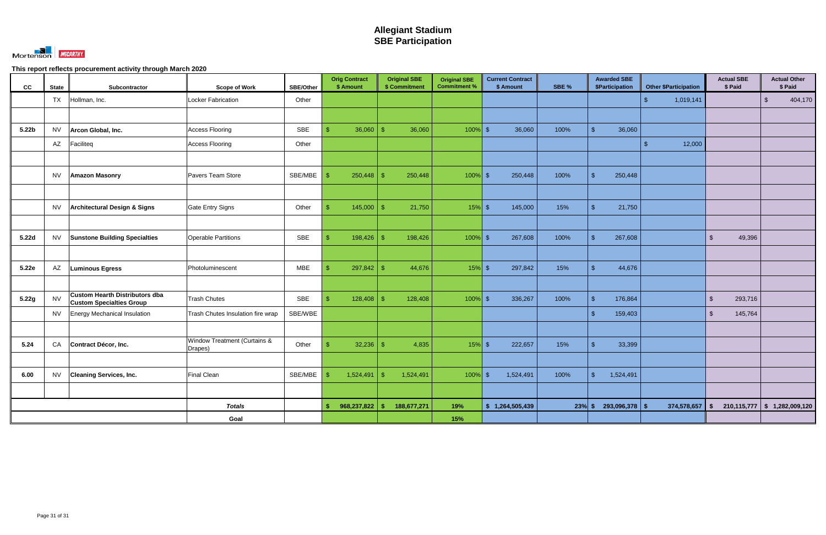

| cc                | <b>State</b> | Subcontractor                                                            | <b>Scope of Work</b>                               | <b>SBE/Other</b> | <b>Orig Contract</b><br>\$ Amount | <b>Original SBE</b><br>\$ Commitment | <b>Original SBE</b><br><b>Commitment %</b> | <b>Current Contract</b><br>\$ Amount | SBE %    | <b>Awarded SBE</b><br><b>\$Participation</b> | <b>Other \$Participation</b> | <b>Actual SBE</b><br>\$ Paid       | <b>Actual Other</b><br>\$ Paid     |
|-------------------|--------------|--------------------------------------------------------------------------|----------------------------------------------------|------------------|-----------------------------------|--------------------------------------|--------------------------------------------|--------------------------------------|----------|----------------------------------------------|------------------------------|------------------------------------|------------------------------------|
|                   | <b>TX</b>    | Hollman, Inc.                                                            | Locker Fabrication                                 | Other            |                                   |                                      |                                            |                                      |          |                                              | 1,019,141<br>$\mathcal{L}$   |                                    | 404,170<br>$\sqrt[6]{\frac{1}{2}}$ |
|                   |              |                                                                          |                                                    |                  |                                   |                                      |                                            |                                      |          |                                              |                              |                                    |                                    |
| 5.22 <sub>b</sub> | <b>NV</b>    | Arcon Global, Inc.                                                       | <b>Access Flooring</b>                             | <b>SBE</b>       | $\mathcal{S}$<br>36,060           | 36,060<br>-\$                        | $100\%$ \$                                 | 36,060                               | 100%     | $\mathbb{S}$<br>36,060                       |                              |                                    |                                    |
|                   | AZ           | Faciliteq                                                                | Access Flooring                                    | Other            |                                   |                                      |                                            |                                      |          |                                              | 12,000<br>$\mathcal{L}$      |                                    |                                    |
|                   |              |                                                                          |                                                    |                  |                                   |                                      |                                            |                                      |          |                                              |                              |                                    |                                    |
|                   | <b>NV</b>    | <b>Amazon Masonry</b>                                                    | Pavers Team Store                                  | SBE/MBE          | <b>S</b><br>250,448               | 250,448<br>- \$                      | $100\%$ \$                                 | 250,448                              | 100%     | $\mathbb{S}$<br>250,448                      |                              |                                    |                                    |
|                   |              |                                                                          |                                                    |                  |                                   |                                      |                                            |                                      |          |                                              |                              |                                    |                                    |
|                   | <b>NV</b>    | Architectural Design & Signs                                             | Gate Entry Signs                                   | Other            | 145,000<br>$\mathbf{\$}$          | 21,750<br>-\$                        | $15\%$ \$                                  | 145,000                              | 15%      | $\mathbb{S}$<br>21,750                       |                              |                                    |                                    |
|                   |              |                                                                          |                                                    |                  |                                   |                                      |                                            |                                      |          |                                              |                              |                                    |                                    |
| 5.22d             | <b>NV</b>    | <b>Sunstone Building Specialties</b>                                     | <b>Operable Partitions</b>                         | <b>SBE</b>       | $\mathfrak{S}$<br>198,426         | 198,426<br>$\mathcal{S}$             | $100\%$ \$                                 | 267,608                              | 100%     | $\mathbb{S}$<br>267,608                      |                              | $\mathfrak{S}$<br>49,396           |                                    |
|                   |              |                                                                          |                                                    |                  |                                   |                                      |                                            |                                      |          |                                              |                              |                                    |                                    |
| 5.22e             | AZ           | <b>Luminous Egress</b>                                                   | Photoluminescent                                   | <b>MBE</b>       | \$<br>297,842                     | $\mathbf{\$}$<br>44,676              | $15%$ \$                                   | 297,842                              | 15%      | $\mathbb{S}$<br>44,676                       |                              |                                    |                                    |
|                   |              |                                                                          |                                                    |                  |                                   |                                      |                                            |                                      |          |                                              |                              |                                    |                                    |
| 5.22g             | <b>NV</b>    | <b>Custom Hearth Distributors dba</b><br><b>Custom Specialties Group</b> | <b>Trash Chutes</b>                                | <b>SBE</b>       | $\mathbf{\$}$<br>128,408          | 128,408<br>$\mathbf{\hat{R}}$        | $100\%$ \$                                 | 336,267                              | 100%     | $\mathbb{S}$<br>176,864                      |                              | $\sqrt{2}$<br>293,716              |                                    |
|                   | <b>NV</b>    | <b>Energy Mechanical Insulation</b>                                      | Trash Chutes Insulation fire wrap                  | SBE/WBE          |                                   |                                      |                                            |                                      |          | $\mathbb{S}$<br>159,403                      |                              | $\sqrt[6]{\frac{1}{2}}$<br>145,764 |                                    |
|                   |              |                                                                          |                                                    |                  |                                   |                                      |                                            |                                      |          |                                              |                              |                                    |                                    |
| 5.24              | CA           | Contract Décor, Inc.                                                     | <b>Window Treatment (Curtains &amp;</b><br>Drapes) | Other            | 32,236<br>-S                      | 4,835<br>$\mathbf{\$}$               | $15%$ \$                                   | 222,657                              | 15%      | $\mathbb{S}$<br>33,399                       |                              |                                    |                                    |
|                   |              |                                                                          |                                                    |                  |                                   |                                      |                                            |                                      |          |                                              |                              |                                    |                                    |
| 6.00              | <b>NV</b>    | <b>Cleaning Services, Inc.</b>                                           | <b>Final Clean</b>                                 | SBE/MBE          | 1,524,491<br>-S                   | 1,524,491<br>-\$                     | $100\%$ \$                                 | 1,524,491                            | 100%     | $\mathbb{S}$<br>1,524,491                    |                              |                                    |                                    |
|                   |              |                                                                          |                                                    |                  |                                   |                                      |                                            |                                      |          |                                              |                              |                                    |                                    |
|                   |              |                                                                          | <b>Totals</b>                                      |                  | 968,237,822<br>\$                 | 188,677,271<br>- \$                  | 19%                                        | \$1,264,505,439                      | $23%$ \$ | 293,096,378                                  | 374,578,657<br><b>S</b>      | \$                                 | $210,115,777$ \$ 1,282,009,120     |
|                   |              |                                                                          | Goal                                               |                  |                                   |                                      | 15%                                        |                                      |          |                                              |                              |                                    |                                    |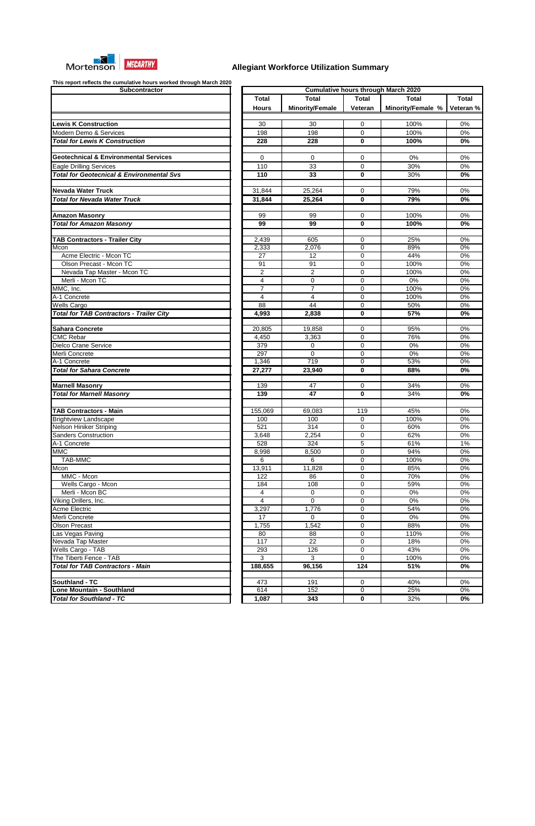

| Subcontractor                                            |                      |                        |              | <b>Cumulative hours through March 2020</b> |        |
|----------------------------------------------------------|----------------------|------------------------|--------------|--------------------------------------------|--------|
|                                                          | <b>Total</b>         | <b>Total</b>           | <b>Total</b> | Total                                      | Tota   |
|                                                          | <b>Hours</b>         | <b>Minority/Female</b> | Veteran      | Minority/Female %                          | Vetera |
| <b>Lewis K Construction</b>                              | 30                   | 30                     | $\mathbf 0$  | 100%                                       | 0%     |
| Modern Demo & Services                                   | 198                  | 198                    | 0            | 100%                                       | 0%     |
| <b>Total for Lewis K Construction</b>                    | 228                  | 228                    | $\bf{0}$     | 100%                                       | 0%     |
|                                                          |                      |                        |              |                                            |        |
| <b>Geotechnical &amp; Environmental Services</b>         | $\Omega$             | $\mathbf{0}$           | $\mathbf 0$  | 0%                                         | 0%     |
| <b>Eagle Drilling Services</b>                           | 110                  | 33                     | 0            | 30%                                        | 0%     |
| <b>Total for Geotecnical &amp; Environmental Svs</b>     | 110                  | 33                     | $\mathbf 0$  | 30%                                        | 0%     |
| <b>Nevada Water Truck</b>                                | 31,844               | 25,264                 | 0            | 79%                                        | 0%     |
| <b>Total for Nevada Water Truck</b>                      | 31,844               | 25,264                 | $\bf{0}$     | 79%                                        | 0%     |
|                                                          | 99                   | 99                     | $\mathbf 0$  | 100%                                       | 0%     |
| <b>Amazon Masonry</b><br><b>Total for Amazon Masonry</b> | 99                   | 99                     | 0            | 100%                                       | 0%     |
|                                                          |                      |                        |              |                                            |        |
| <b>TAB Contractors - Trailer City</b>                    | 2,439                | 605                    | 0            | 25%                                        | 0%     |
| Mcon                                                     | $\overline{2}$ , 333 | 2,076                  | 0            | 89%                                        | 0%     |
| Acme Electric - Mcon TC                                  | $\overline{27}$      | 12                     | $\mathbf 0$  | 44%                                        | 0%     |
| Olson Precast - Mcon TC                                  | 91                   | 91                     | $\mathbf 0$  | 100%                                       | 0%     |
| Nevada Tap Master - Mcon TC                              | $\overline{c}$       | $\overline{c}$         | $\mathbf 0$  | 100%                                       | 0%     |
| Merli - Mcon TC                                          | $\overline{4}$       | $\mathbf 0$            | 0            | $0\%$                                      | 0%     |
| MMC, Inc.                                                | $\overline{7}$       | $\overline{7}$         | 0            | 100%                                       | 0%     |
| A-1 Concrete                                             | 4                    | $\overline{4}$         | 0            | 100%                                       | 0%     |
| Wells Cargo                                              | $\overline{88}$      | 44                     | 0            | 50%                                        | 0%     |
| <b>Total for TAB Contractors - Trailer City</b>          | 4,993                | 2,838                  | $\bf{0}$     | 57%                                        | 0%     |
| <b>Sahara Concrete</b>                                   | 20,805               | 19,858                 | $\mathbf 0$  | 95%                                        | 0%     |
| <b>CMC Rebar</b>                                         | 4,450                | 3,363                  | 0            | 76%                                        | 0%     |
| Dielco Crane Service                                     | 379                  | $\mathbf 0$            | 0            | 0%                                         | 0%     |
| Merli Concrete                                           | 297                  | $\mathbf 0$            | 0            | $0\%$                                      | 0%     |
| A-1 Concrete                                             | 1,346                | 719                    | $\mathbf 0$  | 53%                                        | 0%     |
| <b>Total for Sahara Concrete</b>                         | 27,277               | 23,940                 | $\mathbf 0$  | 88%                                        | 0%     |
| <b>Marnell Masonry</b>                                   | 139                  | 47                     | $\mathbf 0$  | 34%                                        | 0%     |
| <b>Total for Marnell Masonry</b>                         | 139                  | 47                     | 0            | 34%                                        | 0%     |
| <b>TAB Contractors - Main</b>                            | 155,069              | 69,083                 | 119          | 45%                                        | 0%     |
| <b>Brightview Landscape</b>                              | 100                  | 100                    | 0            | 100%                                       | 0%     |
| Nelson Hiniker Striping                                  | 521                  | 314                    | $\mathbf 0$  | 60%                                        | 0%     |
| <b>Sanders Construction</b>                              | 3,648                | 2,254                  | $\mathbf 0$  | 62%                                        | 0%     |
| A-1 Concrete                                             | 528                  | 324                    | 5            | 61%                                        |        |
| <b>MMC</b>                                               |                      | 8,500                  | $\pmb{0}$    | 94%                                        | 1%     |
| <b>TAB-MMC</b>                                           | 8,998                |                        | $\mathbf 0$  | 100%                                       | 0%     |
|                                                          | 6                    | 6                      |              |                                            | 0%     |
| Mcon                                                     | 13,911               | 11,828                 | 0            | 85%                                        | 0%     |
| MMC - Mcon                                               | 122                  | 86                     | 0            | 70%                                        | 0%     |
| Wells Cargo - Mcon                                       | 184                  | 108                    | 0            | 59%                                        | 0%     |
| Merli - Mcon BC                                          | 4                    | 0                      | 0            | 0%                                         | 0%     |
| Viking Drillers, Inc.                                    | 4                    | $\mathbf 0$            | 0            | $0\%$                                      | 0%     |
| <b>Acme Electric</b>                                     | 3,297                | 1,776                  | 0            | 54%                                        | 0%     |
| Merli Concrete                                           | 17                   | 0                      | 0            | 0%                                         | 0%     |
| <b>Olson Precast</b>                                     | 1,755                | 1,542                  | 0            | 88%                                        | 0%     |
| Las Vegas Paving                                         | 80                   | 88                     | 0            | 110%                                       | 0%     |
| Nevada Tap Master                                        | 117                  | 22                     | 0            | 18%                                        | 0%     |
| Wells Cargo - TAB                                        | 293                  | 126                    | 0            | 43%                                        | 0%     |
| The Tiberti Fence - TAB                                  | 3                    | 3                      | $\mathbf 0$  | 100%                                       | 0%     |
| <b>Total for TAB Contractors - Main</b>                  | 188,655              | 96,156                 | 124          | 51%                                        | 0%     |
| Southland - TC                                           | 473                  | 191                    | 0            | 40%                                        | 0%     |
| Lone Mountain - Southland                                | 614                  | 152                    | 0            | 25%                                        | 0%     |
| <b>Total for Southland - TC</b>                          | 1,087                | 343                    | $\mathbf 0$  | 32%                                        | 0%     |

| Subcontractor                                                    |                |                        |                  | <b>Cumulative hours through March 2020</b> |                  |
|------------------------------------------------------------------|----------------|------------------------|------------------|--------------------------------------------|------------------|
|                                                                  | <b>Total</b>   | <b>Total</b>           | <b>Total</b>     | <b>Total</b>                               | <b>Total</b>     |
|                                                                  |                | <b>Minority/Female</b> |                  |                                            |                  |
|                                                                  | <b>Hours</b>   |                        | Veteran          | Minority/Female %                          | Veteran %        |
| <b>Lewis K Construction</b>                                      | 30             | 30                     | 0                | 100%                                       | 0%               |
| Modern Demo & Services                                           |                | 198                    | $\mathbf 0$      | 100%                                       | 0%               |
|                                                                  | 198            |                        |                  |                                            |                  |
| <b>Total for Lewis K Construction</b>                            | 228            | 228                    | 0                | 100%                                       | 0%               |
| <b>Geotechnical &amp; Environmental Services</b>                 | 0              |                        | $\mathbf 0$      | 0%                                         | 0%               |
|                                                                  |                | 0                      |                  |                                            |                  |
| <b>Eagle Drilling Services</b>                                   | 110            | 33                     | 0                | 30%                                        | 0%               |
| <b>Total for Geotecnical &amp; Environmental Svs</b>             | 110            | 33                     | 0                | 30%                                        | 0%               |
|                                                                  |                |                        |                  |                                            |                  |
| <b>Nevada Water Truck</b><br><b>Total for Nevada Water Truck</b> | 31,844         | 25,264                 | 0                | 79%<br>79%                                 | 0%               |
|                                                                  | 31,844         | 25,264                 | $\mathbf{0}$     |                                            | 0%               |
| <b>Amazon Masonry</b>                                            | 99             | 99                     | $\mathbf 0$      | 100%                                       | 0%               |
| <b>Total for Amazon Masonry</b>                                  | 99             | 99                     | $\bf{0}$         | 100%                                       | 0%               |
|                                                                  |                |                        |                  |                                            |                  |
| <b>TAB Contractors - Trailer City</b>                            | 2,439          | 605                    | 0                | 25%                                        | 0%               |
| Mcon                                                             | 2,333          | 2,076                  | 0                | 89%                                        | 0%               |
| Acme Electric - Mcon TC                                          | 27             | 12                     | $\mathbf 0$      | 44%                                        | 0%               |
| Olson Precast - Mcon TC                                          | 91             | 91                     | $\mathbf 0$      | 100%                                       | 0%               |
| Nevada Tap Master - Mcon TC                                      | $\overline{2}$ | $\overline{2}$         | $\mathbf 0$      | 100%                                       | 0%               |
| Merli - Mcon TC                                                  | 4              | 0                      | $\mathbf 0$      | 0%                                         | 0%               |
| MMC, Inc.                                                        | $\overline{7}$ | $\overline{7}$         | $\mathbf 0$      | 100%                                       | 0%               |
| A-1 Concrete                                                     | 4              | 4                      | $\mathbf 0$      | 100%                                       | 0%               |
| <b>Wells Cargo</b>                                               | 88             | 44                     | $\Omega$         | 50%                                        | 0%               |
| <b>Total for TAB Contractors - Trailer City</b>                  | 4,993          | 2,838                  | 0                | $\overline{57}$ %                          | 0%               |
|                                                                  |                |                        |                  |                                            |                  |
| Sahara Concrete                                                  | 20,805         | 19,858                 | 0                | 95%                                        | 0%               |
| <b>CMC Rebar</b>                                                 | 4,450          | 3,363                  | $\mathbf 0$      | 76%                                        | 0%               |
| Dielco Crane Service                                             | 379            | 0                      | $\mathbf 0$      | 0%                                         | 0%               |
| Merli Concrete                                                   | 297            | $\Omega$               | $\mathbf 0$      | 0%                                         | 0%               |
| A-1 Concrete                                                     | 1,346          | $\overline{719}$       | $\Omega$         | 53%                                        | 0%               |
| <b>Total for Sahara Concrete</b>                                 | 27,277         | 23,940                 | 0                | 88%                                        | 0%               |
|                                                                  |                |                        |                  |                                            |                  |
| <b>Marnell Masonry</b>                                           | 139            | 47                     | $\Omega$         | 34%                                        | 0%               |
| <b>Total for Marnell Masonry</b>                                 | 139            | $\overline{47}$        | 0                | 34%                                        | 0%               |
|                                                                  |                |                        |                  |                                            |                  |
| <b>TAB Contractors - Main</b>                                    | 155,069        | 69,083                 | 119              | 45%                                        | 0%               |
| <b>Brightview Landscape</b>                                      | 100            | 100                    | 0                | 100%                                       | 0%               |
| <b>Nelson Hiniker Striping</b>                                   | 521            | 314                    | 0                | 60%                                        | 0%               |
| <b>Sanders Construction</b>                                      | 3,648          | 2,254                  | 0                | 62%                                        | 0%               |
| A-1 Concrete                                                     | 528            | 324                    | 5                | 61%                                        | 1%               |
| MMC                                                              | 8,998          | 8,500                  | 0                | 94%                                        | 0%               |
| TAB-MMC                                                          | 6              | 6                      | 0                | 100%                                       | 0%               |
| Mcon                                                             | 13,911         | 11,828                 | 0                | 85%                                        | 0%               |
| MMC - Mcon                                                       | 122            | 86                     | 0                | 70%                                        | 0%               |
| Wells Cargo - Mcon<br>÷                                          | 184            | 108                    | 0                | 59%                                        | 0%               |
| Merli - Mcon BC                                                  | 4              | 0                      | 0                | 0%                                         | 0%               |
| Viking Drillers, Inc.                                            | 4              | $\overline{0}$         | 0                | $0\%$                                      | 0%               |
| Acme Electric                                                    | 3,297          | 1,776                  | 0                | 54%                                        | 0%               |
| Merli Concrete                                                   | 17             | 0                      | 0                | 0%                                         | 0%               |
| <b>Olson Precast</b>                                             | 1,755          | 1,542                  | 0                | 88%                                        | 0%               |
| Las Vegas Paving                                                 | 80             | 88                     | 0                | 110%                                       | 0%               |
| Nevada Tap Master                                                | 117            | 22                     | 0                | 18%<br>43%                                 | $0\%$<br>0%      |
| Wells Cargo - TAB<br>The Tiberti Fence - TAB                     | 293<br>3       | 126<br>3               | 0<br>$\mathbf 0$ | 100%                                       | $0\%$            |
|                                                                  |                |                        |                  |                                            |                  |
| <b>Total for TAB Contractors - Main</b>                          | 188,655        | 96,156                 | 124              | 51%                                        | 0%               |
| Southland - TC                                                   | 473            | 191                    | 0                | 40%                                        | 0%               |
| <b>Lone Mountain - Southland</b>                                 | 614            | 152                    | 0                | 25%                                        | $0\%$            |
| Total for Southland - TC                                         | 1.087          | 343                    | $\Omega$         | 32%                                        | $\overline{0\%}$ |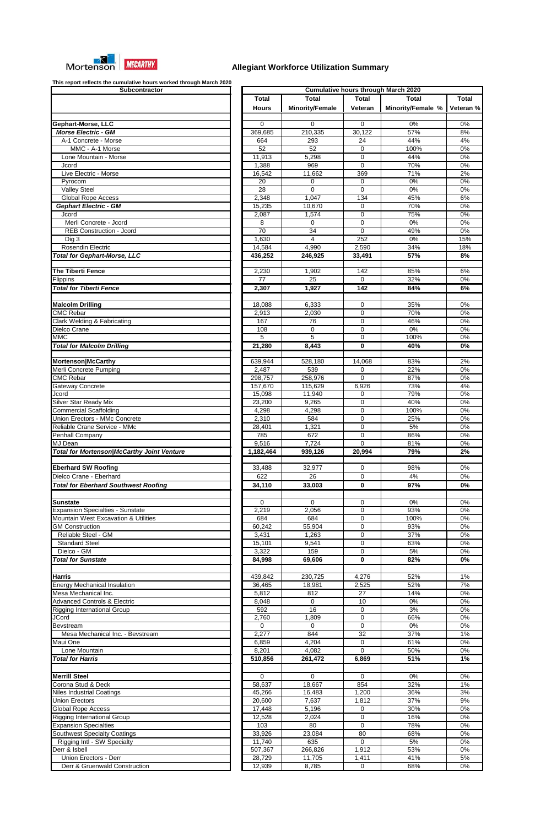

| Subcontractor                                               |  |
|-------------------------------------------------------------|--|
|                                                             |  |
|                                                             |  |
|                                                             |  |
| Gephart-Morse, LLC                                          |  |
| <b>Morse Electric - GM</b>                                  |  |
| A-1 Concrete - Morse                                        |  |
| MMC - A-1 Morse                                             |  |
| Lone Mountain - Morse                                       |  |
| Jcord                                                       |  |
| Live Electric - Morse                                       |  |
| Pyrocom                                                     |  |
| Valley Steel                                                |  |
| <b>Global Rope Access</b>                                   |  |
| <b>Gephart Electric - GM</b>                                |  |
| Jcord                                                       |  |
| Merli Concrete - Jcord                                      |  |
| <b>REB Construction - Jcord</b>                             |  |
| Dig 3                                                       |  |
| Rosendin Electric                                           |  |
| <b>Total for Gephart-Morse, LLC</b>                         |  |
|                                                             |  |
| The Tiberti Fence                                           |  |
| Flippins                                                    |  |
| <b>Total for Tiberti Fence</b>                              |  |
|                                                             |  |
| <b>Malcolm Drilling</b>                                     |  |
| <b>CMC Rebar</b>                                            |  |
| <b>Clark Welding &amp; Fabricating</b>                      |  |
| Dielco Crane                                                |  |
|                                                             |  |
| <b>MMC</b>                                                  |  |
| <b>Total for Malcolm Drilling</b>                           |  |
|                                                             |  |
| Mortenson McCarthy                                          |  |
| Merli Concrete Pumping                                      |  |
| <b>CMC Rebar</b>                                            |  |
| Gateway Concrete                                            |  |
| Jcord                                                       |  |
| Silver Star Ready Mix                                       |  |
| <b>Commercial Scaffolding</b>                               |  |
| Union Erectors - MMc Concrete                               |  |
| Reliable Crane Service - MMc                                |  |
| Penhall Company                                             |  |
|                                                             |  |
| MJ Dean                                                     |  |
| <b>Total for Mortenson/McCarthy Joint Venture</b>           |  |
|                                                             |  |
| <b>Eberhard SW Roofing</b>                                  |  |
| Dielco Crane - Eberhard                                     |  |
| <b>Total for Eberhard Southwest Roofing</b>                 |  |
|                                                             |  |
| Sunstate                                                    |  |
| <b>Expansion Specialties - Sunstate</b>                     |  |
| Mountain West Excavation & Utilities                        |  |
| <b>GM Construction</b>                                      |  |
| Reliable Steel - GM                                         |  |
| <b>Standard Steel</b>                                       |  |
| Dielco - GM                                                 |  |
| <b>Total for Sunstate</b>                                   |  |
|                                                             |  |
| <b>Harris</b>                                               |  |
|                                                             |  |
| <b>Energy Mechanical Insulation</b><br>Mesa Mechanical Inc. |  |
| <b>Advanced Controls &amp; Electric</b>                     |  |
|                                                             |  |
| <b>Rigging International Group</b><br><b>JCord</b>          |  |
| Bevstream                                                   |  |
|                                                             |  |
| Mesa Mechanical Inc. - Bevstream<br>Maui One                |  |
|                                                             |  |
| Lone Mountain                                               |  |
| <b>Total for Harris</b>                                     |  |
|                                                             |  |
| <b>Merrill Steel</b>                                        |  |
| Corona Stud & Deck                                          |  |
| Niles Industrial Coatings                                   |  |
| <b>Union Erectors</b>                                       |  |
| <b>Global Rope Access</b>                                   |  |
| <b>Rigging International Group</b>                          |  |
| <b>Expansion Specialties</b>                                |  |
| <b>Southwest Specialty Coatings</b>                         |  |
| Rigging Intl - SW Specialty                                 |  |
| Derr & Isbell                                               |  |
| Union Erectors - Derr<br>Derr & Gruenwald Construction      |  |

| This report relieves the cumulative hears worked through maren EcEt<br>Subcontractor |                 |                        |              | <b>Cumulative hours through March 2020</b> |              |
|--------------------------------------------------------------------------------------|-----------------|------------------------|--------------|--------------------------------------------|--------------|
|                                                                                      | <b>Total</b>    | <b>Total</b>           | <b>Total</b> | <b>Total</b>                               | <b>Total</b> |
|                                                                                      | <b>Hours</b>    | <b>Minority/Female</b> | Veteran      | Minority/Female %                          | Veteran %    |
| Gephart-Morse, LLC                                                                   | $\Omega$        | 0                      | 0            | 0%                                         | 0%           |
| <b>Morse Electric - GM</b>                                                           | 369,685         | 210,335                | 30,122       | 57%                                        | 8%           |
| A-1 Concrete - Morse                                                                 | 664             | 293                    | 24           | 44%                                        | 4%           |
| MMC - A-1 Morse                                                                      | 52              | 52                     | 0            | 100%                                       | 0%           |
| Lone Mountain - Morse                                                                | 11,913          | 5,298                  | 0            | 44%                                        | 0%           |
| Jcord                                                                                | 1,388           | 969                    | $\mathbf 0$  | 70%                                        | 0%           |
| Live Electric - Morse                                                                | 16,542          | 11,662                 | 369          | 71%                                        | 2%           |
| Pyrocom                                                                              | 20              | 0                      | 0            | 0%                                         | 0%           |
| <b>Valley Steel</b>                                                                  | $\overline{28}$ | 0                      | $\mathbf 0$  | 0%                                         | $0\%$        |
| <b>Global Rope Access</b>                                                            | 2,348           | 1,047                  | 134          | 45%                                        | 6%           |
| <b>Gephart Electric - GM</b>                                                         | 15,235          | 10,670                 | 0            | 70%                                        | 0%           |
| Jcord                                                                                | 2,087           | 1,574                  | 0            | 75%                                        | 0%           |
| Merli Concrete - Jcord                                                               | 8               | 0                      | 0            | 0%                                         | 0%           |
| <b>REB Construction - Jcord</b>                                                      | 70              | 34                     | $\mathbf 0$  | 49%                                        | 0%           |
| Dig 3                                                                                | 1,630           | 4                      | 252          | 0%                                         | 15%          |
| Rosendin Electric                                                                    | 14,584          | 4,990                  | 2,590        | 34%                                        | 18%          |
| <b>Total for Gephart-Morse, LLC</b>                                                  | 436,252         | 246,925                | 33,491       | 57%                                        | 8%           |
|                                                                                      |                 |                        |              |                                            |              |
| The Tiberti Fence                                                                    | 2,230           | 1,902                  | 142          | 85%                                        | 6%           |
| Flippins                                                                             | 77              | 25                     | $\mathbf 0$  | 32%                                        | 0%           |
| <b>Total for Tiberti Fence</b>                                                       | 2,307           | 1,927                  | 142          | 84%                                        | 6%           |
|                                                                                      |                 |                        |              |                                            |              |
|                                                                                      |                 |                        |              |                                            |              |
| <b>Malcolm Drilling</b>                                                              | 18,088          | 6,333                  | 0            | 35%                                        | 0%           |
| <b>CMC Rebar</b>                                                                     | 2,913           | 2,030                  | $\mathbf 0$  | 70%                                        | 0%           |
| <b>Clark Welding &amp; Fabricating</b>                                               | 167             | 76                     | 0            | 46%                                        | 0%           |
| Dielco Crane                                                                         | 108             | 0                      | $\mathbf 0$  | 0%                                         | 0%           |
| <b>MMC</b>                                                                           | 5               | $\overline{5}$         | $\mathbf 0$  | 100%                                       | 0%           |
| <b>Total for Malcolm Drilling</b>                                                    | 21,280          | 8,443                  | 0            | 40%                                        | 0%           |
|                                                                                      |                 |                        |              |                                            |              |
| Mortenson McCarthy                                                                   | 639,944         | 528,180                | 14,068       | 83%                                        | 2%           |
| Merli Concrete Pumping                                                               | 2,487           | 539                    | 0            | 22%                                        | 0%           |
| <b>CMC Rebar</b>                                                                     | 298,757         | 258,976                | 0            | 87%                                        | 0%           |
| Gateway Concrete                                                                     | 157,670         | 115,629                | 6,926        | 73%                                        | 4%           |
| Jcord                                                                                | 15,098          | 11,940                 | 0            | 79%                                        | 0%           |
| <b>Silver Star Ready Mix</b>                                                         | 23,200          | 9,265                  | $\Omega$     | 40%                                        | 0%           |
| <b>Commercial Scaffolding</b>                                                        | 4,298           | 4,298                  | $\Omega$     | 100%                                       | 0%           |
| Union Erectors - MMc Concrete                                                        | 2,310           | 584                    | $\Omega$     | 25%                                        | $0\%$        |
| Reliable Crane Service - MMc                                                         | 28,401          | 1,321                  | $\mathbf 0$  | 5%                                         | 0%           |
| Penhall Company                                                                      | 785             | 672                    | $\Omega$     | 86%                                        | 0%           |
| MJ Dean                                                                              | 9,516           | 7,724                  | 0            | 81%                                        | 0%           |
| <b>Total for Mortenson/McCarthy Joint Venture</b>                                    | 1,182,464       | 939,126                | 20,994       | 79%                                        | 2%           |
|                                                                                      |                 |                        |              |                                            |              |
| <b>Eberhard SW Roofing</b>                                                           | 33,488          | 32,977                 | 0            | 98%                                        | 0%           |
| Dielco Crane - Eberhard                                                              | 622             | 26                     | 0            | 4%                                         | $0\%$        |
| <b>Total for Eberhard Southwest Roofing</b>                                          | 34,110          | 33,003                 | 0            | 97%                                        | 0%           |
|                                                                                      |                 |                        |              |                                            |              |
| <b>Sunstate</b>                                                                      | 0               | 0                      | 0            | 0%                                         | 0%           |
| <b>Expansion Specialties - Sunstate</b>                                              | 2,219           | 2,056                  | 0            | 93%                                        | 0%           |
| <b>Mountain West Excavation &amp; Utilities</b>                                      | 684             | 684                    | $\mathbf 0$  | 100%                                       | 0%           |
| <b>GM Construction</b>                                                               | 60,242          | 55,904                 | $\mathbf 0$  | 93%                                        | 0%           |
| Reliable Steel - GM                                                                  | 3,431           | 1,263                  | $\mathbf 0$  | 37%                                        | 0%           |
| <b>Standard Steel</b>                                                                | 15,101          | 9,541                  | $\mathbf 0$  | 63%                                        | 0%           |
| Dielco - GM                                                                          | 3,322           | 159                    | $\mathbf 0$  | 5%                                         | 0%           |
| <b>Total for Sunstate</b>                                                            | 84,998          | 69,606                 | 0            | 82%                                        | 0%           |
|                                                                                      |                 |                        |              |                                            |              |
| <b>Harris</b>                                                                        | 439,842         | 230,725                | 4,276        | 52%                                        | 1%           |
| <b>Energy Mechanical Insulation</b>                                                  | 36,465          | 18,981                 | 2,525        | 52%                                        | 7%           |
| Mesa Mechanical Inc.                                                                 | 5,812           | 812                    | 27           | 14%                                        | 0%           |
| <b>Advanced Controls &amp; Electric</b>                                              | 8,048           | 0                      | 10           | 0%                                         | 0%           |
| <b>Rigging International Group</b>                                                   | 592             | 16                     | 0            | 3%                                         | 0%           |
| <b>JCord</b>                                                                         | 2,760           | 1,809                  | 0            | 66%                                        | 0%           |
| <b>Bevstream</b>                                                                     | $\Omega$        | $\Omega$               | $\mathbf 0$  | 0%                                         | 0%           |
| Mesa Mechanical Inc. - Bevstream                                                     | 2,277           | 844                    | 32           | 37%                                        | 1%           |
| Maui One                                                                             | 6,859           | 4,204                  | $\mathbf 0$  | 61%                                        | 0%           |
| Lone Mountain                                                                        | 8,201           | 4,082                  | 0            | 50%                                        | 0%           |
| <b>Total for Harris</b>                                                              |                 |                        |              |                                            |              |
|                                                                                      | 510,856         | 261,472                | 6,869        | 51%                                        | 1%           |
|                                                                                      |                 |                        |              |                                            |              |
| <b>Merrill Steel</b>                                                                 | $\mathbf 0$     | $\Omega$               | 0            | 0%                                         | $0\%$        |
| Corona Stud & Deck                                                                   | 58,637          | 18,667                 | 854          | 32%                                        | 1%           |
| <b>Niles Industrial Coatings</b>                                                     | 45,266          | 16,483                 | 1,200        | 36%                                        | 3%           |
| <b>Union Erectors</b>                                                                | 20,600          | 7,637                  | 1,812        | 37%                                        | 9%           |
| <b>Global Rope Access</b>                                                            | 17,448          | 5,196                  | 0            | 30%                                        | 0%           |
| Rigging International Group                                                          | 12,528          | 2,024                  | 0            | 16%                                        | 0%           |
| <b>Expansion Specialties</b>                                                         | 103             | 80                     | $\mathbf 0$  | 78%                                        | 0%           |
| <b>Southwest Specialty Coatings</b>                                                  | 33,926          | 23,084                 | 80           | 68%                                        | 0%           |
| Rigging Intl - SW Specialty                                                          | 11,740          | 635                    | $\mathbf 0$  | 5%                                         | 0%           |
| Derr & Isbell                                                                        | 507,367         | 266,826                | 1,912        | 53%                                        | $0\%$        |
| Union Erectors - Derr                                                                | 28,729          | 11,705                 | 1,411        | 41%                                        | $5\%$        |
| Derr & Gruenwald Construction                                                        | 12,939          | 8,785                  | $\mathbf 0$  | 68%                                        | $0\%$        |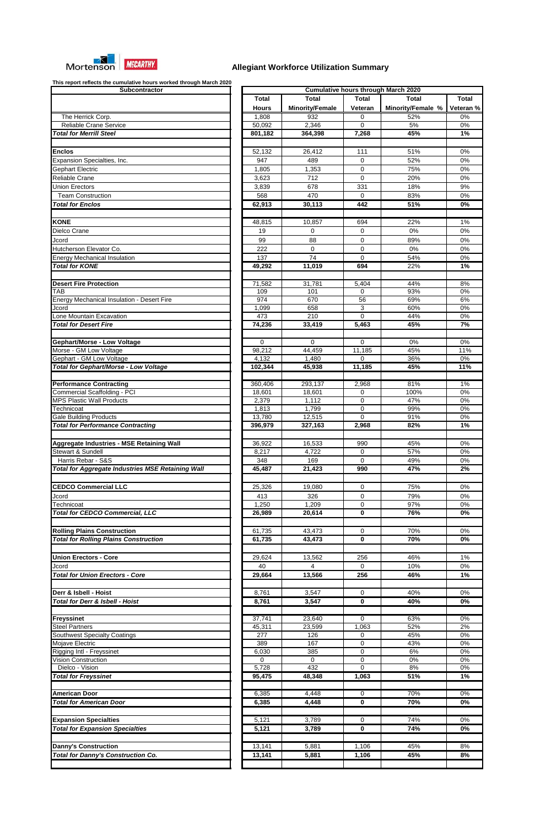

| Subcontractor                                                                  |  |
|--------------------------------------------------------------------------------|--|
|                                                                                |  |
|                                                                                |  |
| The Herrick Corp.                                                              |  |
| Reliable Crane Service                                                         |  |
| <b>Total for Merrill Steel</b>                                                 |  |
|                                                                                |  |
| <b>Enclos</b>                                                                  |  |
| Expansion Specialties, Inc.                                                    |  |
| Gephart Electric                                                               |  |
| Reliable Crane                                                                 |  |
| <b>Union Erectors</b>                                                          |  |
| <b>Team Construction</b>                                                       |  |
| <b>Total for Enclos</b>                                                        |  |
|                                                                                |  |
| <b>KONE</b>                                                                    |  |
| Dielco Crane                                                                   |  |
| Jcord                                                                          |  |
| Hutcherson Elevator Co.                                                        |  |
| <b>Energy Mechanical Insulation</b>                                            |  |
| <b>Total for KONE</b>                                                          |  |
|                                                                                |  |
| <b>Desert Fire Protection</b>                                                  |  |
| TAB                                                                            |  |
| <b>Energy Mechanical Insulation - Desert Fire</b>                              |  |
| Jcord                                                                          |  |
| Lone Mountain Excavation                                                       |  |
| <b>Total for Desert Fire</b>                                                   |  |
|                                                                                |  |
| Gephart/Morse - Low Voltage                                                    |  |
| Morse - GM Low Voltage                                                         |  |
| Gephart - GM Low Voltage                                                       |  |
| Total for Gephart/Morse - Low Voltage                                          |  |
|                                                                                |  |
| <b>Performance Contracting</b>                                                 |  |
| <b>Commercial Scaffolding - PCI</b>                                            |  |
| <b>MPS Plastic Wall Products</b>                                               |  |
| Technicoat                                                                     |  |
| <b>Gale Building Products</b><br><b>Total for Performance Contracting</b>      |  |
|                                                                                |  |
|                                                                                |  |
| Aggregate Industries - MSE Retaining Wall<br><b>Stewart &amp; Sundell</b>      |  |
|                                                                                |  |
| Harris Rebar - S&S<br><b>Total for Aggregate Industries MSE Retaining Wall</b> |  |
|                                                                                |  |
| <b>CEDCO Commercial LLC</b>                                                    |  |
| Jcord                                                                          |  |
| Technicoat                                                                     |  |
| Total for CEDCO Commercial, LLC                                                |  |
|                                                                                |  |
|                                                                                |  |
| <b>Rolling Plains Construction</b>                                             |  |
| <b>Total for Rolling Plains Construction</b>                                   |  |
|                                                                                |  |
| <b>Union Erectors - Core</b>                                                   |  |
| Jcord                                                                          |  |
| <b>Total for Union Erectors - Core</b>                                         |  |
|                                                                                |  |
| Derr & Isbell - Hoist                                                          |  |
| Total for Derr & Isbell - Hoist                                                |  |
|                                                                                |  |
| <b>Freyssinet</b>                                                              |  |
| <b>Steel Partners</b>                                                          |  |
| <b>Southwest Specialty Coatings</b>                                            |  |
| <b>Mojave Electric</b>                                                         |  |
| Rigging Intl - Freyssinet                                                      |  |
|                                                                                |  |
| Vision Construction                                                            |  |
| Dielco - Vision                                                                |  |
| <b>Total for Freyssinet</b>                                                    |  |
|                                                                                |  |
| <b>American Door</b>                                                           |  |
| <b>Total for American Door</b>                                                 |  |
|                                                                                |  |
| <b>Expansion Specialties</b>                                                   |  |
| <b>Total for Expansion Specialties</b>                                         |  |
|                                                                                |  |
| <b>Danny's Construction</b>                                                    |  |
| <b>Total for Danny's Construction Co.</b>                                      |  |

| This report reflects the cumulative hours worked through march 2020<br>Subcontractor | <b>Cumulative hours through March 2020</b> |                        |                    |                   |              |  |
|--------------------------------------------------------------------------------------|--------------------------------------------|------------------------|--------------------|-------------------|--------------|--|
|                                                                                      | <b>Total</b>                               | <b>Total</b>           | <b>Total</b>       | <b>Total</b>      | <b>Total</b> |  |
|                                                                                      |                                            | <b>Minority/Female</b> |                    | Minority/Female % |              |  |
|                                                                                      | <b>Hours</b>                               |                        | Veteran            |                   | Veteran %    |  |
| The Herrick Corp.<br><b>Reliable Crane Service</b>                                   | 1,808                                      | 932                    | 0                  | 52%               | 0%           |  |
|                                                                                      | 50,092                                     | 2,346                  | $\Omega$           | 5%                | 0%           |  |
| <b>Total for Merrill Steel</b>                                                       | 801,182                                    | 364,398                | $\overline{7,}268$ | 45%               | 1%           |  |
|                                                                                      |                                            |                        |                    |                   |              |  |
| <b>Enclos</b>                                                                        | 52,132                                     | 26,412                 | 111                | 51%               | 0%           |  |
| Expansion Specialties, Inc.                                                          | 947                                        | 489                    | 0                  | 52%               | 0%           |  |
| Gephart Electric                                                                     | 1,805                                      | 1,353                  | 0                  | 75%               | 0%           |  |
| Reliable Crane                                                                       | 3,623                                      | 712                    | $\mathbf 0$        | 20%               | 0%           |  |
| <b>Union Erectors</b>                                                                | 3,839                                      | 678                    | 331                | 18%               | 9%           |  |
| <b>Team Construction</b>                                                             | 568                                        | 470                    | 0                  | 83%               | 0%           |  |
| <b>Total for Enclos</b>                                                              | 62,913                                     | 30,113                 | 442                | 51%               | 0%           |  |
|                                                                                      |                                            |                        |                    |                   |              |  |
| <b>KONE</b>                                                                          | 48,815                                     | 10,857                 | 694                | 22%               | 1%           |  |
| Dielco Crane                                                                         | 19                                         | 0                      | 0                  | 0%                | 0%           |  |
|                                                                                      | 99                                         | 88                     |                    |                   |              |  |
| Jcord                                                                                |                                            |                        | 0                  | 89%               | 0%           |  |
| Hutcherson Elevator Co.                                                              | 222                                        | 0                      | 0                  | 0%                | 0%           |  |
| <b>Energy Mechanical Insulation</b>                                                  | 137                                        | 74                     | 0                  | 54%               | 0%           |  |
| <b>Total for KONE</b>                                                                | 49,292                                     | 11,019                 | 694                | 22%               | 1%           |  |
|                                                                                      |                                            |                        |                    |                   |              |  |
| <b>Desert Fire Protection</b>                                                        | 71,582                                     | 31,781                 | 5,404              | 44%               | 8%           |  |
| $\overline{\mathsf{TAB}}$                                                            | 109                                        | 101                    | 0                  | 93%               | 0%           |  |
| <b>Energy Mechanical Insulation - Desert Fire</b>                                    | 974                                        | 670                    | 56                 | 69%               | 6%           |  |
| Jcord                                                                                | 1,099                                      | 658                    | 3                  | 60%               | 0%           |  |
| Lone Mountain Excavation                                                             | 473                                        | 210                    | $\Omega$           | 44%               | 0%           |  |
| <b>Total for Desert Fire</b>                                                         | 74,236                                     | 33,419                 | 5,463              | 45%               | 7%           |  |
|                                                                                      |                                            |                        |                    |                   |              |  |
| Gephart/Morse - Low Voltage                                                          | 0                                          | 0                      | 0                  | 0%                | 0%           |  |
| Morse - GM Low Voltage                                                               | 98,212                                     | 44,459                 | 11,185             | 45%               | 11%          |  |
| Gephart - GM Low Voltage                                                             | 4,132                                      | 1,480                  | 0                  | 36%               | 0%           |  |
| <b>Total for Gephart/Morse - Low Voltage</b>                                         | 102,344                                    | 45,938                 | 11,185             | 45%               | 11%          |  |
|                                                                                      |                                            |                        |                    |                   |              |  |
| <b>Performance Contracting</b>                                                       | 360,406                                    | 293,137                | 2.968              | 81%               | $1\%$        |  |
| <b>Commercial Scaffolding - PCI</b>                                                  | 18,601                                     | 18,601                 | $\mathbf 0$        | 100%              | 0%           |  |
| <b>MPS Plastic Wall Products</b>                                                     | 2,379                                      | 1,112                  | $\Omega$           | 47%               | 0%           |  |
| Technicoat                                                                           | 1,813                                      | 1,799                  | 0                  | 99%               | 0%           |  |
| <b>Gale Building Products</b>                                                        | 13,780                                     | 12,515                 | $\mathbf 0$        | 91%               | 0%           |  |
| <b>Total for Performance Contracting</b>                                             | 396,979                                    | 327,163                | 2,968              | 82%               | 1%           |  |
|                                                                                      |                                            |                        |                    |                   |              |  |
|                                                                                      |                                            |                        |                    |                   |              |  |
| Aggregate Industries - MSE Retaining Wall                                            | 36,922                                     | 16,533                 | 990                | 45%               | 0%           |  |
| Stewart & Sundell                                                                    | 8,217                                      | 4,722                  | 0                  | 57%               | 0%           |  |
| Harris Rebar - S&S                                                                   | 348                                        | 169                    | $\Omega$           | 49%               | 0%           |  |
| <b>Total for Aggregate Industries MSE Retaining Wall</b>                             | 45,487                                     | 21,423                 | 990                | 47%               | 2%           |  |
|                                                                                      |                                            |                        |                    |                   |              |  |
| <b>CEDCO Commercial LLC</b>                                                          | 25,326                                     | 19,080                 | 0                  | 75%               | 0%           |  |
| Jcord                                                                                | 413                                        | 326                    | 0                  | 79%               | $0\%$        |  |
| Technicoat                                                                           | 1,250                                      | 1,209                  | 0                  | 97%               | $0\%$        |  |
| <b>Total for CEDCO Commercial, LLC</b>                                               | 26,989                                     | 20,614                 | 0                  | 76%               | 0%           |  |
|                                                                                      |                                            |                        |                    |                   |              |  |
|                                                                                      |                                            |                        |                    |                   |              |  |
| <b>Rolling Plains Construction</b>                                                   | 61,735                                     | 43,473                 | 0                  | 70%               | 0%           |  |
| <b>Total for Rolling Plains Construction</b>                                         | 61,735                                     | 43,473                 | 0                  | 70%               | 0%           |  |
|                                                                                      |                                            |                        |                    |                   |              |  |
| <b>Union Erectors - Core</b>                                                         | 29,624                                     | 13,562                 | 256                | 46%               | 1%           |  |
| Jcord                                                                                | 40                                         | 4                      | 0                  | 10%               | 0%           |  |
| <b>Total for Union Erectors - Core</b>                                               | 29,664                                     | 13,566                 | 256                | 46%               | 1%           |  |
|                                                                                      |                                            |                        |                    |                   |              |  |
| Derr & Isbell - Hoist                                                                | 8,761                                      | 3,547                  | 0                  | 40%               | 0%           |  |
| <b>Total for Derr &amp; Isbell - Hoist</b>                                           | 8,761                                      | 3,547                  | 0                  | 40%               | 0%           |  |
|                                                                                      |                                            |                        |                    |                   |              |  |
| <b>Freyssinet</b>                                                                    | 37,741                                     | 23,640                 | $\Omega$           | 63%               | 0%           |  |
| <b>Steel Partners</b>                                                                | 45,311                                     | 23,599                 | 1,063              | 52%               | 2%           |  |
| <b>Southwest Specialty Coatings</b>                                                  | 277                                        | 126                    | 0                  | 45%               | 0%           |  |
| Mojave Electric                                                                      | 389                                        | 167                    | 0                  | 43%               | 0%           |  |
| Rigging Intl - Freyssinet                                                            | 6,030                                      | 385                    | 0                  | 6%                | 0%           |  |
| Vision Construction                                                                  | $\mathbf 0$                                | $\mathbf 0$            | 0                  | 0%                | 0%           |  |
| Dielco - Vision                                                                      | 5,728                                      | 432                    | $\Omega$           | 8%                | 0%           |  |
|                                                                                      | 95,475                                     | 48,348                 | 1,063              | 51%               | 1%           |  |
| <b>Total for Freyssinet</b>                                                          |                                            |                        |                    |                   |              |  |
|                                                                                      |                                            |                        |                    |                   |              |  |
| <b>American Door</b>                                                                 | 6,385                                      | 4,448                  | 0                  | 70%               | 0%           |  |
| <b>Total for American Door</b>                                                       | 6,385                                      | 4,448                  | 0                  | 70%               | 0%           |  |
|                                                                                      |                                            |                        |                    |                   |              |  |
| <b>Expansion Specialties</b>                                                         | 5,121                                      | 3,789                  | 0                  | 74%               | $0\%$        |  |
| <b>Total for Expansion Specialties</b>                                               | 5,121                                      | 3,789                  | 0                  | 74%               | 0%           |  |
|                                                                                      |                                            |                        |                    |                   |              |  |
| <b>Danny's Construction</b>                                                          | 13,141                                     | 5,881                  | 1,106              | 45%               | 8%           |  |
| <b>Total for Danny's Construction Co.</b>                                            | 13,141                                     | 5,881                  | 1,106              | 45%               | 8%           |  |
|                                                                                      |                                            |                        |                    |                   |              |  |
|                                                                                      |                                            |                        |                    |                   |              |  |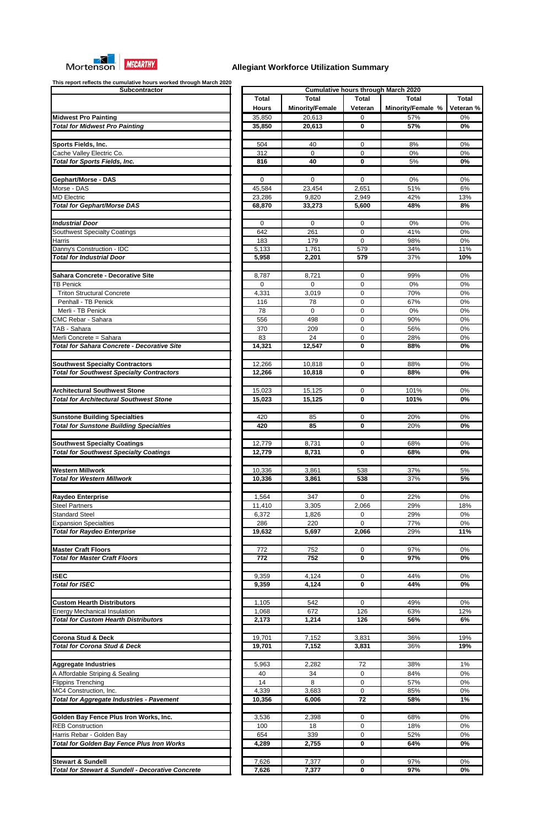

| Subcontractor                                                  |
|----------------------------------------------------------------|
|                                                                |
|                                                                |
| <b>Midwest Pro Painting</b>                                    |
| <b>Total for Midwest Pro Painting</b>                          |
|                                                                |
| <b>Sports Fields, Inc.</b>                                     |
| Cache Valley Electric Co.                                      |
| <b>Total for Sports Fields, Inc.</b>                           |
|                                                                |
| <b>Gephart/Morse - DAS</b>                                     |
| Morse - DAS                                                    |
| <b>MD Electric</b>                                             |
| <b>Total for Gephart/Morse DAS</b>                             |
|                                                                |
| <b>Industrial Door</b>                                         |
| <b>Southwest Specialty Coatings</b>                            |
| Harris                                                         |
| Danny's Construction - IDC<br><b>Total for Industrial Door</b> |
|                                                                |
|                                                                |
| Sahara Concrete - Decorative Site                              |
| <b>TB Penick</b>                                               |
| <b>Triton Structural Concrete</b>                              |
| Penhall - TB Penick                                            |
| Merli - TB Penick                                              |
| CMC Rebar - Sahara                                             |
| TAB - Sahara                                                   |
| Merli Concrete = Sahara                                        |
| <b>Total for Sahara Concrete - Decorative Site</b>             |
|                                                                |
| <b>Southwest Specialty Contractors</b>                         |
| <b>Total for Southwest Specialty Contractors</b>               |
|                                                                |
| <b>Architectural Southwest Stone</b>                           |
| <b>Total for Architectural Southwest Stone</b>                 |
|                                                                |
| <b>Sunstone Building Specialties</b>                           |
| <b>Total for Sunstone Building Specialties</b>                 |
|                                                                |
|                                                                |
| <b>Southwest Specialty Coatings</b>                            |
| <b>Total for Southwest Specialty Coatings</b>                  |
|                                                                |
| <b>Western Millwork</b>                                        |
| <b>Total for Western Millwork</b>                              |
|                                                                |
| Raydeo Enterprise                                              |
| <b>Steel Partners</b>                                          |
| <b>Standard Steel</b>                                          |
| <b>Expansion Specialties</b>                                   |
| <b>Total for Raydeo Enterprise</b>                             |
|                                                                |
| <b>Master Craft Floors</b>                                     |
| <b>Total for Master Craft Floors</b>                           |
|                                                                |
| <b>ISEC</b>                                                    |
| <b>Total for ISEC</b>                                          |
|                                                                |
| <b>Custom Hearth Distributors</b>                              |
| <b>Energy Mechanical Insulation</b>                            |
| <b>Total for Custom Hearth Distributors</b>                    |
|                                                                |
| <b>Corona Stud &amp; Deck</b>                                  |
| <b>Total for Corona Stud &amp; Deck</b>                        |
|                                                                |
| <b>Aggregate Industries</b>                                    |
| A Affordable Striping & Sealing                                |
| <b>Flippins Trenching</b>                                      |
| MC4 Construction, Inc.                                         |
| <b>Total for Aggregate Industries - Pavement</b>               |
|                                                                |
| Golden Bay Fence Plus Iron Works, Inc.                         |
| <b>REB Construction</b>                                        |
| Harris Rebar - Golden Bay                                      |
| <b>Total for Golden Bay Fence Plus Iron Works</b>              |
|                                                                |
| <b>Stewart &amp; Sundell</b>                                   |

| Subcontractor                                                                          |              |                        |                 | <b>Cumulative hours through March 2020</b> |              |
|----------------------------------------------------------------------------------------|--------------|------------------------|-----------------|--------------------------------------------|--------------|
|                                                                                        | <b>Total</b> | <b>Total</b>           | <b>Total</b>    | <b>Total</b>                               | <b>Total</b> |
|                                                                                        |              | <b>Minority/Female</b> |                 | Minority/Female %                          | Veteran %    |
|                                                                                        | <b>Hours</b> |                        | Veteran         |                                            |              |
| <b>Midwest Pro Painting</b>                                                            | 35,850       | 20,613                 | 0               | 57%                                        | 0%           |
| <b>Total for Midwest Pro Painting</b>                                                  | 35,850       | 20,613                 | 0               | 57%                                        | 0%           |
|                                                                                        |              |                        |                 |                                            |              |
| <b>Sports Fields, Inc.</b>                                                             | 504          | 40                     | 0               | 8%                                         | $0\%$        |
| Cache Valley Electric Co.                                                              | 312          | 0                      | 0               | 0%                                         | 0%           |
| <b>Total for Sports Fields, Inc.</b>                                                   | 816          | 40                     | 0               | 5%                                         | 0%           |
|                                                                                        |              |                        |                 |                                            |              |
| Gephart/Morse - DAS                                                                    | 0            | 0                      | 0               | 0%                                         | 0%           |
| Morse - DAS                                                                            | 45,584       | 23,454                 | 2,651           | 51%                                        | 6%           |
| <b>MD Electric</b>                                                                     | 23,286       | 9,820                  | 2,949           | 42%                                        | 13%          |
| <b>Total for Gephart/Morse DAS</b>                                                     | 68,870       | 33,273                 | 5,600           | 48%                                        | 8%           |
|                                                                                        |              |                        |                 |                                            |              |
|                                                                                        |              |                        |                 |                                            |              |
| <b>Industrial Door</b>                                                                 | 0            | 0                      | $\mathbf 0$     | 0%                                         | 0%           |
| Southwest Specialty Coatings                                                           | 642          | 261                    | 0               | 41%                                        | 0%           |
| Harris                                                                                 | 183          | 179                    | $\Omega$        | 98%                                        | 0%           |
| Danny's Construction - IDC                                                             | 5,133        | 1,761                  | 579             | 34%                                        | 11%          |
| <b>Total for Industrial Door</b>                                                       | 5,958        | 2,201                  | 579             | 37%                                        | 10%          |
|                                                                                        |              |                        |                 |                                            |              |
| Sahara Concrete - Decorative Site                                                      | 8,787        | 8,721                  | 0               | 99%                                        | 0%           |
| <b>TB Penick</b>                                                                       | $\Omega$     | 0                      | 0               | 0%                                         | 0%           |
| <b>Triton Structural Concrete</b>                                                      | 4,331        | 3,019                  | $\mathbf 0$     | 70%                                        | 0%           |
| Penhall - TB Penick                                                                    | 116          | 78                     | 0               | 67%                                        | 0%           |
| Merli - TB Penick                                                                      | 78           | 0                      | 0               | 0%                                         | 0%           |
|                                                                                        |              |                        |                 |                                            |              |
| <b>CMC Rebar - Sahara</b>                                                              | 556          | 498                    | 0               | 90%                                        | 0%           |
| TAB - Sahara                                                                           | 370          | 209                    | 0               | 56%                                        | 0%           |
| Merli Concrete = Sahara                                                                | 83           | 24                     | $\mathbf 0$     | 28%                                        | $0\%$        |
| <b>Total for Sahara Concrete - Decorative Site</b>                                     | 14,321       | 12,547                 | 0               | 88%                                        | 0%           |
|                                                                                        |              |                        |                 |                                            |              |
| <b>Southwest Specialty Contractors</b>                                                 | 12,266       | 10,818                 | 0               | 88%                                        | 0%           |
| <b>Total for Southwest Specialty Contractors</b>                                       | 12,266       | 10,818                 | 0               | 88%                                        | 0%           |
|                                                                                        |              |                        |                 |                                            |              |
| <b>Architectural Southwest Stone</b>                                                   | 15,023       | 15,125                 | 0               | 101%                                       | 0%           |
| <b>Total for Architectural Southwest Stone</b>                                         | 15,023       | 15,125                 | $\bf{0}$        | 101%                                       | 0%           |
|                                                                                        |              |                        |                 |                                            |              |
|                                                                                        |              |                        |                 | 20%                                        |              |
| <b>Sunstone Building Specialties</b><br><b>Total for Sunstone Building Specialties</b> | 420          | 85                     | 0               |                                            | 0%           |
|                                                                                        | 420          | 85                     | 0               | 20%                                        | 0%           |
|                                                                                        |              |                        |                 |                                            |              |
| <b>Southwest Specialty Coatings</b>                                                    | 12,779       | 8,731                  | 0               | 68%                                        | 0%           |
| <b>Total for Southwest Specialty Coatings</b>                                          | 12,779       | 8,731                  | 0               | 68%                                        | 0%           |
|                                                                                        |              |                        |                 |                                            |              |
| <b>Western Millwork</b>                                                                | 10,336       | 3,861                  | 538             | 37%                                        | 5%           |
| <b>Total for Western Millwork</b>                                                      | 10,336       | 3,861                  | 538             | 37%                                        | 5%           |
|                                                                                        |              |                        |                 |                                            |              |
| <b>Raydeo Enterprise</b>                                                               | 1,564        | 347                    | $\Omega$        | 22%                                        | 0%           |
| <b>Steel Partners</b>                                                                  | 11,410       | 3,305                  | 2,066           | 29%                                        | 18%          |
| <b>Standard Steel</b>                                                                  |              |                        |                 |                                            |              |
|                                                                                        | 6,372        | 1,826                  | 0<br>0          | 29%                                        | 0%           |
| <b>Expansion Specialties</b>                                                           | 286          | 220                    |                 | 77%                                        | 0%           |
| <b>Total for Raydeo Enterprise</b>                                                     | 19,632       | 5,697                  | 2,066           | 29%                                        | 11%          |
|                                                                                        |              |                        |                 |                                            |              |
| <b>Master Craft Floors</b>                                                             | 772          | 752                    | 0               | 97%                                        | 0%           |
| <b>Total for Master Craft Floors</b>                                                   | 772          | 752                    | 0               | 97%                                        | 0%           |
|                                                                                        |              |                        |                 |                                            |              |
| <b>ISEC</b>                                                                            | 9,359        | 4,124                  | 0               | 44%                                        | $0\%$        |
| <b>Total for ISEC</b>                                                                  | 9,359        | 4,124                  | $\bf{0}$        | 44%                                        | 0%           |
|                                                                                        |              |                        |                 |                                            |              |
| <b>Custom Hearth Distributors</b>                                                      | 1,105        | 542                    | 0               | 49%                                        | 0%           |
| <b>Energy Mechanical Insulation</b>                                                    | 1,068        | 672                    | 126             | 63%                                        | 12%          |
| <b>Total for Custom Hearth Distributors</b>                                            | 2,173        | 1,214                  | 126             | 56%                                        | 6%           |
|                                                                                        |              |                        |                 |                                            |              |
|                                                                                        |              |                        |                 |                                            |              |
| <b>Corona Stud &amp; Deck</b>                                                          | 19,701       | 7,152                  | 3,831           | 36%                                        | 19%          |
| <b>Total for Corona Stud &amp; Deck</b>                                                | 19,701       | 7,152                  | 3,831           | 36%                                        | 19%          |
|                                                                                        |              |                        |                 |                                            |              |
| <b>Aggregate Industries</b>                                                            | 5,963        | 2,282                  | 72              | 38%                                        | $1\%$        |
| A Affordable Striping & Sealing                                                        | 40           | 34                     | 0               | 84%                                        | 0%           |
| <b>Flippins Trenching</b>                                                              | 14           | 8                      | 0               | 57%                                        | 0%           |
| MC4 Construction, Inc.                                                                 | 4,339        | 3,683                  | 0               | 85%                                        | $0\%$        |
| <b>Total for Aggregate Industries - Pavement</b>                                       | 10,356       | 6,006                  | $\overline{72}$ | 58%                                        | 1%           |
|                                                                                        |              |                        |                 |                                            |              |
| Golden Bay Fence Plus Iron Works, Inc.                                                 | 3,536        | 2,398                  | 0               | 68%                                        | 0%           |
| <b>REB Construction</b>                                                                |              | 18                     |                 |                                            | 0%           |
|                                                                                        | 100          |                        | 0               | 18%                                        |              |
| Harris Rebar - Golden Bay                                                              | 654          | 339                    | 0               | 52%                                        | 0%           |
| <b>Total for Golden Bay Fence Plus Iron Works</b>                                      | 4,289        | 2,755                  | 0               | 64%                                        | 0%           |
|                                                                                        |              |                        |                 |                                            |              |
| <b>Stewart &amp; Sundell</b>                                                           | 7,626        | 7,377                  | 0               | 97%                                        | 0%           |
| <b>Total for Stewart &amp; Sundell - Decorative Concrete</b>                           | 7,626        | 7,377                  | $\mathbf 0$     | 97%                                        | $0\%$        |